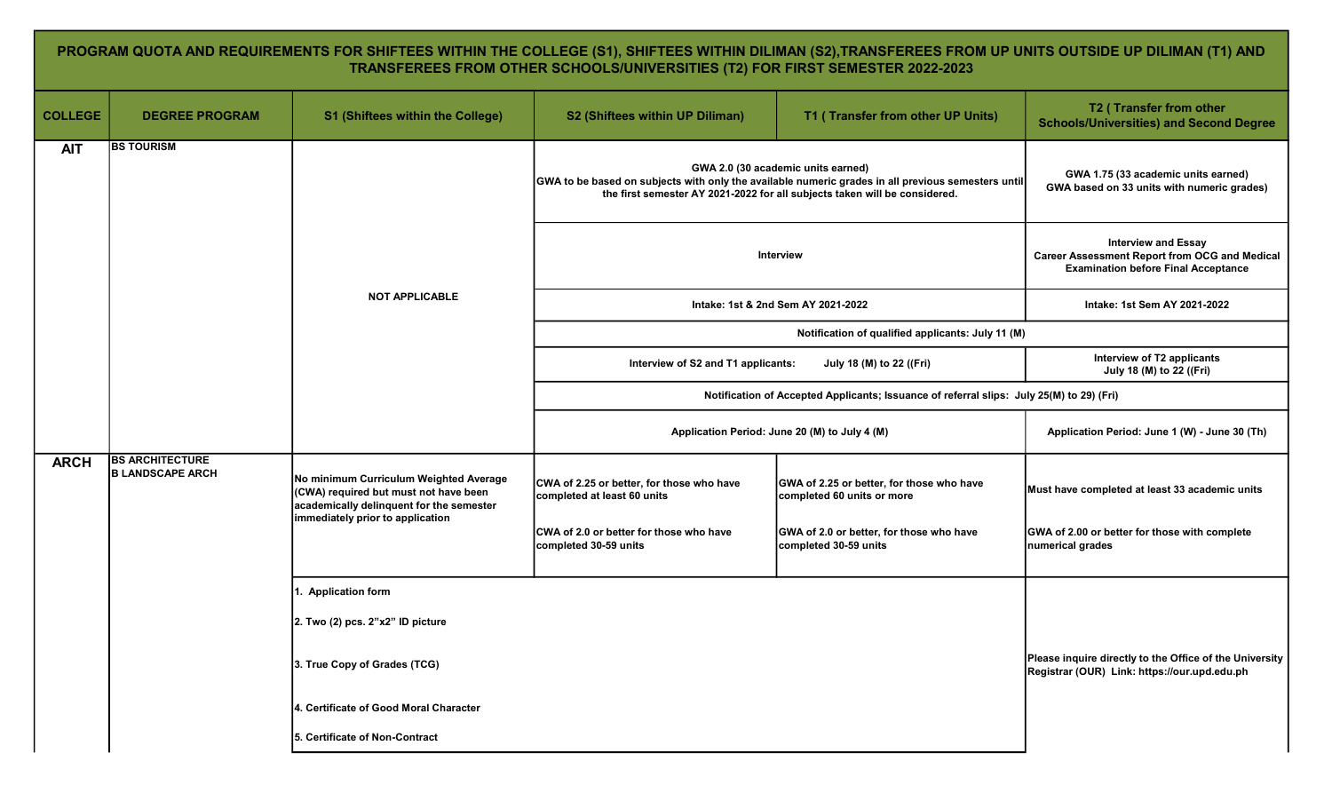## PROGRAM QUOTA AND REQUIREMENTS FOR SHIFTEES WITHIN THE COLLEGE (S1), SHIFTEES WITHIN DILIMAN (S2),TRANSFEREES FROM UP UNITS OUTSIDE UP DILIMAN (T1) AND TRANSFEREES FROM OTHER SCHOOLS/UNIVERSITIES (T2) FOR FIRST SEMESTER 2022-2023

| <b>COLLEGE</b> | <b>DEGREE PROGRAM</b>                             | <b>S1 (Shiftees within the College)</b>                                                                                                                         | S2 (Shiftees within UP Diliman)                                          | T1 (Transfer from other UP Units)                                                                                                                                                                                      | T2 (Transfer from other<br><b>Schools/Universities) and Second Degree</b>         |
|----------------|---------------------------------------------------|-----------------------------------------------------------------------------------------------------------------------------------------------------------------|--------------------------------------------------------------------------|------------------------------------------------------------------------------------------------------------------------------------------------------------------------------------------------------------------------|-----------------------------------------------------------------------------------|
| <b>AIT</b>     | <b>BS TOURISM</b>                                 |                                                                                                                                                                 |                                                                          | GWA 2.0 (30 academic units earned)<br>GWA to be based on subjects with only the available numeric grades in all previous semesters until<br>the first semester AY 2021-2022 for all subjects taken will be considered. | GWA 1.75 (33 academic units earned)<br>GWA based on 33 units with numeric grades) |
|                |                                                   |                                                                                                                                                                 |                                                                          | Interview                                                                                                                                                                                                              |                                                                                   |
|                |                                                   | <b>NOT APPLICABLE</b>                                                                                                                                           |                                                                          | Intake: 1st & 2nd Sem AY 2021-2022                                                                                                                                                                                     | Intake: 1st Sem AY 2021-2022                                                      |
|                |                                                   |                                                                                                                                                                 |                                                                          | Notification of qualified applicants: July 11 (M)                                                                                                                                                                      |                                                                                   |
|                |                                                   |                                                                                                                                                                 | Interview of S2 and T1 applicants:                                       | July 18 (M) to 22 ((Fri)                                                                                                                                                                                               | Interview of T2 applicants<br>July 18 (M) to 22 ((Fri)                            |
|                |                                                   |                                                                                                                                                                 |                                                                          | Notification of Accepted Applicants; Issuance of referral slips: July 25(M) to 29) (Fri)                                                                                                                               |                                                                                   |
|                |                                                   |                                                                                                                                                                 | Application Period: June 20 (M) to July 4 (M)                            |                                                                                                                                                                                                                        | Application Period: June 1 (W) - June 30 (Th)                                     |
| <b>ARCH</b>    | <b>BS ARCHITECTURE</b><br><b>B LANDSCAPE ARCH</b> | No minimum Curriculum Weighted Average<br>(CWA) required but must not have been<br>academically delinquent for the semester<br>immediately prior to application | CWA of 2.25 or better, for those who have<br>completed at least 60 units | GWA of 2.25 or better, for those who have<br>completed 60 units or more                                                                                                                                                | Must have completed at least 33 academic units                                    |
|                |                                                   |                                                                                                                                                                 | CWA of 2.0 or better for those who have<br>completed 30-59 units         | GWA of 2.0 or better, for those who have<br>completed 30-59 units                                                                                                                                                      | GWA of 2.00 or better for those with complete<br>numerical grades                 |
|                |                                                   | 1. Application form                                                                                                                                             |                                                                          |                                                                                                                                                                                                                        |                                                                                   |
|                |                                                   | 2. Two (2) pcs. 2"x2" ID picture                                                                                                                                |                                                                          |                                                                                                                                                                                                                        |                                                                                   |
|                |                                                   | 3. True Copy of Grades (TCG)                                                                                                                                    |                                                                          | Please inquire directly to the Office of the University<br>Registrar (OUR) Link: https://our.upd.edu.ph                                                                                                                |                                                                                   |
|                |                                                   | 4. Certificate of Good Moral Character                                                                                                                          |                                                                          |                                                                                                                                                                                                                        |                                                                                   |
|                |                                                   | 5. Certificate of Non-Contract                                                                                                                                  |                                                                          |                                                                                                                                                                                                                        |                                                                                   |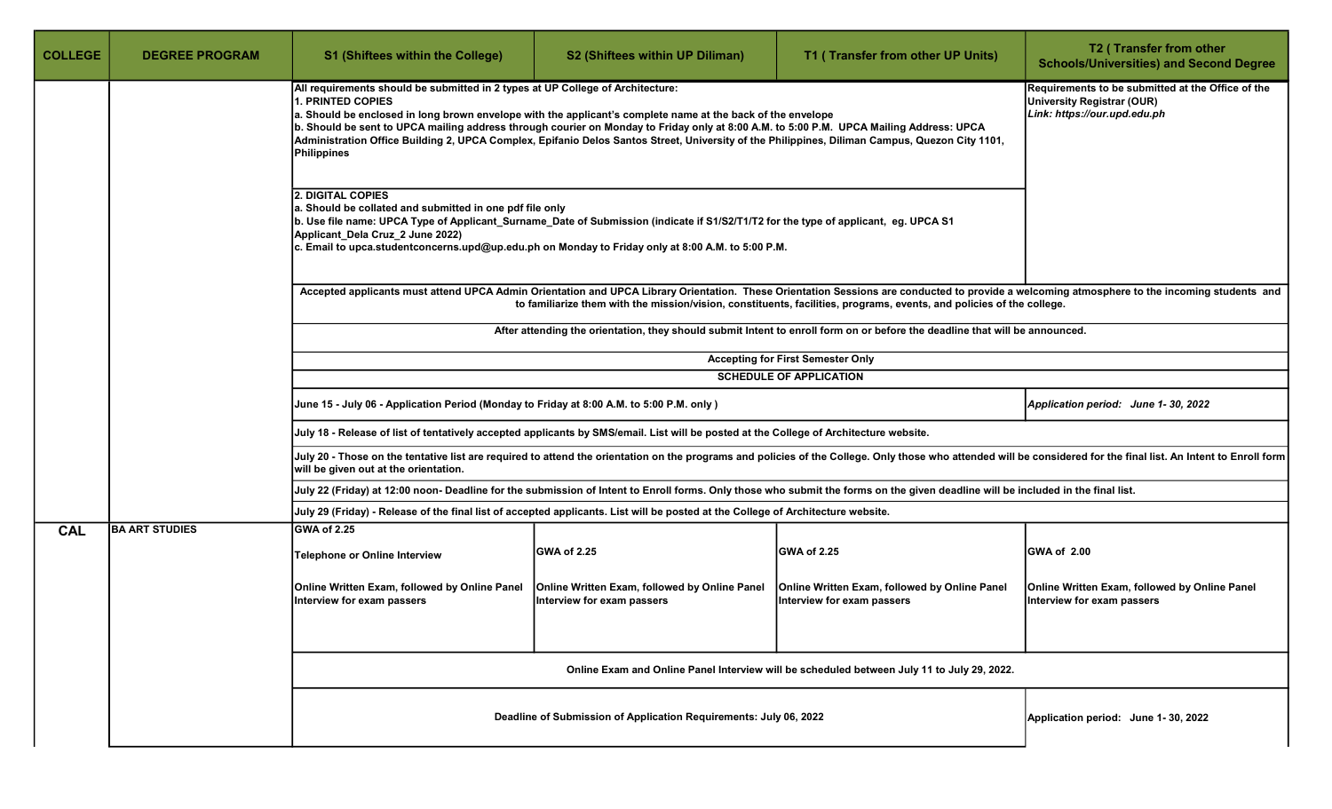| <b>COLLEGE</b> | <b>DEGREE PROGRAM</b>                                                                                                                                                                                                                                                                                                                                                                                                                                                                                                               | <b>S1 (Shiftees within the College)</b>                                                                                | S2 (Shiftees within UP Diliman)                                                                                                        | T1 (Transfer from other UP Units)                                                                                                                                                                                                                    | T2 (Transfer from other<br><b>Schools/Universities) and Second Degree</b>                                                                                                                                         |  |
|----------------|-------------------------------------------------------------------------------------------------------------------------------------------------------------------------------------------------------------------------------------------------------------------------------------------------------------------------------------------------------------------------------------------------------------------------------------------------------------------------------------------------------------------------------------|------------------------------------------------------------------------------------------------------------------------|----------------------------------------------------------------------------------------------------------------------------------------|------------------------------------------------------------------------------------------------------------------------------------------------------------------------------------------------------------------------------------------------------|-------------------------------------------------------------------------------------------------------------------------------------------------------------------------------------------------------------------|--|
|                | All requirements should be submitted in 2 types at UP College of Architecture:<br>b. Should be sent to UPCA mailing address through courier on Monday to Friday only at 8:00 A.M. to 5:00 P.M. UPCA Mailing Address: UPCA<br>Administration Office Building 2, UPCA Complex, Epifanio Delos Santos Street, University of the Philippines, Diliman Campus, Quezon City 1101,<br>Philippines<br>Applicant_Dela Cruz_2 June 2022)<br>c. Email to upca.studentconcerns.upd@up.edu.ph on Monday to Friday only at 8:00 A.M. to 5:00 P.M. | Requirements to be submitted at the Office of the<br><b>University Registrar (OUR)</b><br>Link: https://our.upd.edu.ph |                                                                                                                                        |                                                                                                                                                                                                                                                      |                                                                                                                                                                                                                   |  |
|                |                                                                                                                                                                                                                                                                                                                                                                                                                                                                                                                                     |                                                                                                                        |                                                                                                                                        | to familiarize them with the mission/vision, constituents, facilities, programs, events, and policies of the college.<br>After attending the orientation, they should submit Intent to enroll form on or before the deadline that will be announced. | Accepted applicants must attend UPCA Admin Orientation and UPCA Library Orientation. These Orientation Sessions are conducted to provide a welcoming atmosphere to the incoming students and                      |  |
|                |                                                                                                                                                                                                                                                                                                                                                                                                                                                                                                                                     |                                                                                                                        |                                                                                                                                        |                                                                                                                                                                                                                                                      |                                                                                                                                                                                                                   |  |
|                |                                                                                                                                                                                                                                                                                                                                                                                                                                                                                                                                     |                                                                                                                        |                                                                                                                                        | <b>Accepting for First Semester Only</b><br><b>SCHEDULE OF APPLICATION</b>                                                                                                                                                                           |                                                                                                                                                                                                                   |  |
|                |                                                                                                                                                                                                                                                                                                                                                                                                                                                                                                                                     |                                                                                                                        |                                                                                                                                        |                                                                                                                                                                                                                                                      |                                                                                                                                                                                                                   |  |
|                |                                                                                                                                                                                                                                                                                                                                                                                                                                                                                                                                     | June 15 - July 06 - Application Period (Monday to Friday at 8:00 A.M. to 5:00 P.M. only )                              |                                                                                                                                        |                                                                                                                                                                                                                                                      | Application period: June 1-30, 2022                                                                                                                                                                               |  |
|                |                                                                                                                                                                                                                                                                                                                                                                                                                                                                                                                                     |                                                                                                                        | July 18 - Release of list of tentatively accepted applicants by SMS/email. List will be posted at the College of Architecture website. |                                                                                                                                                                                                                                                      |                                                                                                                                                                                                                   |  |
|                |                                                                                                                                                                                                                                                                                                                                                                                                                                                                                                                                     | will be given out at the orientation.                                                                                  |                                                                                                                                        |                                                                                                                                                                                                                                                      | July 20 - Those on the tentative list are required to attend the orientation on the programs and policies of the College. Only those who attended will be considered for the final list. An Intent to Enroll form |  |
|                |                                                                                                                                                                                                                                                                                                                                                                                                                                                                                                                                     |                                                                                                                        |                                                                                                                                        | July 22 (Friday) at 12:00 noon- Deadline for the submission of Intent to Enroll forms. Only those who submit the forms on the given deadline will be included in the final list.                                                                     |                                                                                                                                                                                                                   |  |
|                |                                                                                                                                                                                                                                                                                                                                                                                                                                                                                                                                     |                                                                                                                        | July 29 (Friday) - Release of the final list of accepted applicants. List will be posted at the College of Architecture website.       |                                                                                                                                                                                                                                                      |                                                                                                                                                                                                                   |  |
| <b>CAL</b>     | <b>BA ART STUDIES</b>                                                                                                                                                                                                                                                                                                                                                                                                                                                                                                               | <b>GWA of 2.25</b>                                                                                                     |                                                                                                                                        |                                                                                                                                                                                                                                                      |                                                                                                                                                                                                                   |  |
|                |                                                                                                                                                                                                                                                                                                                                                                                                                                                                                                                                     | Telephone or Online Interview                                                                                          | <b>GWA of 2.25</b>                                                                                                                     | <b>GWA of 2.25</b>                                                                                                                                                                                                                                   | <b>GWA of 2.00</b>                                                                                                                                                                                                |  |
|                |                                                                                                                                                                                                                                                                                                                                                                                                                                                                                                                                     | Online Written Exam, followed by Online Panel<br>nterview for exam passers                                             | <b>Online Written Exam, followed by Online Panel</b><br>Interview for exam passers                                                     | Online Written Exam, followed by Online Panel<br>Interview for exam passers                                                                                                                                                                          | Online Written Exam, followed by Online Panel<br>Interview for exam passers                                                                                                                                       |  |
|                |                                                                                                                                                                                                                                                                                                                                                                                                                                                                                                                                     |                                                                                                                        |                                                                                                                                        |                                                                                                                                                                                                                                                      |                                                                                                                                                                                                                   |  |
|                |                                                                                                                                                                                                                                                                                                                                                                                                                                                                                                                                     |                                                                                                                        |                                                                                                                                        | Online Exam and Online Panel Interview will be scheduled between July 11 to July 29, 2022.                                                                                                                                                           |                                                                                                                                                                                                                   |  |
|                |                                                                                                                                                                                                                                                                                                                                                                                                                                                                                                                                     |                                                                                                                        | Deadline of Submission of Application Requirements: July 06, 2022                                                                      |                                                                                                                                                                                                                                                      | Application period: June 1-30, 2022                                                                                                                                                                               |  |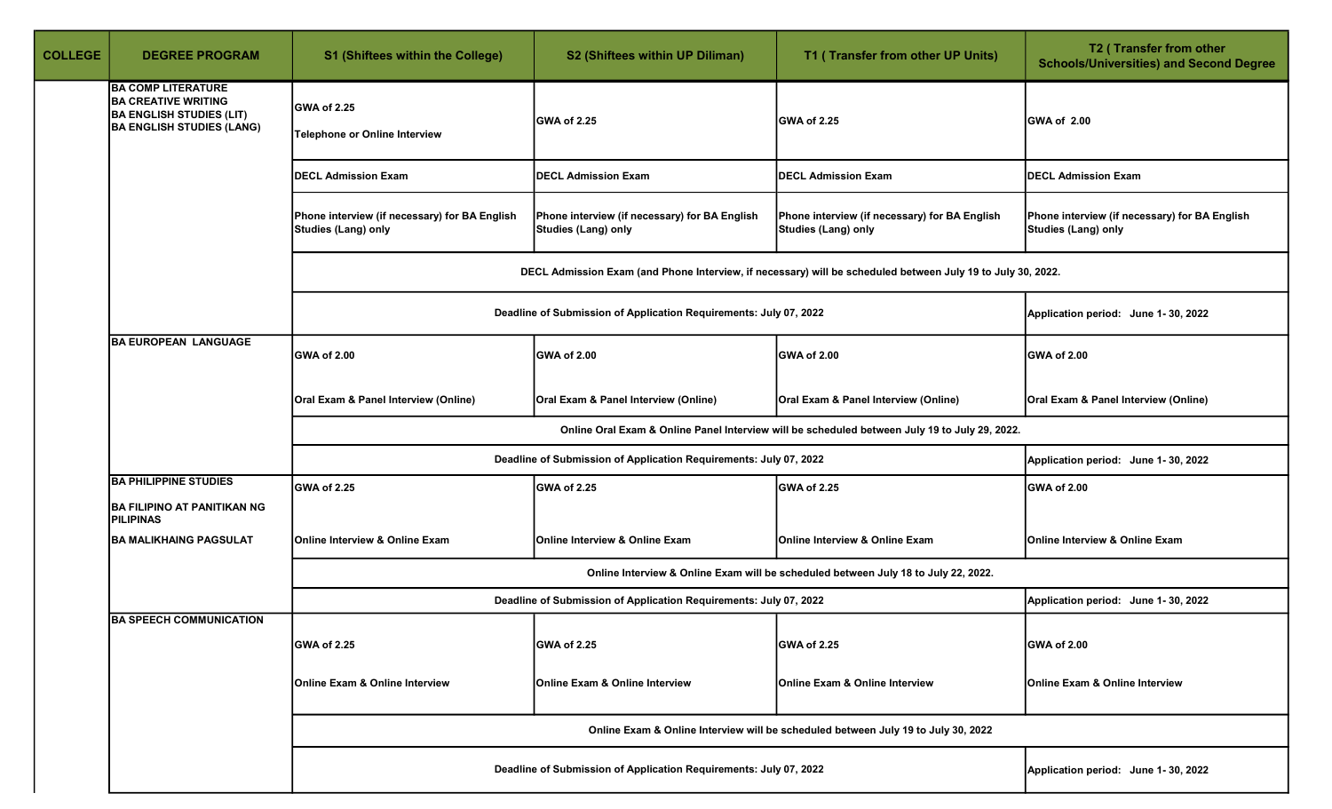| <b>COLLEGE</b> | <b>DEGREE PROGRAM</b>                                                                                                          | S1 (Shiftees within the College)                                            | S2 (Shiftees within UP Diliman)                                      | T1 (Transfer from other UP Units)                                                                           | T2 (Transfer from other<br><b>Schools/Universities) and Second Degree</b> |
|----------------|--------------------------------------------------------------------------------------------------------------------------------|-----------------------------------------------------------------------------|----------------------------------------------------------------------|-------------------------------------------------------------------------------------------------------------|---------------------------------------------------------------------------|
|                | <b>BA COMP LITERATURE</b><br><b>BA CREATIVE WRITING</b><br><b>BA ENGLISH STUDIES (LIT)</b><br><b>BA ENGLISH STUDIES (LANG)</b> | <b>GWA of 2.25</b><br>Telephone or Online Interview                         | GWA of 2.25                                                          | <b>GWA of 2.25</b>                                                                                          | GWA of 2.00                                                               |
|                |                                                                                                                                | <b>DECL Admission Exam</b>                                                  | <b>DECL Admission Exam</b>                                           | <b>DECL Admission Exam</b>                                                                                  | <b>DECL Admission Exam</b>                                                |
|                |                                                                                                                                | Phone interview (if necessary) for BA English<br><b>Studies (Lang) only</b> | Phone interview (if necessary) for BA English<br>Studies (Lang) only | Phone interview (if necessary) for BA English<br>Studies (Lang) only                                        | Phone interview (if necessary) for BA English<br>Studies (Lang) only      |
|                |                                                                                                                                |                                                                             |                                                                      | DECL Admission Exam (and Phone Interview, if necessary) will be scheduled between July 19 to July 30, 2022. |                                                                           |
|                |                                                                                                                                |                                                                             | Deadline of Submission of Application Requirements: July 07, 2022    |                                                                                                             | Application period: June 1-30, 2022                                       |
|                | <b>BA EUROPEAN LANGUAGE</b>                                                                                                    | GWA of 2.00                                                                 | GWA of 2.00                                                          | GWA of 2.00                                                                                                 | <b>GWA of 2.00</b>                                                        |
|                |                                                                                                                                | Oral Exam & Panel Interview (Online)                                        | Oral Exam & Panel Interview (Online)                                 | Oral Exam & Panel Interview (Online)                                                                        | Oral Exam & Panel Interview (Online)                                      |
|                |                                                                                                                                |                                                                             |                                                                      | Online Oral Exam & Online Panel Interview will be scheduled between July 19 to July 29, 2022.               |                                                                           |
|                |                                                                                                                                |                                                                             | Deadline of Submission of Application Requirements: July 07, 2022    |                                                                                                             | Application period: June 1-30, 2022                                       |
|                | <b>BA PHILIPPINE STUDIES</b><br><b>BA FILIPINO AT PANITIKAN NG</b><br><b>PILIPINAS</b>                                         | GWA of 2.25                                                                 | GWA of 2.25                                                          | GWA of 2.25                                                                                                 | <b>GWA of 2.00</b>                                                        |
|                | <b>BA MALIKHAING PAGSULAT</b>                                                                                                  | Online Interview & Online Exam                                              | Online Interview & Online Exam                                       | Online Interview & Online Exam                                                                              | Online Interview & Online Exam                                            |
|                |                                                                                                                                |                                                                             |                                                                      | Online Interview & Online Exam will be scheduled between July 18 to July 22, 2022.                          |                                                                           |
|                |                                                                                                                                |                                                                             | Deadline of Submission of Application Requirements: July 07, 2022    |                                                                                                             | Application period: June 1-30, 2022                                       |
|                | <b>BA SPEECH COMMUNICATION</b>                                                                                                 | <b>GWA of 2.25</b>                                                          | GWA of 2.25                                                          | GWA of 2.25                                                                                                 | <b>GWA of 2.00</b>                                                        |
|                |                                                                                                                                | Online Exam & Online Interview                                              | <b>Online Exam &amp; Online Interview</b>                            | Online Exam & Online Interview                                                                              | <b>Online Exam &amp; Online Interview</b>                                 |
|                |                                                                                                                                |                                                                             |                                                                      | Online Exam & Online Interview will be scheduled between July 19 to July 30, 2022                           |                                                                           |
|                |                                                                                                                                |                                                                             | Deadline of Submission of Application Requirements: July 07, 2022    |                                                                                                             | Application period: June 1-30, 2022                                       |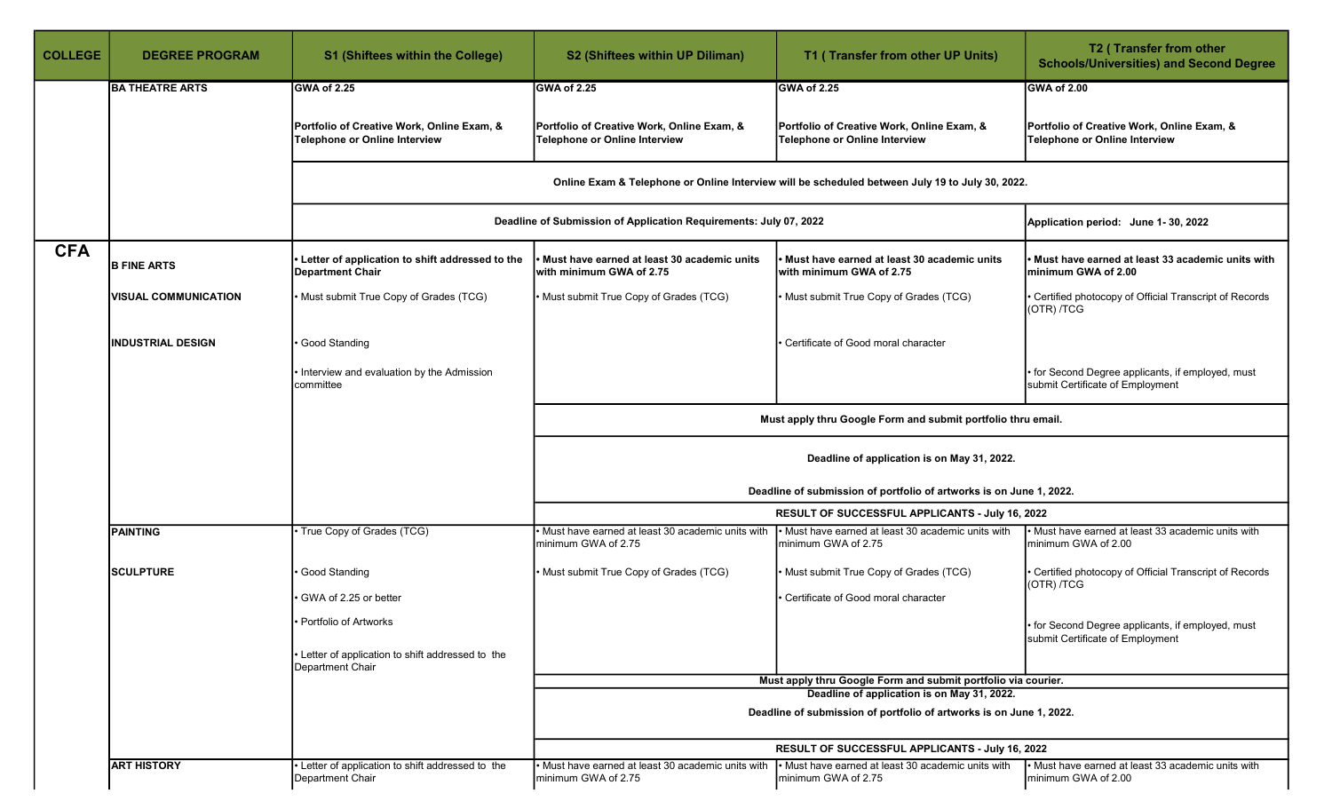| <b>COLLEGE</b> | <b>DEGREE PROGRAM</b>       | <b>S1 (Shiftees within the College)</b>                                     | S2 (Shiftees within UP Diliman)                                             | T1 (Transfer from other UP Units)                                                                            | T2 (Transfer from other<br><b>Schools/Universities) and Second Degree</b>             |  |  |
|----------------|-----------------------------|-----------------------------------------------------------------------------|-----------------------------------------------------------------------------|--------------------------------------------------------------------------------------------------------------|---------------------------------------------------------------------------------------|--|--|
|                | <b>BA THEATRE ARTS</b>      | <b>IGWA of 2.25</b>                                                         | GWA of 2.25                                                                 | GWA of 2.25                                                                                                  | GWA of 2.00                                                                           |  |  |
|                |                             | Portfolio of Creative Work, Online Exam, &<br>Telephone or Online Interview | Portfolio of Creative Work, Online Exam, &<br>Telephone or Online Interview | Portfolio of Creative Work, Online Exam, &<br>Telephone or Online Interview                                  | Portfolio of Creative Work, Online Exam, &<br><b>Telephone or Online Interview</b>    |  |  |
|                |                             |                                                                             |                                                                             | Online Exam & Telephone or Online Interview will be scheduled between July 19 to July 30, 2022.              |                                                                                       |  |  |
|                |                             |                                                                             | Deadline of Submission of Application Requirements: July 07, 2022           |                                                                                                              | Application period: June 1-30, 2022                                                   |  |  |
| <b>CFA</b>     | <b>B FINE ARTS</b>          | Letter of application to shift addressed to the<br><b>Department Chair</b>  | Must have earned at least 30 academic units<br>with minimum GWA of 2.75     | Must have earned at least 30 academic units<br>with minimum GWA of 2.75                                      | Must have earned at least 33 academic units with<br>minimum GWA of 2.00               |  |  |
|                | <b>VISUAL COMMUNICATION</b> | • Must submit True Copy of Grades (TCG)                                     | • Must submit True Copy of Grades (TCG)                                     | • Must submit True Copy of Grades (TCG)                                                                      | Certified photocopy of Official Transcript of Records<br>(OTR) /TCG                   |  |  |
|                | <b>INDUSTRIAL DESIGN</b>    | Good Standing                                                               |                                                                             | Certificate of Good moral character                                                                          |                                                                                       |  |  |
|                |                             | . Interview and evaluation by the Admission<br>committee                    |                                                                             |                                                                                                              | • for Second Degree applicants, if employed, must<br>submit Certificate of Employment |  |  |
|                |                             |                                                                             | Must apply thru Google Form and submit portfolio thru email.                |                                                                                                              |                                                                                       |  |  |
|                |                             |                                                                             | Deadline of application is on May 31, 2022.                                 |                                                                                                              |                                                                                       |  |  |
|                |                             |                                                                             |                                                                             | Deadline of submission of portfolio of artworks is on June 1, 2022.                                          |                                                                                       |  |  |
|                |                             |                                                                             |                                                                             | <b>RESULT OF SUCCESSFUL APPLICANTS - July 16, 2022</b>                                                       |                                                                                       |  |  |
|                | <b>PAINTING</b>             | • True Copy of Grades (TCG)                                                 | Must have earned at least 30 academic units with<br>minimum GWA of 2.75     | . Must have earned at least 30 academic units with<br>minimum GWA of 2.75                                    | • Must have earned at least 33 academic units with<br>minimum GWA of 2.00             |  |  |
|                | <b>SCULPTURE</b>            | Good Standing<br>⋅ GWA of 2.25 or better                                    | • Must submit True Copy of Grades (TCG)                                     | • Must submit True Copy of Grades (TCG)<br>Certificate of Good moral character                               | Certified photocopy of Official Transcript of Records<br>(OTR) /TCG                   |  |  |
|                |                             | • Portfolio of Artworks                                                     |                                                                             |                                                                                                              | • for Second Degree applicants, if employed, must<br>submit Certificate of Employment |  |  |
|                |                             | • Letter of application to shift addressed to the<br>Department Chair       |                                                                             |                                                                                                              |                                                                                       |  |  |
|                |                             |                                                                             |                                                                             | Must apply thru Google Form and submit portfolio via courier.<br>Deadline of application is on May 31, 2022. |                                                                                       |  |  |
|                |                             |                                                                             |                                                                             | Deadline of submission of portfolio of artworks is on June 1, 2022.                                          |                                                                                       |  |  |
|                |                             |                                                                             |                                                                             | RESULT OF SUCCESSFUL APPLICANTS - July 16, 2022                                                              |                                                                                       |  |  |
|                | <b>ART HISTORY</b>          | Letter of application to shift addressed to the<br>Department Chair         | Must have earned at least 30 academic units with<br>minimum GWA of 2.75     | Must have earned at least 30 academic units with<br>Iminimum GWA of 2.75                                     | • Must have earned at least 33 academic units with<br>minimum GWA of 2.00             |  |  |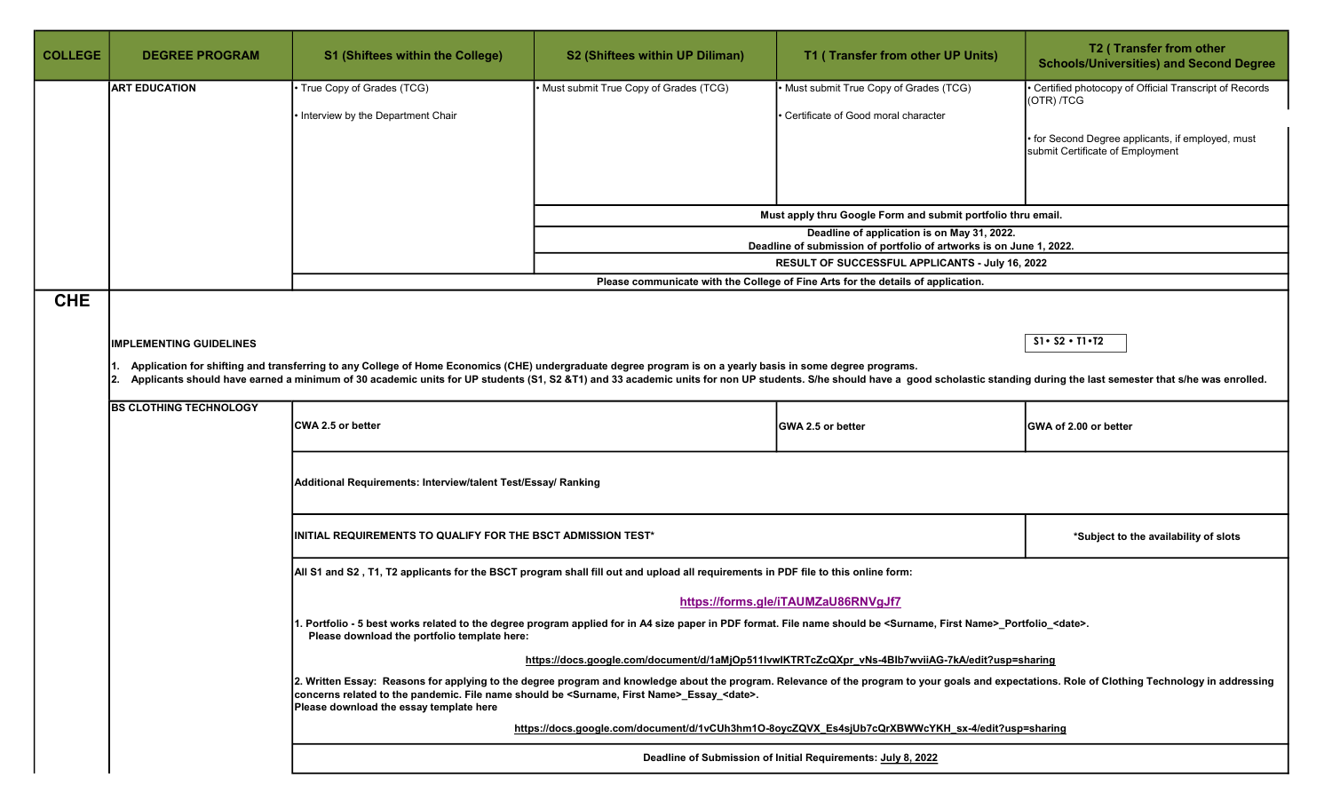| <b>COLLEGE</b> | <b>DEGREE PROGRAM</b>          | <b>S1 (Shiftees within the College)</b>                                                                                                                       | S2 (Shiftees within UP Diliman)                                                                                                                             | T1 (Transfer from other UP Units)                                                                                                                                                                                              | T2 (Transfer from other<br><b>Schools/Universities) and Second Degree</b>                                                                                                                        |
|----------------|--------------------------------|---------------------------------------------------------------------------------------------------------------------------------------------------------------|-------------------------------------------------------------------------------------------------------------------------------------------------------------|--------------------------------------------------------------------------------------------------------------------------------------------------------------------------------------------------------------------------------|--------------------------------------------------------------------------------------------------------------------------------------------------------------------------------------------------|
|                | <b>ART EDUCATION</b>           | True Copy of Grades (TCG)                                                                                                                                     | • Must submit True Copy of Grades (TCG)                                                                                                                     | • Must submit True Copy of Grades (TCG)                                                                                                                                                                                        | • Certified photocopy of Official Transcript of Records<br>(OTR) /TCG                                                                                                                            |
|                |                                | Interview by the Department Chair                                                                                                                             |                                                                                                                                                             | Certificate of Good moral character                                                                                                                                                                                            |                                                                                                                                                                                                  |
|                |                                |                                                                                                                                                               |                                                                                                                                                             |                                                                                                                                                                                                                                | • for Second Degree applicants, if employed, must<br>submit Certificate of Employment                                                                                                            |
|                |                                |                                                                                                                                                               |                                                                                                                                                             |                                                                                                                                                                                                                                |                                                                                                                                                                                                  |
|                |                                |                                                                                                                                                               |                                                                                                                                                             | Must apply thru Google Form and submit portfolio thru email.                                                                                                                                                                   |                                                                                                                                                                                                  |
|                |                                |                                                                                                                                                               |                                                                                                                                                             | Deadline of application is on May 31, 2022.<br>Deadline of submission of portfolio of artworks is on June 1, 2022.                                                                                                             |                                                                                                                                                                                                  |
|                |                                |                                                                                                                                                               |                                                                                                                                                             | RESULT OF SUCCESSFUL APPLICANTS - July 16, 2022                                                                                                                                                                                |                                                                                                                                                                                                  |
|                |                                |                                                                                                                                                               |                                                                                                                                                             | Please communicate with the College of Fine Arts for the details of application.                                                                                                                                               |                                                                                                                                                                                                  |
| <b>CHE</b>     |                                |                                                                                                                                                               |                                                                                                                                                             |                                                                                                                                                                                                                                |                                                                                                                                                                                                  |
|                | <b>IMPLEMENTING GUIDELINES</b> |                                                                                                                                                               |                                                                                                                                                             |                                                                                                                                                                                                                                | $S1 \cdot S2 \cdot T1 \cdot T2$                                                                                                                                                                  |
|                |                                |                                                                                                                                                               | Application for shifting and transferring to any College of Home Economics (CHE) undergraduate degree program is on a yearly basis in some degree programs. |                                                                                                                                                                                                                                |                                                                                                                                                                                                  |
|                | 12.                            |                                                                                                                                                               |                                                                                                                                                             | Applicants should have earned a minimum of 30 academic units for UP students (S1, S2 &T1) and 33 academic units for non UP students. S/he should have a good scholastic standing during the last semester that s/he was enroll |                                                                                                                                                                                                  |
|                | <b>BS CLOTHING TECHNOLOGY</b>  | CWA 2.5 or better                                                                                                                                             |                                                                                                                                                             | GWA 2.5 or better                                                                                                                                                                                                              | GWA of 2.00 or better                                                                                                                                                                            |
|                |                                | Additional Requirements: Interview/talent Test/Essay/ Ranking                                                                                                 |                                                                                                                                                             |                                                                                                                                                                                                                                |                                                                                                                                                                                                  |
|                |                                | INITIAL REQUIREMENTS TO QUALIFY FOR THE BSCT ADMISSION TEST*                                                                                                  |                                                                                                                                                             |                                                                                                                                                                                                                                | *Subject to the availability of slots                                                                                                                                                            |
|                |                                |                                                                                                                                                               | All S1 and S2, T1, T2 applicants for the BSCT program shall fill out and upload all requirements in PDF file to this online form:                           |                                                                                                                                                                                                                                |                                                                                                                                                                                                  |
|                |                                |                                                                                                                                                               |                                                                                                                                                             | https://forms.gle/iTAUMZaU86RNVgJf7                                                                                                                                                                                            |                                                                                                                                                                                                  |
|                |                                | Please download the portfolio template here:                                                                                                                  |                                                                                                                                                             | 1. Portfolio - 5 best works related to the degree program applied for in A4 size paper in PDF format. File name should be <surname, first="" name="">_Portfolio_<date>.</date></surname,>                                      |                                                                                                                                                                                                  |
|                |                                |                                                                                                                                                               |                                                                                                                                                             | https://docs.google.com/document/d/1aMjOp511IvwlKTRTcZcQXpr_vNs-4Blb7wviiAG-7kA/edit?usp=sharing                                                                                                                               |                                                                                                                                                                                                  |
|                |                                | concerns related to the pandemic. File name should be <surname, first="" name="">_Essay_<date>.<br/>Please download the essay template here</date></surname,> |                                                                                                                                                             |                                                                                                                                                                                                                                | 2. Written Essay: Reasons for applying to the degree program and knowledge about the program. Relevance of the program to your goals and expectations. Role of Clothing Technology in addressing |
|                |                                |                                                                                                                                                               |                                                                                                                                                             | https://docs.google.com/document/d/1vCUh3hm1O-8oycZQVX_Es4sjUb7cQrXBWWcYKH_sx-4/edit?usp=sharing                                                                                                                               |                                                                                                                                                                                                  |
|                |                                |                                                                                                                                                               |                                                                                                                                                             | Deadline of Submission of Initial Requirements: July 8, 2022                                                                                                                                                                   |                                                                                                                                                                                                  |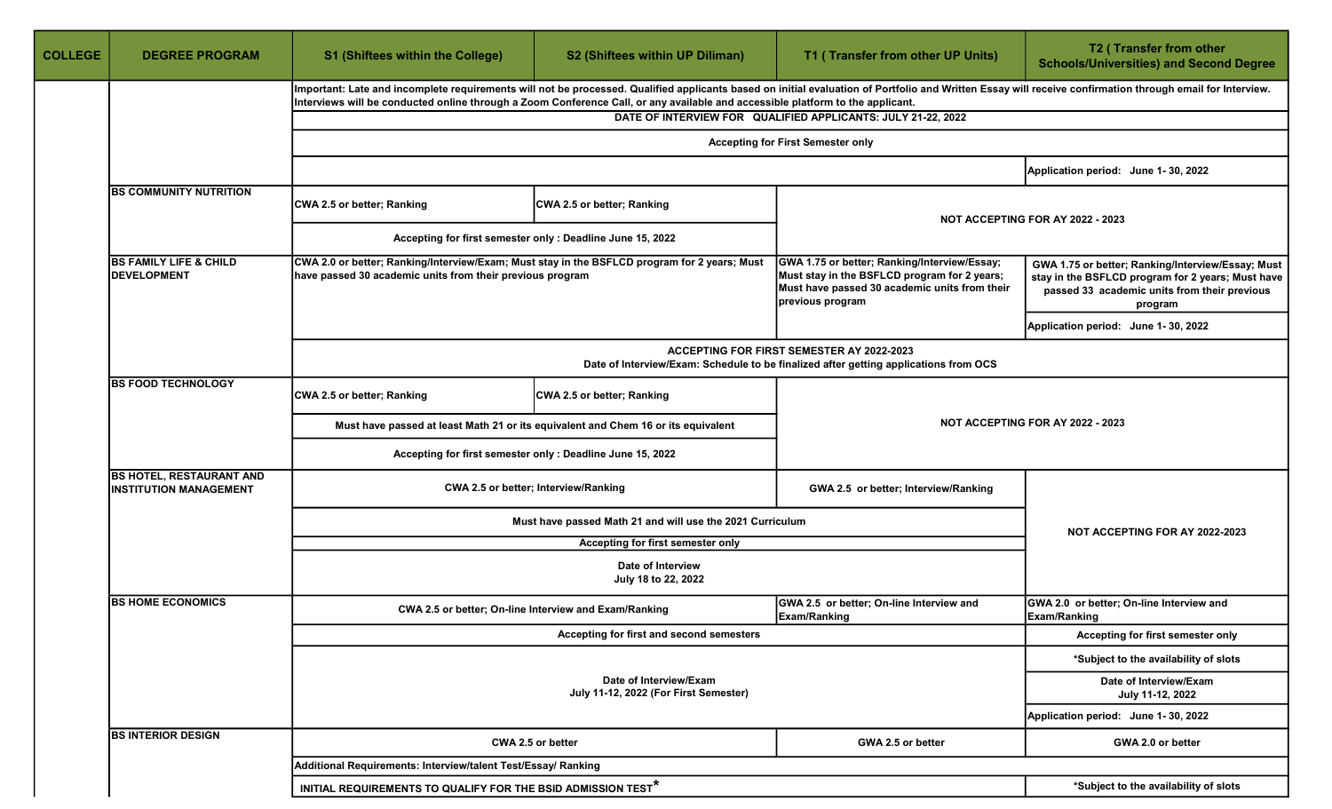| <b>COLLEGE</b><br><b>DEGREE PROGRAM</b>                          |  | <b>S1 (Shiftees within the College)</b>                                           | S2 (Shiftees within UP Diliman)                                                                                                                                                                                                                                                                                                             | T1 (Transfer from other UP Units)                               | T2 (Transfer from other<br><b>Schools/Universities) and Second Degree</b>                                                                                         |  |  |  |
|------------------------------------------------------------------|--|-----------------------------------------------------------------------------------|---------------------------------------------------------------------------------------------------------------------------------------------------------------------------------------------------------------------------------------------------------------------------------------------------------------------------------------------|-----------------------------------------------------------------|-------------------------------------------------------------------------------------------------------------------------------------------------------------------|--|--|--|
|                                                                  |  |                                                                                   | Important: Late and incomplete requirements will not be processed. Qualified applicants based on initial evaluation of Portfolio and Written Essay will receive confirmation through email for Interview.<br>Interviews will be conducted online through a Zoom Conference Call, or any available and accessible platform to the applicant. |                                                                 |                                                                                                                                                                   |  |  |  |
|                                                                  |  |                                                                                   |                                                                                                                                                                                                                                                                                                                                             | DATE OF INTERVIEW FOR QUALIFIED APPLICANTS: JULY 21-22, 2022    |                                                                                                                                                                   |  |  |  |
|                                                                  |  |                                                                                   |                                                                                                                                                                                                                                                                                                                                             | <b>Accepting for First Semester only</b>                        |                                                                                                                                                                   |  |  |  |
|                                                                  |  |                                                                                   |                                                                                                                                                                                                                                                                                                                                             |                                                                 | Application period: June 1-30, 2022                                                                                                                               |  |  |  |
| <b>BS COMMUNITY NUTRITION</b>                                    |  | CWA 2.5 or better; Ranking                                                        | CWA 2.5 or better; Ranking                                                                                                                                                                                                                                                                                                                  |                                                                 | NOT ACCEPTING FOR AY 2022 - 2023                                                                                                                                  |  |  |  |
|                                                                  |  |                                                                                   | Accepting for first semester only : Deadline June 15, 2022                                                                                                                                                                                                                                                                                  |                                                                 |                                                                                                                                                                   |  |  |  |
| <b>BS FAMILY LIFE &amp; CHILD</b><br><b>DEVELOPMENT</b>          |  | have passed 30 academic units from their previous program                         | CWA 2.0 or better; Ranking/Interview/Exam; Must stay in the BSFLCD program for 2 years; Must<br>GWA 1.75 or better; Ranking/Interview/Essay;<br>Must stay in the BSFLCD program for 2 years;<br>Must have passed 30 academic units from their<br>previous program                                                                           |                                                                 | GWA 1.75 or better; Ranking/Interview/Essay; Must<br>stay in the BSFLCD program for 2 years; Must have<br>passed 33 academic units from their previous<br>program |  |  |  |
|                                                                  |  |                                                                                   |                                                                                                                                                                                                                                                                                                                                             |                                                                 | Application period: June 1-30, 2022                                                                                                                               |  |  |  |
|                                                                  |  |                                                                                   | <b>ACCEPTING FOR FIRST SEMESTER AY 2022-2023</b><br>Date of Interview/Exam: Schedule to be finalized after getting applications from OCS                                                                                                                                                                                                    |                                                                 |                                                                                                                                                                   |  |  |  |
| <b>BS FOOD TECHNOLOGY</b>                                        |  | CWA 2.5 or better; Ranking                                                        | CWA 2.5 or better; Ranking                                                                                                                                                                                                                                                                                                                  |                                                                 |                                                                                                                                                                   |  |  |  |
|                                                                  |  | Must have passed at least Math 21 or its equivalent and Chem 16 or its equivalent |                                                                                                                                                                                                                                                                                                                                             |                                                                 | NOT ACCEPTING FOR AY 2022 - 2023                                                                                                                                  |  |  |  |
|                                                                  |  |                                                                                   | Accepting for first semester only : Deadline June 15, 2022                                                                                                                                                                                                                                                                                  |                                                                 |                                                                                                                                                                   |  |  |  |
| <b>BS HOTEL, RESTAURANT AND</b><br><b>INSTITUTION MANAGEMENT</b> |  | CWA 2.5 or better; Interview/Ranking                                              |                                                                                                                                                                                                                                                                                                                                             | GWA 2.5 or better; Interview/Ranking                            |                                                                                                                                                                   |  |  |  |
|                                                                  |  | Must have passed Math 21 and will use the 2021 Curriculum                         |                                                                                                                                                                                                                                                                                                                                             |                                                                 | NOT ACCEPTING FOR AY 2022-2023                                                                                                                                    |  |  |  |
|                                                                  |  | Accepting for first semester only                                                 |                                                                                                                                                                                                                                                                                                                                             |                                                                 |                                                                                                                                                                   |  |  |  |
|                                                                  |  | Date of Interview<br>July 18 to 22, 2022                                          |                                                                                                                                                                                                                                                                                                                                             |                                                                 |                                                                                                                                                                   |  |  |  |
| <b>BS HOME ECONOMICS</b>                                         |  |                                                                                   | CWA 2.5 or better; On-line Interview and Exam/Ranking                                                                                                                                                                                                                                                                                       | GWA 2.5 or better; On-line Interview and<br><b>Exam/Ranking</b> | GWA 2.0 or better; On-line Interview and<br>Exam/Ranking                                                                                                          |  |  |  |
|                                                                  |  |                                                                                   | Accepting for first and second semesters                                                                                                                                                                                                                                                                                                    |                                                                 | Accepting for first semester only                                                                                                                                 |  |  |  |
|                                                                  |  |                                                                                   |                                                                                                                                                                                                                                                                                                                                             |                                                                 | *Subject to the availability of slots                                                                                                                             |  |  |  |
|                                                                  |  |                                                                                   | Date of Interview/Exam<br>July 11-12, 2022 (For First Semester)                                                                                                                                                                                                                                                                             |                                                                 | Date of Interview/Exam<br>July 11-12, 2022                                                                                                                        |  |  |  |
|                                                                  |  |                                                                                   |                                                                                                                                                                                                                                                                                                                                             |                                                                 | Application period: June 1-30, 2022                                                                                                                               |  |  |  |
| <b>BS INTERIOR DESIGN</b>                                        |  |                                                                                   | CWA 2.5 or better                                                                                                                                                                                                                                                                                                                           | GWA 2.5 or better                                               | GWA 2.0 or better                                                                                                                                                 |  |  |  |
|                                                                  |  | Additional Requirements: Interview/talent Test/Essay/ Ranking                     |                                                                                                                                                                                                                                                                                                                                             |                                                                 |                                                                                                                                                                   |  |  |  |
|                                                                  |  | INITIAL REQUIREMENTS TO QUALIFY FOR THE BSID ADMISSION TEST $^\star$              |                                                                                                                                                                                                                                                                                                                                             |                                                                 | *Subject to the availability of slots                                                                                                                             |  |  |  |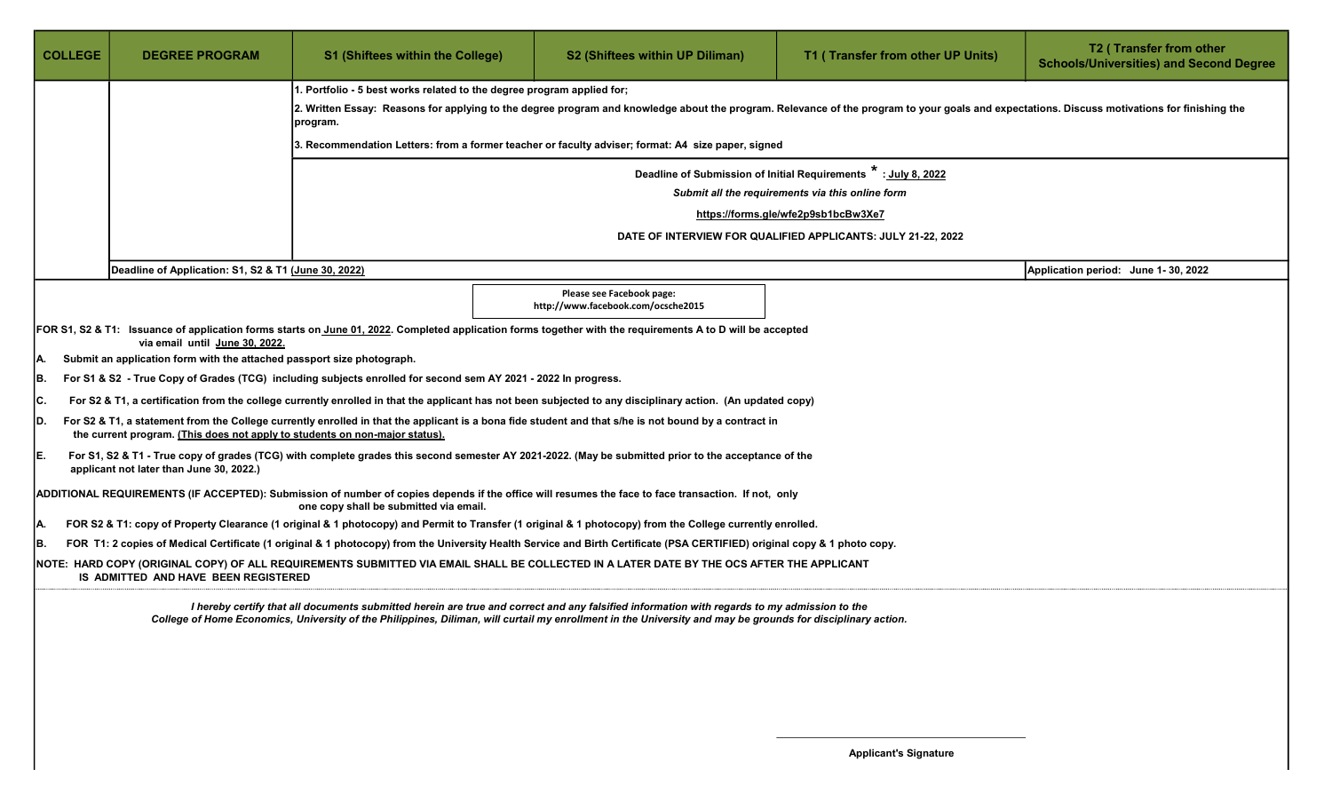| <b>COLLEGE</b> | <b>DEGREE PROGRAM</b>                                                                                                                                                                                                                                                                                      | <b>S1 (Shiftees within the College)</b>                                                                        | <b>S2 (Shiftees within UP Diliman)</b>                                                                                                                                    | T1 (Transfer from other UP Units)                            | T2 (Transfer from other<br><b>Schools/Universities) and Second Degree</b> |  |  |  |
|----------------|------------------------------------------------------------------------------------------------------------------------------------------------------------------------------------------------------------------------------------------------------------------------------------------------------------|----------------------------------------------------------------------------------------------------------------|---------------------------------------------------------------------------------------------------------------------------------------------------------------------------|--------------------------------------------------------------|---------------------------------------------------------------------------|--|--|--|
|                |                                                                                                                                                                                                                                                                                                            | 1. Portfolio - 5 best works related to the degree program applied for;                                         |                                                                                                                                                                           |                                                              |                                                                           |  |  |  |
|                | 2. Written Essay: Reasons for applying to the degree program and knowledge about the program. Relevance of the program to your goals and expectations. Discuss motivations for finishing the<br>program.                                                                                                   |                                                                                                                |                                                                                                                                                                           |                                                              |                                                                           |  |  |  |
|                |                                                                                                                                                                                                                                                                                                            | 3. Recommendation Letters: from a former teacher or faculty adviser; format: A4 size paper, signed             |                                                                                                                                                                           |                                                              |                                                                           |  |  |  |
|                |                                                                                                                                                                                                                                                                                                            | Deadline of Submission of Initial Requirements *: July 8, 2022                                                 |                                                                                                                                                                           |                                                              |                                                                           |  |  |  |
|                |                                                                                                                                                                                                                                                                                                            |                                                                                                                |                                                                                                                                                                           | Submit all the requirements via this online form             |                                                                           |  |  |  |
|                |                                                                                                                                                                                                                                                                                                            |                                                                                                                |                                                                                                                                                                           | https://forms.gle/wfe2p9sb1bcBw3Xe7                          |                                                                           |  |  |  |
|                |                                                                                                                                                                                                                                                                                                            |                                                                                                                |                                                                                                                                                                           | DATE OF INTERVIEW FOR QUALIFIED APPLICANTS: JULY 21-22, 2022 |                                                                           |  |  |  |
|                | Deadline of Application: S1, S2 & T1 (June 30, 2022)                                                                                                                                                                                                                                                       |                                                                                                                |                                                                                                                                                                           |                                                              | Application period: June 1-30, 2022                                       |  |  |  |
|                |                                                                                                                                                                                                                                                                                                            |                                                                                                                | Please see Facebook page:<br>http://www.facebook.com/ocsche2015                                                                                                           |                                                              |                                                                           |  |  |  |
|                | via email until June 30, 2022.                                                                                                                                                                                                                                                                             |                                                                                                                | FOR S1, S2 & T1: Issuance of application forms starts on June 01, 2022. Completed application forms together with the requirements A to D will be accepted                |                                                              |                                                                           |  |  |  |
| IA.            | Submit an application form with the attached passport size photograph.                                                                                                                                                                                                                                     |                                                                                                                |                                                                                                                                                                           |                                                              |                                                                           |  |  |  |
| IB.            |                                                                                                                                                                                                                                                                                                            | For S1 & S2 - True Copy of Grades (TCG) including subjects enrolled for second sem AY 2021 - 2022 In progress. |                                                                                                                                                                           |                                                              |                                                                           |  |  |  |
| IC.            |                                                                                                                                                                                                                                                                                                            |                                                                                                                | For S2 & T1, a certification from the college currently enrolled in that the applicant has not been subjected to any disciplinary action. (An updated copy)               |                                                              |                                                                           |  |  |  |
| ID.            | the current program. (This does not apply to students on non-major status).                                                                                                                                                                                                                                |                                                                                                                | For S2 & T1, a statement from the College currently enrolled in that the applicant is a bona fide student and that s/he is not bound by a contract in                     |                                                              |                                                                           |  |  |  |
| IE.            | applicant not later than June 30, 2022.)                                                                                                                                                                                                                                                                   |                                                                                                                | For S1, S2 & T1 - True copy of grades (TCG) with complete grades this second semester AY 2021-2022. (May be submitted prior to the acceptance of the                      |                                                              |                                                                           |  |  |  |
|                |                                                                                                                                                                                                                                                                                                            | one copy shall be submitted via email.                                                                         | ADDITIONAL REQUIREMENTS (IF ACCEPTED): Submission of number of copies depends if the office will resumes the face to face transaction. If not, only                       |                                                              |                                                                           |  |  |  |
| IA.            |                                                                                                                                                                                                                                                                                                            |                                                                                                                | FOR S2 & T1: copy of Property Clearance (1 original & 1 photocopy) and Permit to Transfer (1 original & 1 photocopy) from the College currently enrolled.                 |                                                              |                                                                           |  |  |  |
| B.             |                                                                                                                                                                                                                                                                                                            |                                                                                                                | FOR T1: 2 copies of Medical Certificate (1 original & 1 photocopy) from the University Health Service and Birth Certificate (PSA CERTIFIED) original copy & 1 photo copy. |                                                              |                                                                           |  |  |  |
|                | IS ADMITTED AND HAVE BEEN REGISTERED                                                                                                                                                                                                                                                                       |                                                                                                                | NOTE: HARD COPY (ORIGINAL COPY) OF ALL REQUIREMENTS SUBMITTED VIA EMAIL SHALL BE COLLECTED IN A LATER DATE BY THE OCS AFTER THE APPLICANT                                 |                                                              |                                                                           |  |  |  |
|                | I hereby certify that all documents submitted herein are true and correct and any falsified information with regards to my admission to the<br>College of Home Economics, University of the Philippines, Diliman, will curtail my enrollment in the University and may be grounds for disciplinary action. |                                                                                                                |                                                                                                                                                                           |                                                              |                                                                           |  |  |  |
|                |                                                                                                                                                                                                                                                                                                            |                                                                                                                |                                                                                                                                                                           |                                                              |                                                                           |  |  |  |
|                |                                                                                                                                                                                                                                                                                                            |                                                                                                                |                                                                                                                                                                           |                                                              |                                                                           |  |  |  |
|                |                                                                                                                                                                                                                                                                                                            |                                                                                                                |                                                                                                                                                                           |                                                              |                                                                           |  |  |  |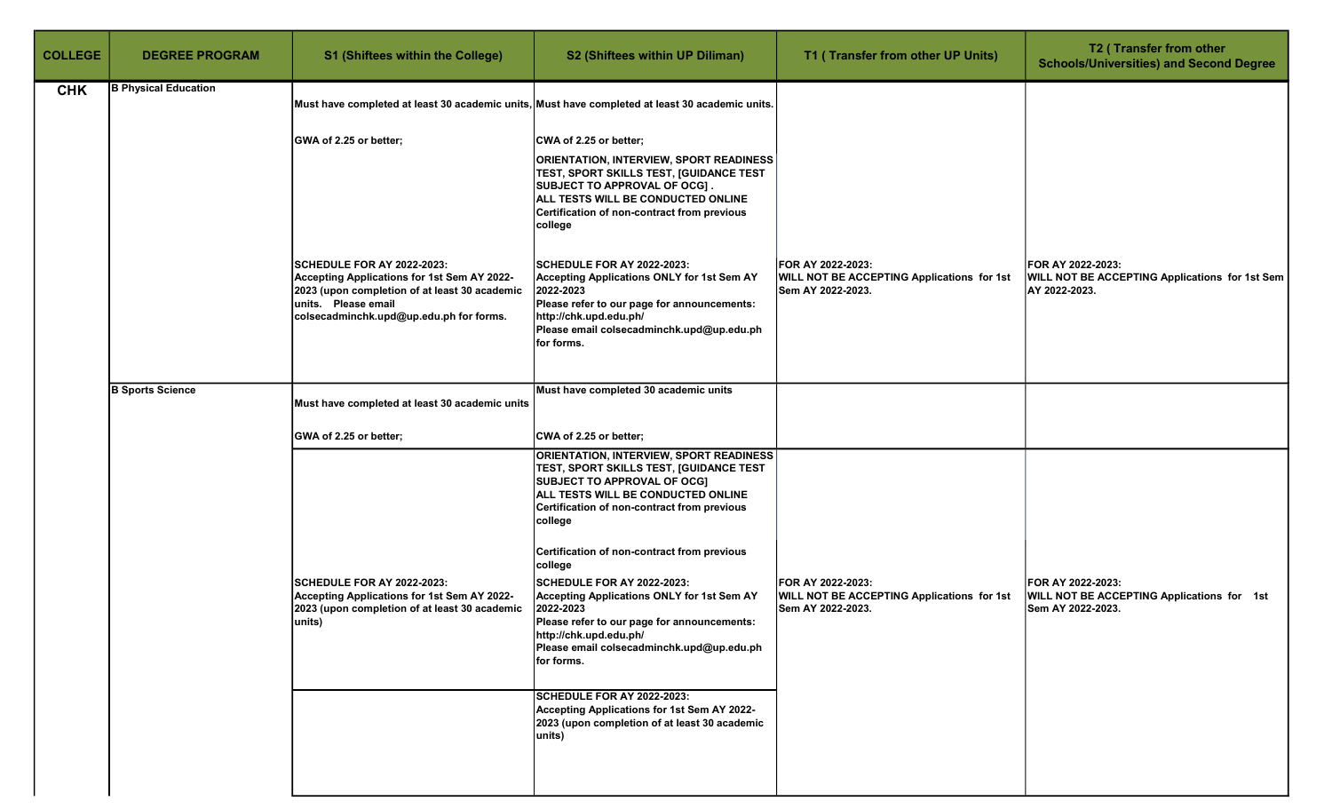| <b>COLLEGE</b> | <b>DEGREE PROGRAM</b>       | <b>S1 (Shiftees within the College)</b>                                                                                                                                                      | S2 (Shiftees within UP Diliman)                                                                                                                                                                                                                                                                                                                                                                                                                                                                                                             | T1 (Transfer from other UP Units)                                                    | T2 (Transfer from other<br><b>Schools/Universities) and Second Degree</b>                   |
|----------------|-----------------------------|----------------------------------------------------------------------------------------------------------------------------------------------------------------------------------------------|---------------------------------------------------------------------------------------------------------------------------------------------------------------------------------------------------------------------------------------------------------------------------------------------------------------------------------------------------------------------------------------------------------------------------------------------------------------------------------------------------------------------------------------------|--------------------------------------------------------------------------------------|---------------------------------------------------------------------------------------------|
| <b>CHK</b>     | <b>B Physical Education</b> | Must have completed at least 30 academic units, Must have completed at least 30 academic units.                                                                                              |                                                                                                                                                                                                                                                                                                                                                                                                                                                                                                                                             |                                                                                      |                                                                                             |
|                |                             | GWA of 2.25 or better;                                                                                                                                                                       | CWA of 2.25 or better;<br><b>ORIENTATION, INTERVIEW, SPORT READINESS</b><br>TEST, SPORT SKILLS TEST, [GUIDANCE TEST<br>SUBJECT TO APPROVAL OF OCG].<br>ALL TESTS WILL BE CONDUCTED ONLINE<br>Certification of non-contract from previous<br>college                                                                                                                                                                                                                                                                                         |                                                                                      |                                                                                             |
|                |                             | SCHEDULE FOR AY 2022-2023:<br>Accepting Applications for 1st Sem AY 2022-<br>2023 (upon completion of at least 30 academic<br>units. Please email<br>colsecadminchk.upd@up.edu.ph for forms. | <b>SCHEDULE FOR AY 2022-2023:</b><br><b>Accepting Applications ONLY for 1st Sem AY</b><br>2022-2023<br>Please refer to our page for announcements:<br>http://chk.upd.edu.ph/<br>Please email colsecadminchk.upd@up.edu.ph<br>for forms.                                                                                                                                                                                                                                                                                                     | FOR AY 2022-2023:<br>WILL NOT BE ACCEPTING Applications for 1st<br>Sem AY 2022-2023. | FOR AY 2022-2023:<br><b>WILL NOT BE ACCEPTING Applications for 1st Sem</b><br>AY 2022-2023. |
|                | <b>B Sports Science</b>     | Must have completed at least 30 academic units                                                                                                                                               | Must have completed 30 academic units                                                                                                                                                                                                                                                                                                                                                                                                                                                                                                       |                                                                                      |                                                                                             |
|                |                             | GWA of 2.25 or better;                                                                                                                                                                       | CWA of 2.25 or better;                                                                                                                                                                                                                                                                                                                                                                                                                                                                                                                      |                                                                                      |                                                                                             |
|                |                             | SCHEDULE FOR AY 2022-2023:<br>Accepting Applications for 1st Sem AY 2022-<br>2023 (upon completion of at least 30 academic<br>units)                                                         | <b>ORIENTATION, INTERVIEW, SPORT READINESS</b><br><b>TEST, SPORT SKILLS TEST, [GUIDANCE TEST</b><br><b>SUBJECT TO APPROVAL OF OCG]</b><br>ALL TESTS WILL BE CONDUCTED ONLINE<br>Certification of non-contract from previous<br>college<br>Certification of non-contract from previous<br>college<br><b>SCHEDULE FOR AY 2022-2023:</b><br><b>Accepting Applications ONLY for 1st Sem AY</b><br>2022-2023<br>Please refer to our page for announcements:<br>http://chk.upd.edu.ph/<br>Please email colsecadminchk.upd@up.edu.ph<br>for forms. | FOR AY 2022-2023:<br>WILL NOT BE ACCEPTING Applications for 1st<br>Sem AY 2022-2023. | FOR AY 2022-2023:<br>WILL NOT BE ACCEPTING Applications for 1st<br>Sem AY 2022-2023.        |
|                |                             |                                                                                                                                                                                              | SCHEDULE FOR AY 2022-2023:<br>Accepting Applications for 1st Sem AY 2022-<br>2023 (upon completion of at least 30 academic<br>units)                                                                                                                                                                                                                                                                                                                                                                                                        |                                                                                      |                                                                                             |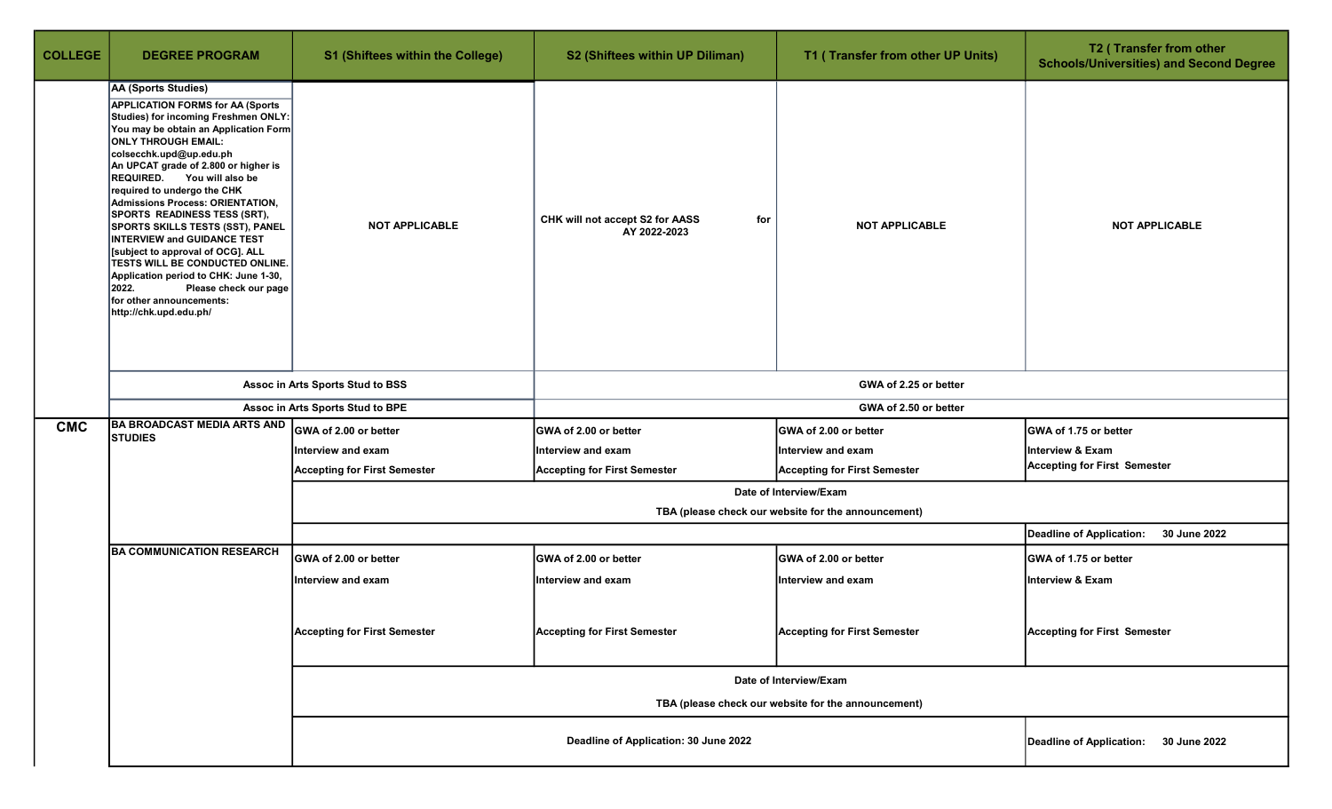| <b>COLLEGE</b> | <b>DEGREE PROGRAM</b>                                                                                                                                                                                                                                                                                                                                                                                                                                                                                                                                                                                                                                                              | S1 (Shiftees within the College)                                                  | S2 (Shiftees within UP Diliman)                                               | T1 (Transfer from other UP Units)                   | T2 (Transfer from other<br><b>Schools/Universities) and Second Degree</b> |  |  |
|----------------|------------------------------------------------------------------------------------------------------------------------------------------------------------------------------------------------------------------------------------------------------------------------------------------------------------------------------------------------------------------------------------------------------------------------------------------------------------------------------------------------------------------------------------------------------------------------------------------------------------------------------------------------------------------------------------|-----------------------------------------------------------------------------------|-------------------------------------------------------------------------------|-----------------------------------------------------|---------------------------------------------------------------------------|--|--|
|                | AA (Sports Studies)<br><b>APPLICATION FORMS for AA (Sports</b><br>Studies) for incoming Freshmen ONLY:<br>You may be obtain an Application Form<br><b>ONLY THROUGH EMAIL:</b><br>colsecchk.upd@up.edu.ph<br>An UPCAT grade of 2.800 or higher is<br>REQUIRED. You will also be<br>required to undergo the CHK<br>Admissions Process: ORIENTATION,<br>SPORTS READINESS TESS (SRT),<br><b>SPORTS SKILLS TESTS (SST), PANEL</b><br><b>INTERVIEW and GUIDANCE TEST</b><br>[subject to approval of OCG]. ALL<br><b>TESTS WILL BE CONDUCTED ONLINE.</b><br>Application period to CHK: June 1-30,<br>2022.<br>Please check our page<br>for other announcements:<br>http://chk.upd.edu.ph/ | <b>NOT APPLICABLE</b>                                                             | CHK will not accept S2 for AASS<br>for<br>AY 2022-2023                        | <b>NOT APPLICABLE</b>                               | <b>NOT APPLICABLE</b>                                                     |  |  |
|                |                                                                                                                                                                                                                                                                                                                                                                                                                                                                                                                                                                                                                                                                                    | Assoc in Arts Sports Stud to BSS                                                  | GWA of 2.25 or better                                                         |                                                     |                                                                           |  |  |
|                |                                                                                                                                                                                                                                                                                                                                                                                                                                                                                                                                                                                                                                                                                    | Assoc in Arts Sports Stud to BPE                                                  | GWA of 2.50 or better                                                         |                                                     |                                                                           |  |  |
| <b>CMC</b>     | <b>BA BROADCAST MEDIA ARTS AND</b><br><b>STUDIES</b>                                                                                                                                                                                                                                                                                                                                                                                                                                                                                                                                                                                                                               | GWA of 2.00 or better                                                             | GWA of 2.00 or better                                                         | GWA of 2.00 or better                               | GWA of 1.75 or better                                                     |  |  |
|                |                                                                                                                                                                                                                                                                                                                                                                                                                                                                                                                                                                                                                                                                                    | Interview and exam                                                                | Interview and exam                                                            | Interview and exam                                  | <b>Interview &amp; Exam</b>                                               |  |  |
|                |                                                                                                                                                                                                                                                                                                                                                                                                                                                                                                                                                                                                                                                                                    | <b>Accepting for First Semester</b>                                               | <b>Accepting for First Semester</b>                                           | <b>Accepting for First Semester</b>                 | <b>Accepting for First Semester</b>                                       |  |  |
|                |                                                                                                                                                                                                                                                                                                                                                                                                                                                                                                                                                                                                                                                                                    |                                                                                   | Date of Interview/Exam<br>TBA (please check our website for the announcement) |                                                     |                                                                           |  |  |
|                |                                                                                                                                                                                                                                                                                                                                                                                                                                                                                                                                                                                                                                                                                    |                                                                                   |                                                                               |                                                     | Deadline of Application:<br>30 June 2022                                  |  |  |
|                | <b>BA COMMUNICATION RESEARCH</b>                                                                                                                                                                                                                                                                                                                                                                                                                                                                                                                                                                                                                                                   | GWA of 2.00 or better                                                             | <b>GWA of 2.00 or better</b>                                                  | GWA of 2.00 or better                               | <b>GWA of 1.75 or better</b>                                              |  |  |
|                |                                                                                                                                                                                                                                                                                                                                                                                                                                                                                                                                                                                                                                                                                    | Interview and exam                                                                | Interview and exam                                                            | <b>Interview and exam</b>                           | Interview & Exam                                                          |  |  |
|                |                                                                                                                                                                                                                                                                                                                                                                                                                                                                                                                                                                                                                                                                                    | <b>Accepting for First Semester</b>                                               | <b>Accepting for First Semester</b>                                           | <b>Accepting for First Semester</b>                 | <b>Accepting for First Semester</b>                                       |  |  |
|                |                                                                                                                                                                                                                                                                                                                                                                                                                                                                                                                                                                                                                                                                                    |                                                                                   |                                                                               | Date of Interview/Exam                              |                                                                           |  |  |
|                |                                                                                                                                                                                                                                                                                                                                                                                                                                                                                                                                                                                                                                                                                    |                                                                                   |                                                                               | TBA (please check our website for the announcement) |                                                                           |  |  |
|                |                                                                                                                                                                                                                                                                                                                                                                                                                                                                                                                                                                                                                                                                                    | Deadline of Application: 30 June 2022<br>Deadline of Application:<br>30 June 2022 |                                                                               |                                                     |                                                                           |  |  |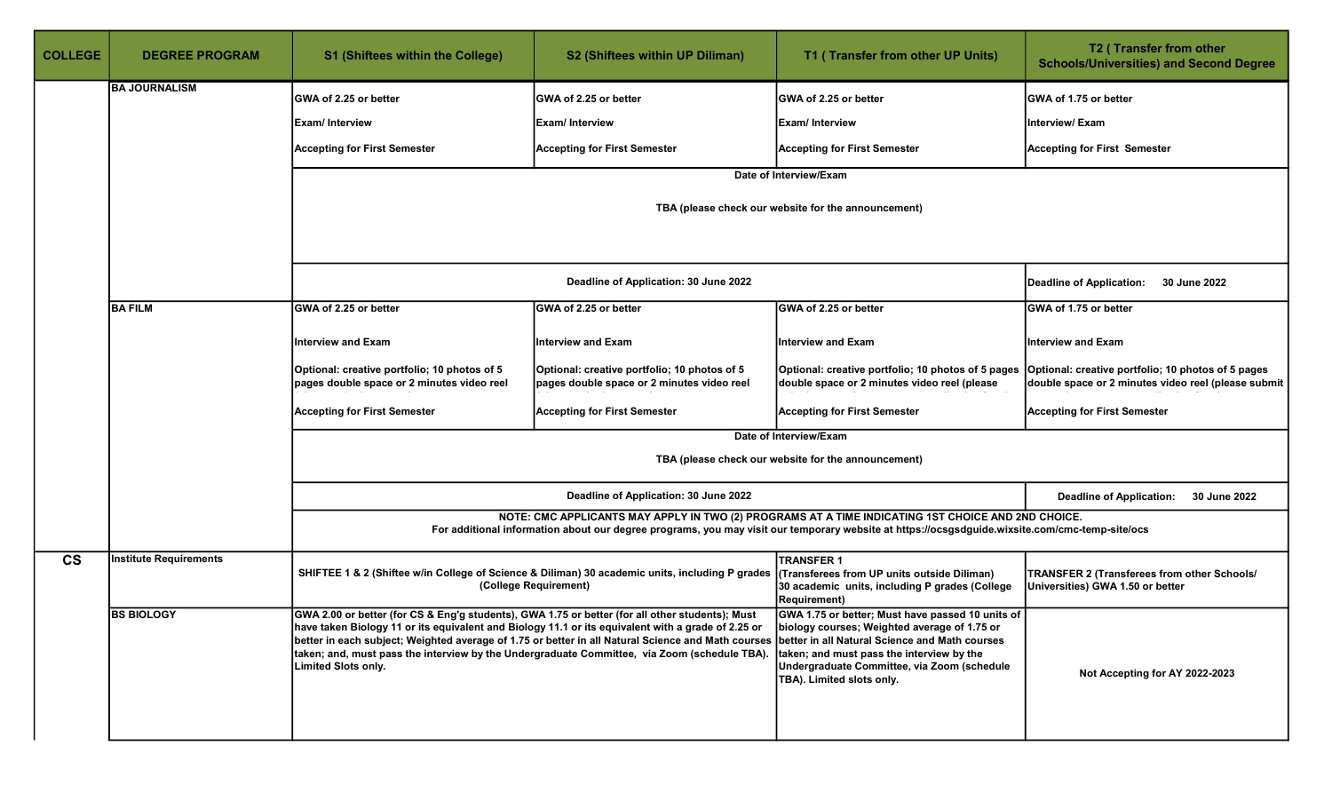| <b>COLLEGE</b> | <b>DEGREE PROGRAM</b>  | <b>S1 (Shiftees within the College)</b>                                                                                | S2 (Shiftees within UP Diliman)                                                                                                                                                                                                                                                                                                                                                                                                                 | T1 (Transfer from other UP Units)                                                                                                                                                                                                                    | T2 (Transfer from other<br><b>Schools/Universities) and Second Degree</b>                                 |
|----------------|------------------------|------------------------------------------------------------------------------------------------------------------------|-------------------------------------------------------------------------------------------------------------------------------------------------------------------------------------------------------------------------------------------------------------------------------------------------------------------------------------------------------------------------------------------------------------------------------------------------|------------------------------------------------------------------------------------------------------------------------------------------------------------------------------------------------------------------------------------------------------|-----------------------------------------------------------------------------------------------------------|
|                | <b>BA JOURNALISM</b>   | GWA of 2.25 or better                                                                                                  | GWA of 2.25 or better                                                                                                                                                                                                                                                                                                                                                                                                                           | GWA of 2.25 or better                                                                                                                                                                                                                                | GWA of 1.75 or better                                                                                     |
|                |                        | <b>Exam/Interview</b>                                                                                                  | Exam/ Interview                                                                                                                                                                                                                                                                                                                                                                                                                                 | <b>Exam/Interview</b>                                                                                                                                                                                                                                | Interview/ Exam                                                                                           |
|                |                        | <b>Accepting for First Semester</b>                                                                                    | <b>Accepting for First Semester</b>                                                                                                                                                                                                                                                                                                                                                                                                             | <b>Accepting for First Semester</b>                                                                                                                                                                                                                  | <b>Accepting for First Semester</b>                                                                       |
|                |                        |                                                                                                                        |                                                                                                                                                                                                                                                                                                                                                                                                                                                 | Date of Interview/Exam                                                                                                                                                                                                                               |                                                                                                           |
|                |                        |                                                                                                                        | TBA (please check our website for the announcement)                                                                                                                                                                                                                                                                                                                                                                                             |                                                                                                                                                                                                                                                      |                                                                                                           |
|                |                        |                                                                                                                        | Deadline of Application: 30 June 2022                                                                                                                                                                                                                                                                                                                                                                                                           |                                                                                                                                                                                                                                                      | <b>Deadline of Application:</b><br>30 June 2022                                                           |
|                | <b>BA FILM</b>         | GWA of 2.25 or better                                                                                                  | GWA of 2.25 or better                                                                                                                                                                                                                                                                                                                                                                                                                           | GWA of 2.25 or better                                                                                                                                                                                                                                | GWA of 1.75 or better                                                                                     |
|                |                        | <b>Interview and Exam</b>                                                                                              | <b>Interview and Exam</b>                                                                                                                                                                                                                                                                                                                                                                                                                       | <b>Interview and Exam</b>                                                                                                                                                                                                                            | <b>Interview and Exam</b>                                                                                 |
|                |                        | Optional: creative portfolio; 10 photos of 5<br>pages double space or 2 minutes video reel                             | Optional: creative portfolio; 10 photos of 5<br>pages double space or 2 minutes video reel                                                                                                                                                                                                                                                                                                                                                      | Optional: creative portfolio; 10 photos of 5 pages<br>double space or 2 minutes video reel (please                                                                                                                                                   | Optional: creative portfolio; 10 photos of 5 pages<br>double space or 2 minutes video reel (please submit |
|                |                        | <b>Accepting for First Semester</b>                                                                                    | <b>Accepting for First Semester</b>                                                                                                                                                                                                                                                                                                                                                                                                             | <b>Accepting for First Semester</b>                                                                                                                                                                                                                  | <b>Accepting for First Semester</b>                                                                       |
|                |                        |                                                                                                                        |                                                                                                                                                                                                                                                                                                                                                                                                                                                 | Date of Interview/Exam<br>TBA (please check our website for the announcement)                                                                                                                                                                        |                                                                                                           |
|                |                        |                                                                                                                        | Deadline of Application: 30 June 2022                                                                                                                                                                                                                                                                                                                                                                                                           |                                                                                                                                                                                                                                                      | <b>Deadline of Application:</b><br>30 June 2022                                                           |
|                |                        |                                                                                                                        |                                                                                                                                                                                                                                                                                                                                                                                                                                                 | NOTE: CMC APPLICANTS MAY APPLY IN TWO (2) PROGRAMS AT A TIME INDICATING 1ST CHOICE AND 2ND CHOICE.<br>For additional information about our degree programs, you may visit our temporary website at https://ocsgsdguide.wixsite.com/cmc-temp-site/ocs |                                                                                                           |
| $\mathsf{cs}$  | Institute Requirements |                                                                                                                        | SHIFTEE 1 & 2 (Shiftee w/in College of Science & Diliman) 30 academic units, including P grades<br>(College Requirement)                                                                                                                                                                                                                                                                                                                        | <b>TRANSFER 1</b><br>(Transferees from UP units outside Diliman)<br>30 academic units, including P grades (College<br>Requirement)                                                                                                                   | TRANSFER 2 (Transferees from other Schools/<br>Universities) GWA 1.50 or better                           |
|                | <b>BS BIOLOGY</b>      | GWA 2.00 or better (for CS & Eng'g students), GWA 1.75 or better (for all other students); Must<br>Limited Slots only. | have taken Biology 11 or its equivalent and Biology 11.1 or its equivalent with a grade of 2.25 or biology courses; Weighted average of 1.75 or<br>better in each subject; Weighted average of 1.75 or better in all Natural Science and Math courses  better in all Natural Science and Math courses<br>taken; and, must pass the interview by the Undergraduate Committee, via Zoom (schedule TBA). taken; and must pass the interview by the | GWA 1.75 or better; Must have passed 10 units of<br>Undergraduate Committee, via Zoom (schedule<br>TBA). Limited slots only.                                                                                                                         | Not Accepting for AY 2022-2023                                                                            |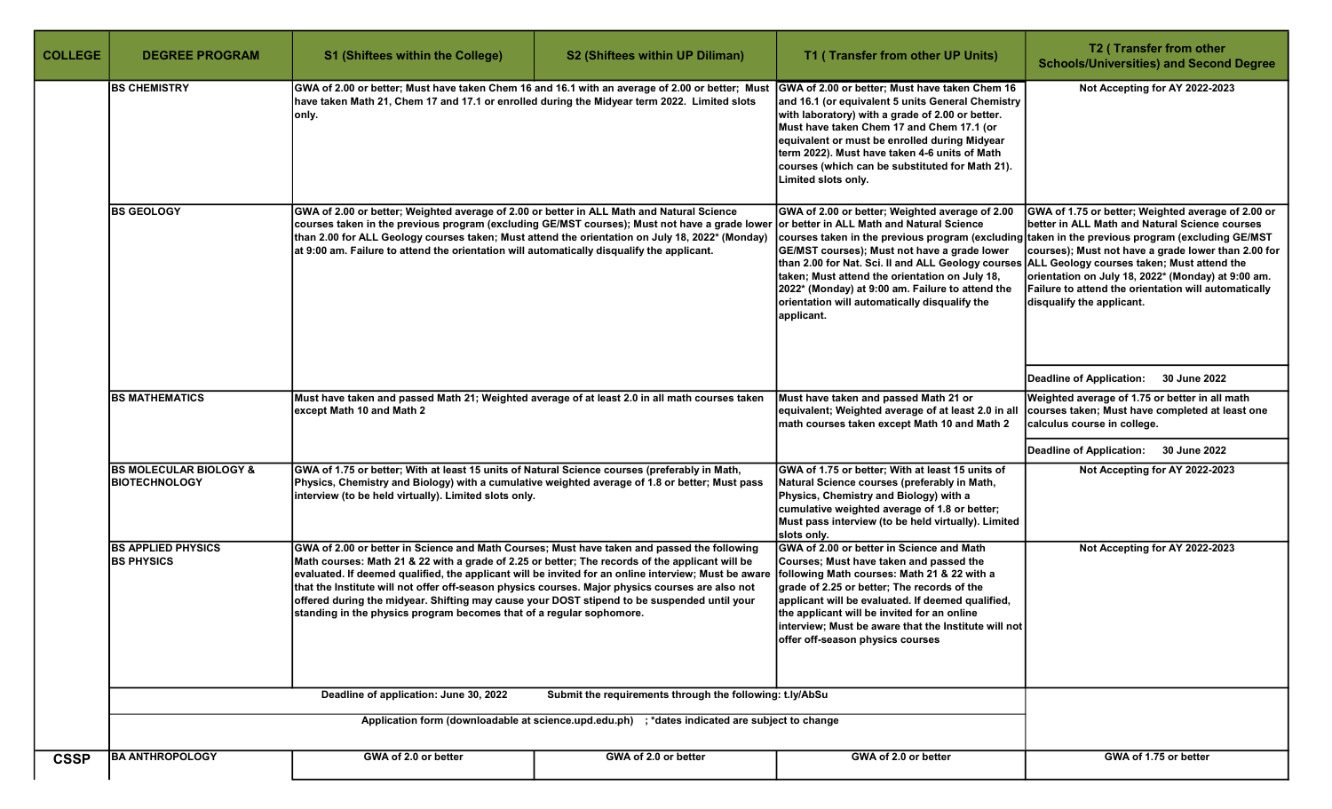| <b>COLLEGE</b> | <b>DEGREE PROGRAM</b>                                                                                                                                                                                                                                                                                                                                                                                                                                                                                                                                                                                                               | <b>S1 (Shiftees within the College)</b>                                                                                                                                                                                                                                                                                                                                                     | S2 (Shiftees within UP Diliman)                                                                                                                                                                                                                                                                                                                                                    | T1 (Transfer from other UP Units)                                                                                                                                                                                                                                                                                                                                                                                           | T2 (Transfer from other<br><b>Schools/Universities) and Second Degree</b>                                                                                                                                                                                                                                                                                                                               |
|----------------|-------------------------------------------------------------------------------------------------------------------------------------------------------------------------------------------------------------------------------------------------------------------------------------------------------------------------------------------------------------------------------------------------------------------------------------------------------------------------------------------------------------------------------------------------------------------------------------------------------------------------------------|---------------------------------------------------------------------------------------------------------------------------------------------------------------------------------------------------------------------------------------------------------------------------------------------------------------------------------------------------------------------------------------------|------------------------------------------------------------------------------------------------------------------------------------------------------------------------------------------------------------------------------------------------------------------------------------------------------------------------------------------------------------------------------------|-----------------------------------------------------------------------------------------------------------------------------------------------------------------------------------------------------------------------------------------------------------------------------------------------------------------------------------------------------------------------------------------------------------------------------|---------------------------------------------------------------------------------------------------------------------------------------------------------------------------------------------------------------------------------------------------------------------------------------------------------------------------------------------------------------------------------------------------------|
|                | <b>BS CHEMISTRY</b>                                                                                                                                                                                                                                                                                                                                                                                                                                                                                                                                                                                                                 | GWA of 2.00 or better; Must have taken Chem 16 and 16.1 with an average of 2.00 or better; Must<br>have taken Math 21, Chem 17 and 17.1 or enrolled during the Midyear term 2022. Limited slots<br> only.                                                                                                                                                                                   |                                                                                                                                                                                                                                                                                                                                                                                    | GWA of 2.00 or better; Must have taken Chem 16<br>and 16.1 (or equivalent 5 units General Chemistry<br>with laboratory) with a grade of 2.00 or better.<br>Must have taken Chem 17 and Chem 17.1 (or<br>equivalent or must be enrolled during Midyear<br>term 2022). Must have taken 4-6 units of Math<br>courses (which can be substituted for Math 21).<br>Limited slots only.                                            | Not Accepting for AY 2022-2023                                                                                                                                                                                                                                                                                                                                                                          |
|                | <b>BS GEOLOGY</b>                                                                                                                                                                                                                                                                                                                                                                                                                                                                                                                                                                                                                   | GWA of 2.00 or better; Weighted average of 2.00 or better in ALL Math and Natural Science<br>courses taken in the previous program (excluding GE/MST courses); Must not have a grade lower<br>than 2.00 for ALL Geology courses taken; Must attend the orientation on July 18, 2022* (Monday)<br>at 9:00 am. Failure to attend the orientation will automatically disqualify the applicant. |                                                                                                                                                                                                                                                                                                                                                                                    | GWA of 2.00 or better; Weighted average of 2.00<br>or better in ALL Math and Natural Science<br>courses taken in the previous program (excluding<br>GE/MST courses); Must not have a grade lower<br>than 2.00 for Nat. Sci. II and ALL Geology courses<br>taken; Must attend the orientation on July 18,<br>2022* (Monday) at 9:00 am. Failure to attend the<br>orientation will automatically disqualify the<br>applicant. | GWA of 1.75 or better; Weighted average of 2.00 or<br>better in ALL Math and Natural Science courses<br>taken in the previous program (excluding GE/MST<br>courses); Must not have a grade lower than 2.00 for<br>ALL Geology courses taken; Must attend the<br>orientation on July 18, 2022* (Monday) at 9:00 am.<br>Failure to attend the orientation will automatically<br>disqualify the applicant. |
|                |                                                                                                                                                                                                                                                                                                                                                                                                                                                                                                                                                                                                                                     |                                                                                                                                                                                                                                                                                                                                                                                             |                                                                                                                                                                                                                                                                                                                                                                                    |                                                                                                                                                                                                                                                                                                                                                                                                                             | Deadline of Application:<br><b>30 June 2022</b>                                                                                                                                                                                                                                                                                                                                                         |
|                | <b>BS MATHEMATICS</b>                                                                                                                                                                                                                                                                                                                                                                                                                                                                                                                                                                                                               | Must have taken and passed Math 21; Weighted average of at least 2.0 in all math courses taken<br>except Math 10 and Math 2                                                                                                                                                                                                                                                                 |                                                                                                                                                                                                                                                                                                                                                                                    | Must have taken and passed Math 21 or<br>equivalent; Weighted average of at least 2.0 in all<br>math courses taken except Math 10 and Math 2                                                                                                                                                                                                                                                                                | Weighted average of 1.75 or better in all math<br>courses taken; Must have completed at least one<br>calculus course in college.                                                                                                                                                                                                                                                                        |
|                |                                                                                                                                                                                                                                                                                                                                                                                                                                                                                                                                                                                                                                     |                                                                                                                                                                                                                                                                                                                                                                                             |                                                                                                                                                                                                                                                                                                                                                                                    |                                                                                                                                                                                                                                                                                                                                                                                                                             | <b>Deadline of Application:</b><br>30 June 2022                                                                                                                                                                                                                                                                                                                                                         |
|                | <b>BS MOLECULAR BIOLOGY &amp;</b><br><b>BIOTECHNOLOGY</b>                                                                                                                                                                                                                                                                                                                                                                                                                                                                                                                                                                           | GWA of 1.75 or better; With at least 15 units of Natural Science courses (preferably in Math,<br>Physics, Chemistry and Biology) with a cumulative weighted average of 1.8 or better; Must pass<br>interview (to be held virtually). Limited slots only.                                                                                                                                    |                                                                                                                                                                                                                                                                                                                                                                                    | GWA of 1.75 or better; With at least 15 units of<br>Natural Science courses (preferably in Math,<br>Physics, Chemistry and Biology) with a<br>cumulative weighted average of 1.8 or better;<br>Must pass interview (to be held virtually). Limited<br>slots only.                                                                                                                                                           | Not Accepting for AY 2022-2023                                                                                                                                                                                                                                                                                                                                                                          |
|                | <b>BS APPLIED PHYSICS</b><br>GWA of 2.00 or better in Science and Math Courses; Must have taken and passed the following<br><b>BS PHYSICS</b><br>Math courses: Math 21 & 22 with a grade of 2.25 or better; The records of the applicant will be<br>evaluated. If deemed qualified, the applicant will be invited for an online interview; Must be aware<br>that the Institute will not offer off-season physics courses. Major physics courses are also not<br>offered during the midyear. Shifting may cause your DOST stipend to be suspended until your<br>standing in the physics program becomes that of a regular sophomore. |                                                                                                                                                                                                                                                                                                                                                                                             | GWA of 2.00 or better in Science and Math<br>Courses; Must have taken and passed the<br>following Math courses: Math 21 & 22 with a<br>grade of 2.25 or better; The records of the<br>applicant will be evaluated. If deemed qualified,<br>the applicant will be invited for an online<br>interview; Must be aware that the Institute will not<br>offer off-season physics courses | Not Accepting for AY 2022-2023                                                                                                                                                                                                                                                                                                                                                                                              |                                                                                                                                                                                                                                                                                                                                                                                                         |
|                |                                                                                                                                                                                                                                                                                                                                                                                                                                                                                                                                                                                                                                     | Deadline of application: June 30, 2022                                                                                                                                                                                                                                                                                                                                                      | Submit the requirements through the following: t.ly/AbSu                                                                                                                                                                                                                                                                                                                           |                                                                                                                                                                                                                                                                                                                                                                                                                             |                                                                                                                                                                                                                                                                                                                                                                                                         |
|                |                                                                                                                                                                                                                                                                                                                                                                                                                                                                                                                                                                                                                                     | Application form (downloadable at science.upd.edu.ph) ; *dates indicated are subject to change                                                                                                                                                                                                                                                                                              |                                                                                                                                                                                                                                                                                                                                                                                    |                                                                                                                                                                                                                                                                                                                                                                                                                             |                                                                                                                                                                                                                                                                                                                                                                                                         |
| <b>CSSP</b>    | <b>BA ANTHROPOLOGY</b>                                                                                                                                                                                                                                                                                                                                                                                                                                                                                                                                                                                                              | GWA of 2.0 or better                                                                                                                                                                                                                                                                                                                                                                        | GWA of 2.0 or better                                                                                                                                                                                                                                                                                                                                                               | GWA of 2.0 or better                                                                                                                                                                                                                                                                                                                                                                                                        | GWA of 1.75 or better                                                                                                                                                                                                                                                                                                                                                                                   |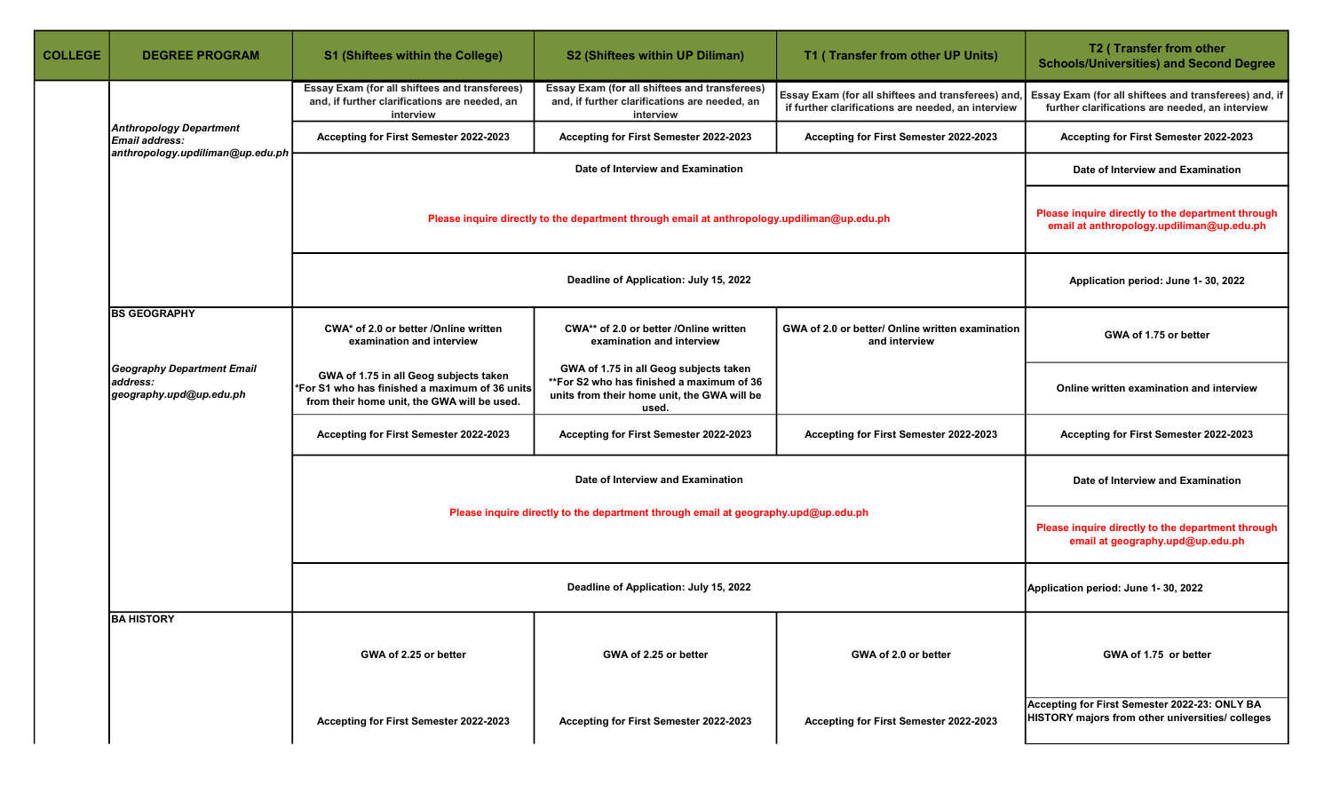| <b>COLLEGE</b> | <b>DEGREE PROGRAM</b>                                                    | <b>S1 (Shiftees within the College)</b>                                                                                                 | S2 (Shiftees within UP Diliman)                                                                                                             | T1 (Transfer from other UP Units)                                                                       | T2 (Transfer from other<br><b>Schools/Universities) and Second Degree</b>                                |
|----------------|--------------------------------------------------------------------------|-----------------------------------------------------------------------------------------------------------------------------------------|---------------------------------------------------------------------------------------------------------------------------------------------|---------------------------------------------------------------------------------------------------------|----------------------------------------------------------------------------------------------------------|
|                |                                                                          | Essay Exam (for all shiftees and transferees)<br>and, if further clarifications are needed, an<br>interview                             | Essay Exam (for all shiftees and transferees)<br>and, if further clarifications are needed, an<br>interview                                 | Essay Exam (for all shiftees and transferees) and<br>if further clarifications are needed, an interview | Essay Exam (for all shiftees and transferees) and, if<br>further clarifications are needed, an interview |
|                | <b>Anthropology Department</b><br>Email address:                         | Accepting for First Semester 2022-2023                                                                                                  | Accepting for First Semester 2022-2023                                                                                                      | Accepting for First Semester 2022-2023                                                                  | Accepting for First Semester 2022-2023                                                                   |
|                | anthropology.updiliman@up.edu.ph                                         |                                                                                                                                         | Date of Interview and Examination                                                                                                           |                                                                                                         | Date of Interview and Examination                                                                        |
|                |                                                                          | Please inquire directly to the department through email at anthropology.updiliman@up.edu.ph                                             |                                                                                                                                             |                                                                                                         | Please inquire directly to the department through<br>email at anthropology.updiliman@up.edu.ph           |
|                |                                                                          |                                                                                                                                         | Deadline of Application: July 15, 2022                                                                                                      |                                                                                                         | Application period: June 1-30, 2022                                                                      |
|                | <b>BS GEOGRAPHY</b>                                                      | CWA* of 2.0 or better /Online written<br>examination and interview                                                                      | CWA** of 2.0 or better /Online written<br>examination and interview                                                                         | GWA of 2.0 or better/ Online written examination<br>and interview                                       | GWA of 1.75 or better                                                                                    |
|                | <b>Geography Department Email</b><br>address:<br>geography.upd@up.edu.ph | GWA of 1.75 in all Geog subjects taken<br>*For S1 who has finished a maximum of 36 units<br>from their home unit, the GWA will be used. | GWA of 1.75 in all Geog subjects taken<br>**For S2 who has finished a maximum of 36<br>units from their home unit, the GWA will be<br>used. |                                                                                                         | Online written examination and interview                                                                 |
|                |                                                                          | Accepting for First Semester 2022-2023                                                                                                  | Accepting for First Semester 2022-2023                                                                                                      | Accepting for First Semester 2022-2023                                                                  | Accepting for First Semester 2022-2023                                                                   |
|                |                                                                          |                                                                                                                                         | Date of Interview and Examination                                                                                                           |                                                                                                         | Date of Interview and Examination                                                                        |
|                |                                                                          |                                                                                                                                         | Please inquire directly to the department through email at geography.upd@up.edu.ph                                                          |                                                                                                         | Please inquire directly to the department through<br>email at geography.upd@up.edu.ph                    |
|                |                                                                          |                                                                                                                                         |                                                                                                                                             | Application period: June 1-30, 2022                                                                     |                                                                                                          |
|                | <b>BA HISTORY</b>                                                        | GWA of 2.25 or better                                                                                                                   | GWA of 2.25 or better                                                                                                                       | GWA of 2.0 or better                                                                                    | GWA of 1.75 or better                                                                                    |
|                |                                                                          | Accepting for First Semester 2022-2023                                                                                                  | Accepting for First Semester 2022-2023                                                                                                      | Accepting for First Semester 2022-2023                                                                  | Accepting for First Semester 2022-23: ONLY BA<br>HISTORY majors from other universities/ colleges        |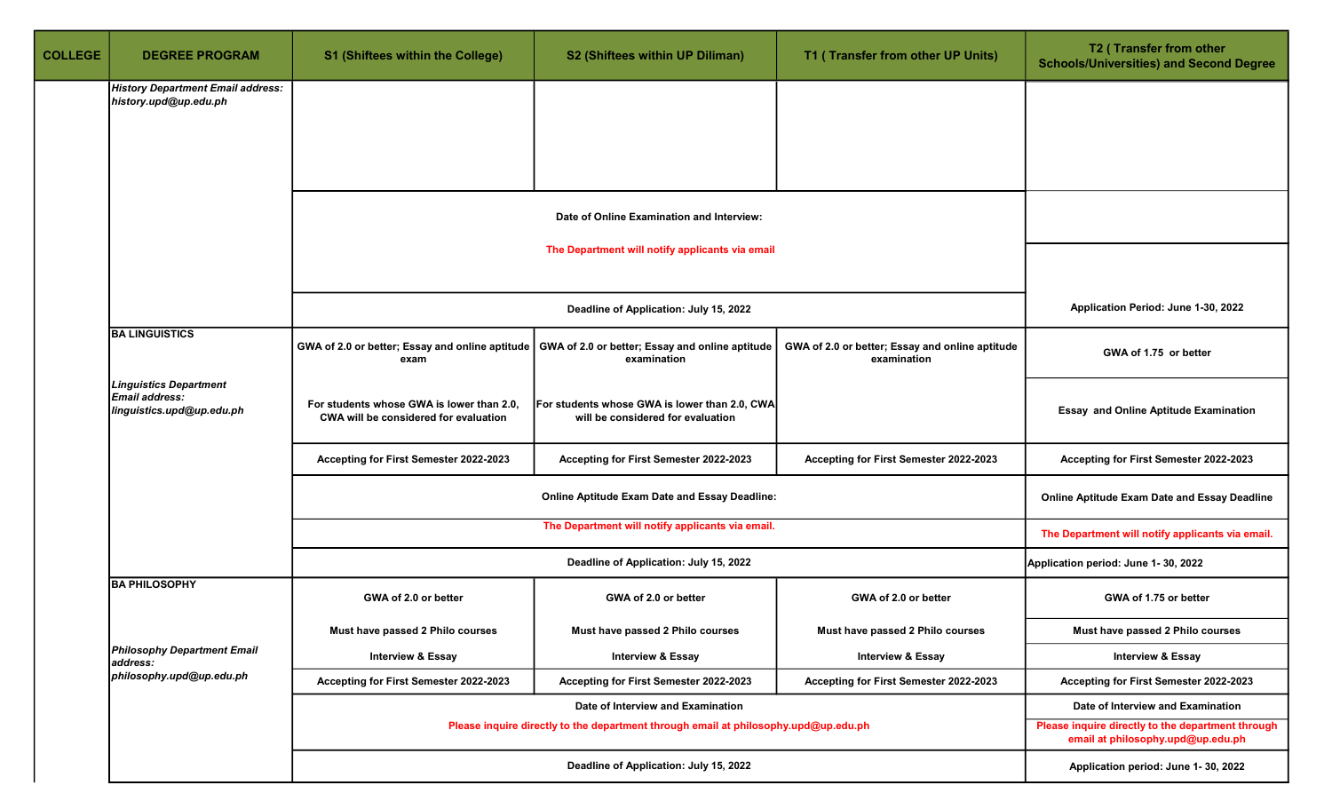| <b>COLLEGE</b> | <b>DEGREE PROGRAM</b>                                                        | <b>S1 (Shiftees within the College)</b>                                            | S2 (Shiftees within UP Diliman)                                                                                  | T1 (Transfer from other UP Units)                              | T2 (Transfer from other<br><b>Schools/Universities) and Second Degree</b>              |  |
|----------------|------------------------------------------------------------------------------|------------------------------------------------------------------------------------|------------------------------------------------------------------------------------------------------------------|----------------------------------------------------------------|----------------------------------------------------------------------------------------|--|
|                | <b>History Department Email address:</b><br>history.upd@up.edu.ph            |                                                                                    |                                                                                                                  |                                                                |                                                                                        |  |
|                |                                                                              |                                                                                    |                                                                                                                  |                                                                |                                                                                        |  |
|                |                                                                              |                                                                                    |                                                                                                                  |                                                                |                                                                                        |  |
|                |                                                                              |                                                                                    |                                                                                                                  |                                                                |                                                                                        |  |
|                |                                                                              |                                                                                    | Date of Online Examination and Interview:                                                                        |                                                                |                                                                                        |  |
|                |                                                                              |                                                                                    | The Department will notify applicants via email                                                                  |                                                                |                                                                                        |  |
|                |                                                                              |                                                                                    |                                                                                                                  |                                                                |                                                                                        |  |
|                |                                                                              |                                                                                    | Deadline of Application: July 15, 2022                                                                           |                                                                | Application Period: June 1-30, 2022                                                    |  |
|                | <b>BA LINGUISTICS</b>                                                        | exam                                                                               | GWA of 2.0 or better; Essay and online aptitude   GWA of 2.0 or better; Essay and online aptitude<br>examination | GWA of 2.0 or better; Essay and online aptitude<br>examination | GWA of 1.75 or better                                                                  |  |
|                | <b>Linguistics Department</b><br>Email address:<br>linguistics.upd@up.edu.ph | For students whose GWA is lower than 2.0,<br>CWA will be considered for evaluation | For students whose GWA is lower than 2.0, CWA<br>will be considered for evaluation                               |                                                                | <b>Essay and Online Aptitude Examination</b>                                           |  |
|                |                                                                              | Accepting for First Semester 2022-2023                                             | Accepting for First Semester 2022-2023                                                                           | Accepting for First Semester 2022-2023                         | Accepting for First Semester 2022-2023                                                 |  |
|                |                                                                              |                                                                                    | Online Aptitude Exam Date and Essay Deadline:                                                                    |                                                                |                                                                                        |  |
|                |                                                                              |                                                                                    | The Department will notify applicants via email.                                                                 |                                                                | The Department will notify applicants via email.                                       |  |
|                |                                                                              |                                                                                    | Deadline of Application: July 15, 2022                                                                           |                                                                | Application period: June 1-30, 2022                                                    |  |
|                | <b>BA PHILOSOPHY</b>                                                         | GWA of 2.0 or better                                                               | GWA of 2.0 or better                                                                                             | GWA of 2.0 or better                                           | GWA of 1.75 or better                                                                  |  |
|                |                                                                              | Must have passed 2 Philo courses                                                   | Must have passed 2 Philo courses                                                                                 | Must have passed 2 Philo courses                               | Must have passed 2 Philo courses                                                       |  |
|                | <b>Philosophy Department Email</b><br>address:                               | <b>Interview &amp; Essay</b>                                                       | <b>Interview &amp; Essay</b>                                                                                     | <b>Interview &amp; Essay</b>                                   | <b>Interview &amp; Essay</b>                                                           |  |
|                | philosophy.upd@up.edu.ph                                                     | Accepting for First Semester 2022-2023                                             | Accepting for First Semester 2022-2023                                                                           | Accepting for First Semester 2022-2023                         | Accepting for First Semester 2022-2023                                                 |  |
|                |                                                                              |                                                                                    | Date of Interview and Examination                                                                                |                                                                | Date of Interview and Examination                                                      |  |
|                |                                                                              |                                                                                    | Please inquire directly to the department through email at philosophy.upd@up.edu.ph                              |                                                                | Please inquire directly to the department through<br>email at philosophy.upd@up.edu.ph |  |
|                |                                                                              |                                                                                    | Deadline of Application: July 15, 2022                                                                           |                                                                | Application period: June 1-30, 2022                                                    |  |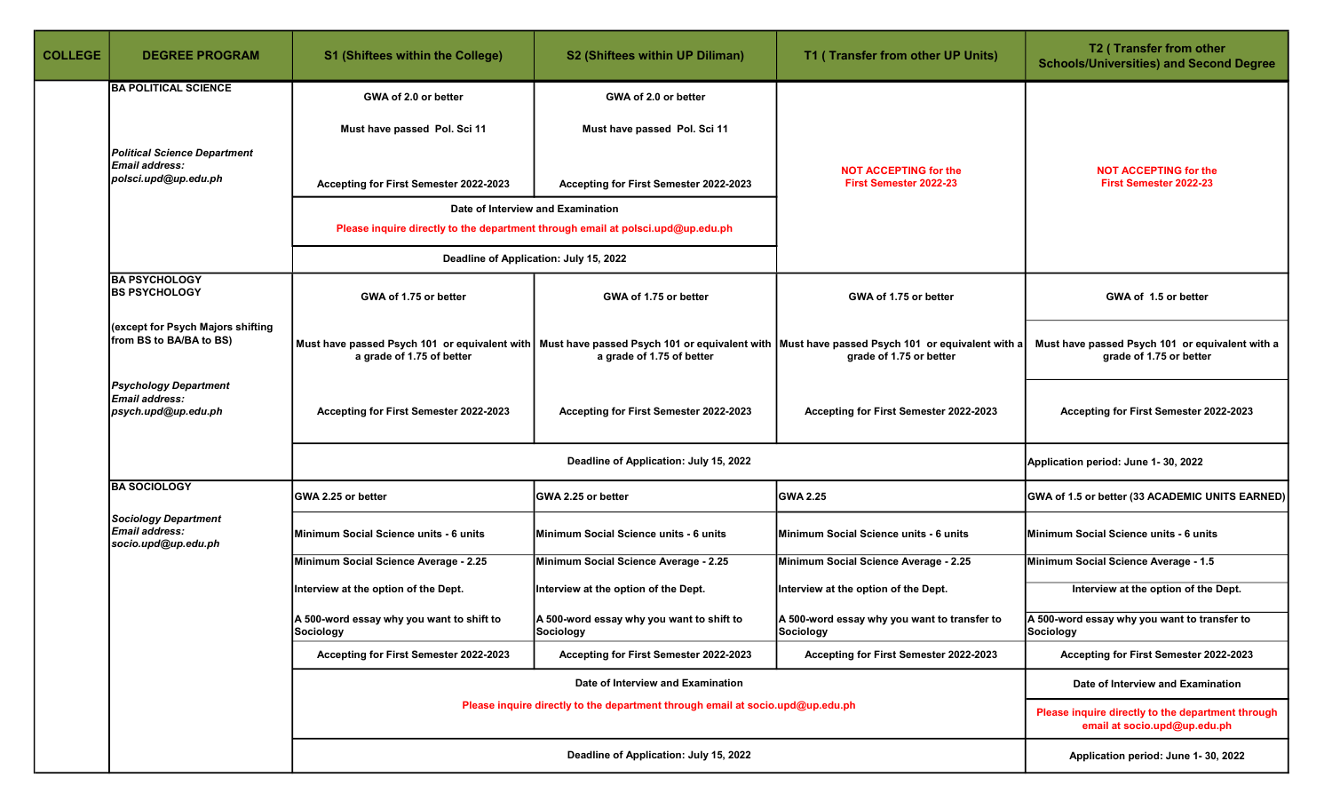| <b>COLLEGE</b> | <b>DEGREE PROGRAM</b>                                                         | <b>S1 (Shiftees within the College)</b>                 | S2 (Shiftees within UP Diliman)                                                                                      | T1 (Transfer from other UP Units)                                                                                                                                      | T2 (Transfer from other<br><b>Schools/Universities) and Second Degree</b>         |
|----------------|-------------------------------------------------------------------------------|---------------------------------------------------------|----------------------------------------------------------------------------------------------------------------------|------------------------------------------------------------------------------------------------------------------------------------------------------------------------|-----------------------------------------------------------------------------------|
|                | <b>BA POLITICAL SCIENCE</b>                                                   | GWA of 2.0 or better                                    | GWA of 2.0 or better                                                                                                 |                                                                                                                                                                        |                                                                                   |
|                |                                                                               | Must have passed Pol. Sci 11                            | Must have passed Pol. Sci 11                                                                                         |                                                                                                                                                                        |                                                                                   |
|                | <b>Political Science Department</b><br>Email address:<br>polsci.upd@up.edu.ph | Accepting for First Semester 2022-2023                  | Accepting for First Semester 2022-2023                                                                               | <b>NOT ACCEPTING for the</b><br>First Semester 2022-23                                                                                                                 | <b>NOT ACCEPTING for the</b><br>First Semester 2022-23                            |
|                |                                                                               |                                                         | Date of Interview and Examination<br>Please inquire directly to the department through email at polsci.upd@up.edu.ph |                                                                                                                                                                        |                                                                                   |
|                |                                                                               |                                                         | Deadline of Application: July 15, 2022                                                                               |                                                                                                                                                                        |                                                                                   |
|                | <b>BA PSYCHOLOGY</b><br><b>BS PSYCHOLOGY</b>                                  | GWA of 1.75 or better                                   | GWA of 1.75 or better                                                                                                | GWA of 1.75 or better                                                                                                                                                  | GWA of 1.5 or better                                                              |
|                | (except for Psych Majors shifting<br>from BS to BA/BA to BS)                  | a grade of 1.75 of better                               | a grade of 1.75 of better                                                                                            | Must have passed Psych 101 or equivalent with Must have passed Psych 101 or equivalent with Must have passed Psych 101 or equivalent with a<br>grade of 1.75 or better | Must have passed Psych 101 or equivalent with a<br>grade of 1.75 or better        |
|                | <b>Psychology Department</b><br><b>Email address:</b><br>psych.upd@up.edu.ph  | Accepting for First Semester 2022-2023                  | Accepting for First Semester 2022-2023                                                                               | Accepting for First Semester 2022-2023                                                                                                                                 | Accepting for First Semester 2022-2023                                            |
|                |                                                                               |                                                         | Deadline of Application: July 15, 2022                                                                               |                                                                                                                                                                        | Application period: June 1-30, 2022                                               |
|                | <b>BA SOCIOLOGY</b>                                                           | GWA 2.25 or better                                      | GWA 2.25 or better                                                                                                   | <b>GWA 2.25</b>                                                                                                                                                        | GWA of 1.5 or better (33 ACADEMIC UNITS EARNED)                                   |
|                | <b>Sociology Department</b><br>Email address:<br>socio.upd@up.edu.ph          | Minimum Social Science units - 6 units                  | Minimum Social Science units - 6 units                                                                               | Minimum Social Science units - 6 units                                                                                                                                 | Minimum Social Science units - 6 units                                            |
|                |                                                                               | Minimum Social Science Average - 2.25                   | Minimum Social Science Average - 2.25                                                                                | Minimum Social Science Average - 2.25                                                                                                                                  | Minimum Social Science Average - 1.5                                              |
|                |                                                                               | Interview at the option of the Dept.                    | Interview at the option of the Dept.                                                                                 | Interview at the option of the Dept.                                                                                                                                   | Interview at the option of the Dept.                                              |
|                |                                                                               | A 500-word essay why you want to shift to<br> Sociology | A 500-word essay why you want to shift to<br>Sociology                                                               | A 500-word essay why you want to transfer to<br> Sociology                                                                                                             | A 500-word essay why you want to transfer to<br>Sociology                         |
|                |                                                                               | Accepting for First Semester 2022-2023                  | Accepting for First Semester 2022-2023                                                                               | Accepting for First Semester 2022-2023                                                                                                                                 | Accepting for First Semester 2022-2023                                            |
|                |                                                                               |                                                         | Date of Interview and Examination                                                                                    |                                                                                                                                                                        | Date of Interview and Examination                                                 |
|                |                                                                               |                                                         | Please inquire directly to the department through email at socio.upd@up.edu.ph                                       |                                                                                                                                                                        | Please inquire directly to the department through<br>email at socio.upd@up.edu.ph |
|                |                                                                               |                                                         | Deadline of Application: July 15, 2022                                                                               |                                                                                                                                                                        | Application period: June 1-30, 2022                                               |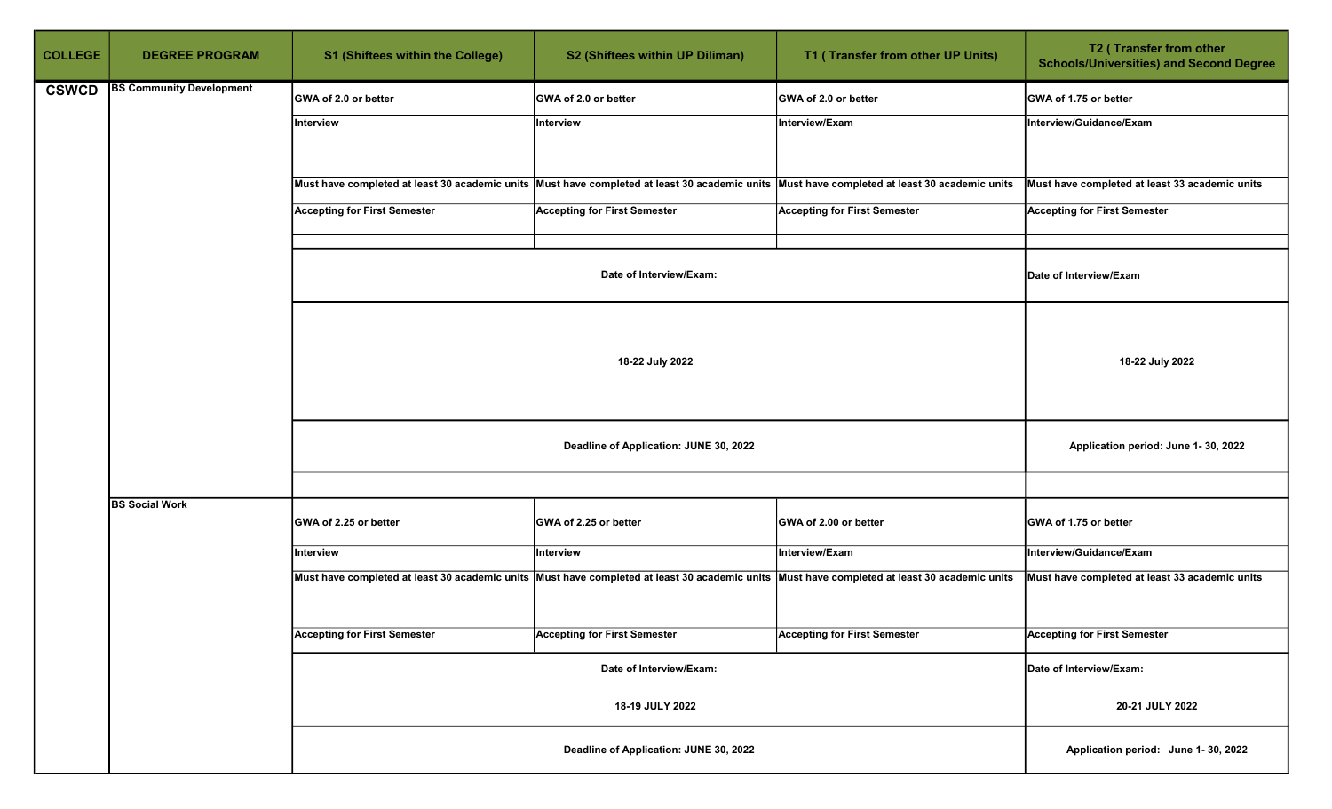| <b>COLLEGE</b> | <b>DEGREE PROGRAM</b>           | <b>S1 (Shiftees within the College)</b> | S2 (Shiftees within UP Diliman)        | T1 (Transfer from other UP Units)                                                                                                            | T2 (Transfer from other<br><b>Schools/Universities) and Second Degree</b> |
|----------------|---------------------------------|-----------------------------------------|----------------------------------------|----------------------------------------------------------------------------------------------------------------------------------------------|---------------------------------------------------------------------------|
| <b>CSWCD</b>   | <b>BS Community Development</b> | GWA of 2.0 or better                    | GWA of 2.0 or better                   | GWA of 2.0 or better                                                                                                                         | GWA of 1.75 or better                                                     |
|                |                                 | Interview                               | Interview                              | Interview/Exam                                                                                                                               | Interview/Guidance/Exam                                                   |
|                |                                 |                                         |                                        | Must have completed at least 30 academic units Must have completed at least 30 academic units Must have completed at least 30 academic units | Must have completed at least 33 academic units                            |
|                |                                 | <b>Accepting for First Semester</b>     | <b>Accepting for First Semester</b>    | <b>Accepting for First Semester</b>                                                                                                          | <b>Accepting for First Semester</b>                                       |
|                |                                 |                                         | Date of Interview/Exam:                |                                                                                                                                              | Date of Interview/Exam                                                    |
|                |                                 | 18-22 July 2022                         |                                        |                                                                                                                                              |                                                                           |
|                |                                 |                                         | Application period: June 1-30, 2022    |                                                                                                                                              |                                                                           |
|                |                                 |                                         |                                        |                                                                                                                                              |                                                                           |
|                | <b>BS Social Work</b>           | GWA of 2.25 or better                   | GWA of 2.25 or better                  | GWA of 2.00 or better                                                                                                                        | GWA of 1.75 or better                                                     |
|                |                                 | Interview                               | Interview                              | Interview/Exam                                                                                                                               | Interview/Guidance/Exam                                                   |
|                |                                 |                                         |                                        | Must have completed at least 30 academic units Must have completed at least 30 academic units Must have completed at least 30 academic units | Must have completed at least 33 academic units                            |
|                |                                 | <b>Accepting for First Semester</b>     | <b>Accepting for First Semester</b>    | <b>Accepting for First Semester</b>                                                                                                          | <b>Accepting for First Semester</b>                                       |
|                |                                 |                                         | Date of Interview/Exam:                |                                                                                                                                              | Date of Interview/Exam:                                                   |
|                |                                 |                                         | 18-19 JULY 2022                        |                                                                                                                                              | 20-21 JULY 2022                                                           |
|                |                                 |                                         | Deadline of Application: JUNE 30, 2022 |                                                                                                                                              | Application period: June 1-30, 2022                                       |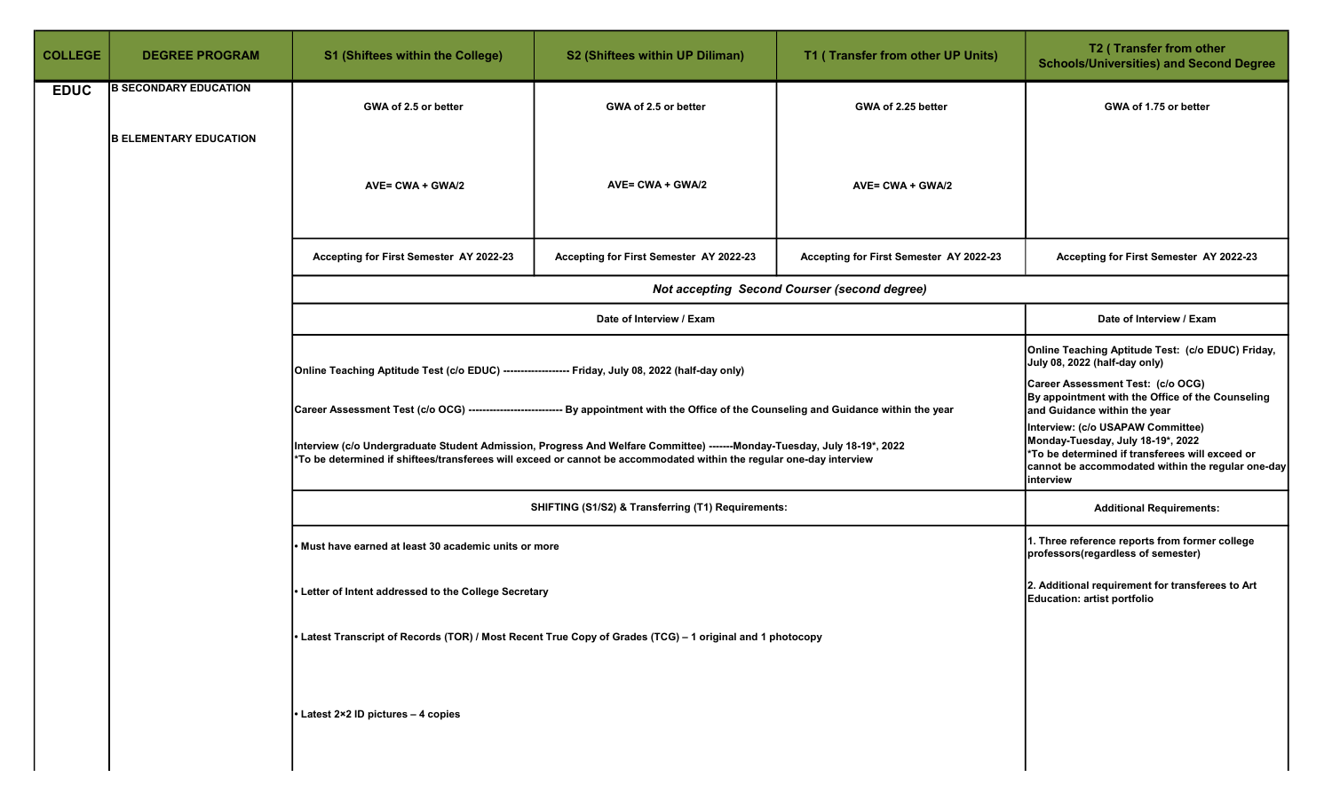| <b>COLLEGE</b> | <b>DEGREE PROGRAM</b>         | <b>S1 (Shiftees within the College)</b>                                                                                                                                                                                                          | S2 (Shiftees within UP Diliman)                                                                                       | T1 (Transfer from other UP Units)                   | T2 (Transfer from other<br><b>Schools/Universities) and Second Degree</b>                                                                                                                   |
|----------------|-------------------------------|--------------------------------------------------------------------------------------------------------------------------------------------------------------------------------------------------------------------------------------------------|-----------------------------------------------------------------------------------------------------------------------|-----------------------------------------------------|---------------------------------------------------------------------------------------------------------------------------------------------------------------------------------------------|
| <b>EDUC</b>    | <b>B SECONDARY EDUCATION</b>  | GWA of 2.5 or better                                                                                                                                                                                                                             | GWA of 2.5 or better                                                                                                  | GWA of 2.25 better                                  | GWA of 1.75 or better                                                                                                                                                                       |
|                | <b>B ELEMENTARY EDUCATION</b> | AVE= CWA + GWA/2                                                                                                                                                                                                                                 | AVE= CWA + GWA/2                                                                                                      | AVE= CWA + GWA/2                                    |                                                                                                                                                                                             |
|                |                               | Accepting for First Semester AY 2022-23                                                                                                                                                                                                          | Accepting for First Semester AY 2022-23                                                                               | Accepting for First Semester AY 2022-23             | Accepting for First Semester AY 2022-23                                                                                                                                                     |
|                |                               |                                                                                                                                                                                                                                                  |                                                                                                                       | <b>Not accepting Second Courser (second degree)</b> |                                                                                                                                                                                             |
|                |                               |                                                                                                                                                                                                                                                  | Date of Interview / Exam                                                                                              |                                                     | Date of Interview / Exam                                                                                                                                                                    |
|                |                               | Online Teaching Aptitude Test (c/o EDUC) -------------------- Friday, July 08, 2022 (half-day only)                                                                                                                                              | Online Teaching Aptitude Test: (c/o EDUC) Friday,<br>July 08, 2022 (half-day only)                                    |                                                     |                                                                                                                                                                                             |
|                |                               | Career Assessment Test (c/o OCG) --------------------------- By appointment with the Office of the Counseling and Guidance within the year                                                                                                       | Career Assessment Test: (c/o OCG)<br>By appointment with the Office of the Counseling<br>and Guidance within the year |                                                     |                                                                                                                                                                                             |
|                |                               | Interview (c/o Undergraduate Student Admission, Progress And Welfare Committee) -------Monday-Tuesday, July 18-19*, 2022<br>*To be determined if shiftees/transferees will exceed or cannot be accommodated within the regular one-day interview |                                                                                                                       |                                                     | Interview: (c/o USAPAW Committee)<br>Monday-Tuesday, July 18-19*, 2022<br>*To be determined if transferees will exceed or<br>cannot be accommodated within the regular one-day<br>interview |
|                |                               |                                                                                                                                                                                                                                                  | SHIFTING (S1/S2) & Transferring (T1) Requirements:                                                                    |                                                     | <b>Additional Requirements:</b>                                                                                                                                                             |
|                |                               | Must have earned at least 30 academic units or more                                                                                                                                                                                              |                                                                                                                       |                                                     | 1. Three reference reports from former college<br>professors(regardless of semester)                                                                                                        |
|                |                               | 2. Additional requirement for transferees to Art<br>Letter of Intent addressed to the College Secretary<br>Education: artist portfolio                                                                                                           |                                                                                                                       |                                                     |                                                                                                                                                                                             |
|                |                               | Latest Transcript of Records (TOR) / Most Recent True Copy of Grades (TCG) – 1 original and 1 photocopy                                                                                                                                          |                                                                                                                       |                                                     |                                                                                                                                                                                             |
|                |                               | • Latest 2×2 ID pictures - 4 copies                                                                                                                                                                                                              |                                                                                                                       |                                                     |                                                                                                                                                                                             |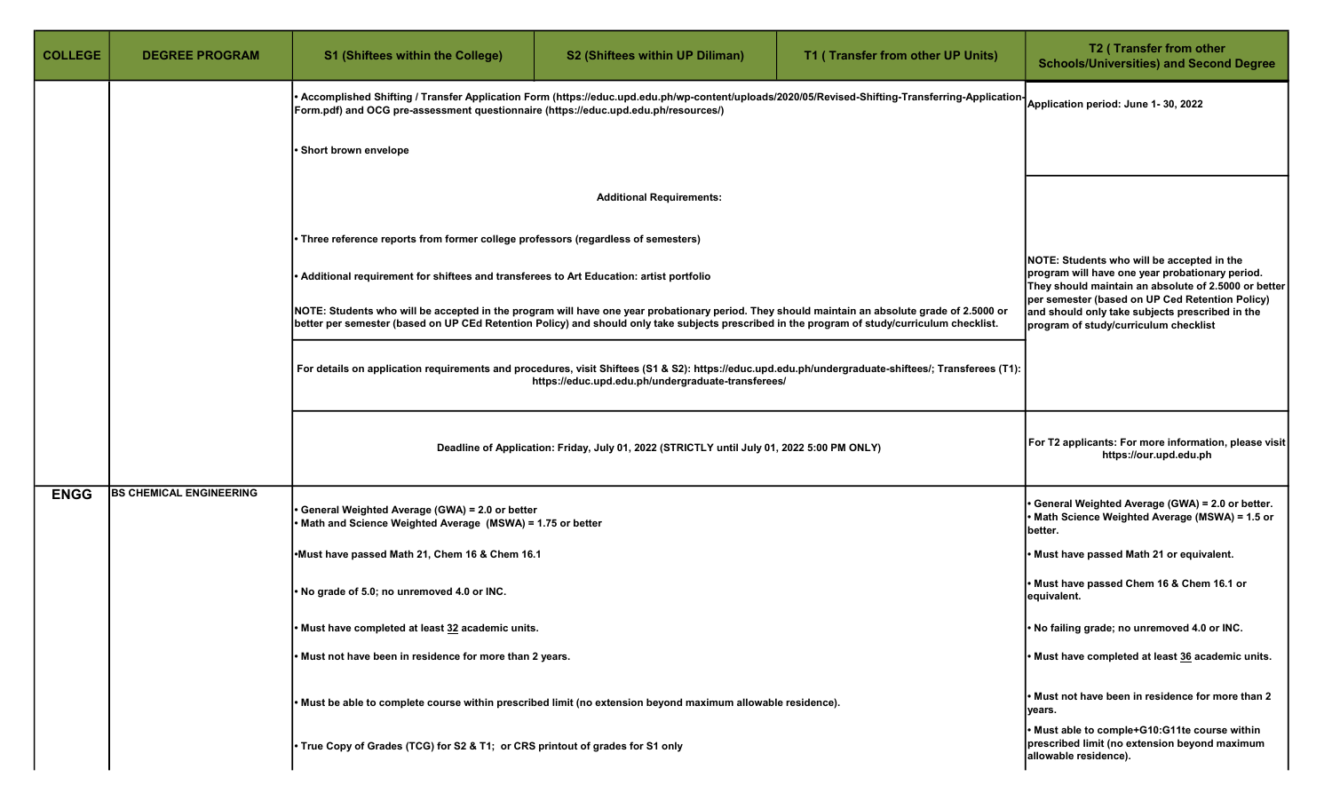| <b>COLLEGE</b> | <b>DEGREE PROGRAM</b>          | <b>S1 (Shiftees within the College)</b>                                                                                                                                                                                                                                                         | S2 (Shiftees within UP Diliman)                                                                                                                       | T1 (Transfer from other UP Units)                                                                                                                                                           | T2 (Transfer from other<br><b>Schools/Universities) and Second Degree</b>                                               |  |
|----------------|--------------------------------|-------------------------------------------------------------------------------------------------------------------------------------------------------------------------------------------------------------------------------------------------------------------------------------------------|-------------------------------------------------------------------------------------------------------------------------------------------------------|---------------------------------------------------------------------------------------------------------------------------------------------------------------------------------------------|-------------------------------------------------------------------------------------------------------------------------|--|
|                |                                | [Form.pdf) and OCG pre-assessment questionnaire (https://educ.upd.edu.ph/resources/)                                                                                                                                                                                                            |                                                                                                                                                       | Accomplished Shifting / Transfer Application Form (https://educ.upd.edu.ph/wp-content/uploads/2020/05/Revised-Shifting-Transferring-Application  <br>  Application period: June 1- 30, 2022 |                                                                                                                         |  |
|                |                                | · Short brown envelope                                                                                                                                                                                                                                                                          |                                                                                                                                                       |                                                                                                                                                                                             |                                                                                                                         |  |
|                |                                |                                                                                                                                                                                                                                                                                                 |                                                                                                                                                       |                                                                                                                                                                                             |                                                                                                                         |  |
|                |                                | • Three reference reports from former college professors (regardless of semesters)                                                                                                                                                                                                              |                                                                                                                                                       |                                                                                                                                                                                             |                                                                                                                         |  |
|                |                                | • Additional requirement for shiftees and transferees to Art Education: artist portfolio                                                                                                                                                                                                        | NOTE: Students who will be accepted in the<br>program will have one year probationary period.<br>They should maintain an absolute of 2.5000 or better |                                                                                                                                                                                             |                                                                                                                         |  |
|                |                                | NOTE: Students who will be accepted in the program will have one year probationary period. They should maintain an absolute grade of 2.5000 or<br>better per semester (based on UP CEd Retention Policy) and should only take subjects prescribed in the program of study/curriculum checklist. | per semester (based on UP Ced Retention Policy)<br>and should only take subjects prescribed in the<br>program of study/curriculum checklist           |                                                                                                                                                                                             |                                                                                                                         |  |
|                |                                | For details on application requirements and procedures, visit Shiftees (S1 & S2): https://educ.upd.edu.ph/undergraduate-shiftees/; Transferees (T1):<br>https://educ.upd.edu.ph/undergraduate-transferees/                                                                                      |                                                                                                                                                       |                                                                                                                                                                                             |                                                                                                                         |  |
|                |                                | Deadline of Application: Friday, July 01, 2022 (STRICTLY until July 01, 2022 5:00 PM ONLY)                                                                                                                                                                                                      | For T2 applicants: For more information, please visit<br>https://our.upd.edu.ph                                                                       |                                                                                                                                                                                             |                                                                                                                         |  |
| <b>ENGG</b>    | <b>BS CHEMICAL ENGINEERING</b> | General Weighted Average (GWA) = 2.0 or better<br>Math and Science Weighted Average (MSWA) = 1.75 or better                                                                                                                                                                                     |                                                                                                                                                       |                                                                                                                                                                                             | General Weighted Average (GWA) = 2.0 or better.<br>• Math Science Weighted Average (MSWA) = 1.5 or<br>better.           |  |
|                |                                | Must have passed Math 21, Chem 16 & Chem 16.1                                                                                                                                                                                                                                                   |                                                                                                                                                       |                                                                                                                                                                                             | Must have passed Math 21 or equivalent.                                                                                 |  |
|                |                                | . No grade of 5.0; no unremoved 4.0 or INC.                                                                                                                                                                                                                                                     |                                                                                                                                                       |                                                                                                                                                                                             | • Must have passed Chem 16 & Chem 16.1 or<br>equivalent.                                                                |  |
|                |                                | • Must have completed at least 32 academic units.                                                                                                                                                                                                                                               | . No failing grade; no unremoved 4.0 or INC.                                                                                                          |                                                                                                                                                                                             |                                                                                                                         |  |
|                |                                | . Must not have been in residence for more than 2 years.                                                                                                                                                                                                                                        | • Must have completed at least 36 academic units.                                                                                                     |                                                                                                                                                                                             |                                                                                                                         |  |
|                |                                | . Must be able to complete course within prescribed limit (no extension beyond maximum allowable residence).                                                                                                                                                                                    |                                                                                                                                                       |                                                                                                                                                                                             | • Must not have been in residence for more than 2<br>years.                                                             |  |
|                |                                | • True Copy of Grades (TCG) for S2 & T1; or CRS printout of grades for S1 only                                                                                                                                                                                                                  |                                                                                                                                                       |                                                                                                                                                                                             | . Must able to comple+G10:G11te course within<br>prescribed limit (no extension beyond maximum<br>allowable residence). |  |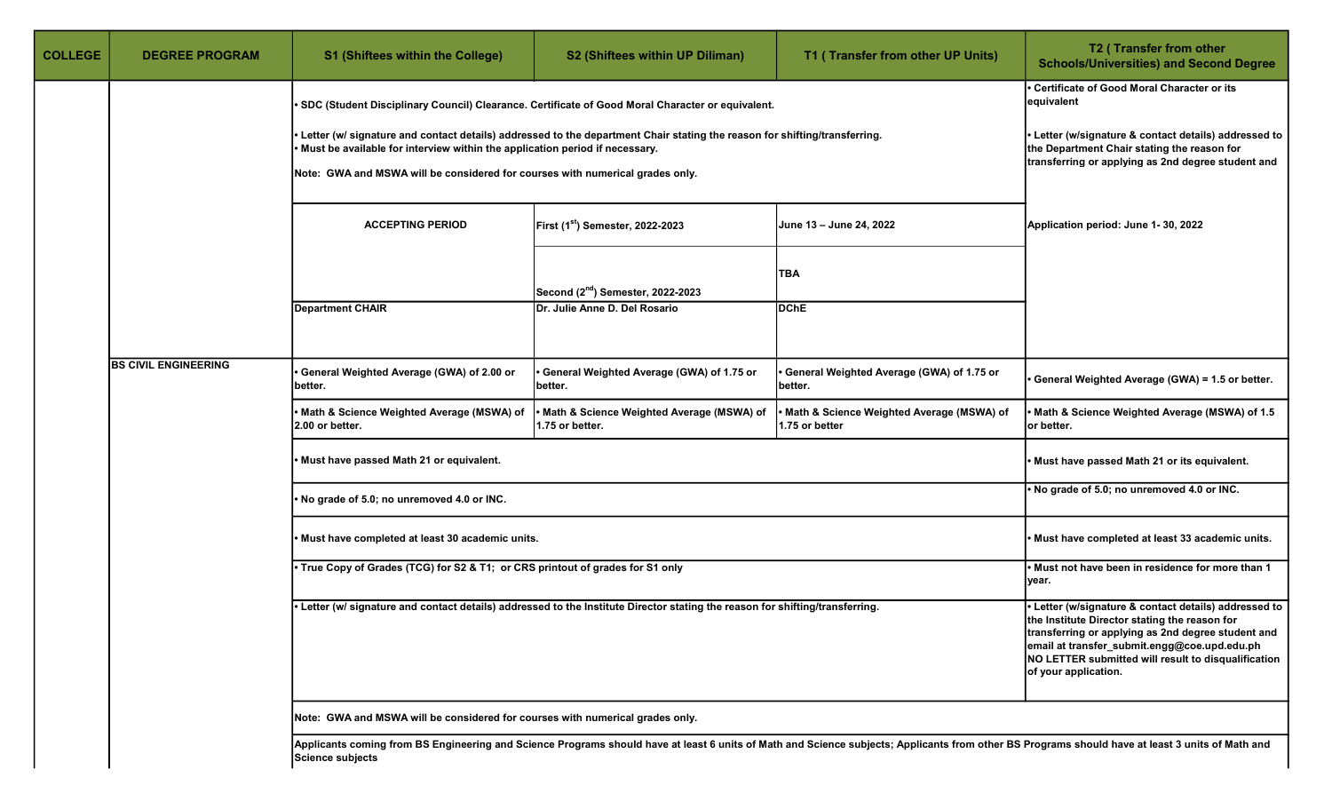| <b>COLLEGE</b> | <b>DEGREE PROGRAM</b>                                                                 | <b>S1 (Shiftees within the College)</b>                                                                                                                                                                                                                                                     | S2 (Shiftees within UP Diliman)                                                                                                                          | T1 (Transfer from other UP Units)                           | T2 (Transfer from other<br><b>Schools/Universities) and Second Degree</b>                                                                                                                        |
|----------------|---------------------------------------------------------------------------------------|---------------------------------------------------------------------------------------------------------------------------------------------------------------------------------------------------------------------------------------------------------------------------------------------|----------------------------------------------------------------------------------------------------------------------------------------------------------|-------------------------------------------------------------|--------------------------------------------------------------------------------------------------------------------------------------------------------------------------------------------------|
|                |                                                                                       | Certificate of Good Moral Character or its<br>equivalent                                                                                                                                                                                                                                    |                                                                                                                                                          |                                                             |                                                                                                                                                                                                  |
|                |                                                                                       | • Letter (w/ signature and contact details) addressed to the department Chair stating the reason for shifting/transferring.<br>Must be available for interview within the application period if necessary.<br>Note: GWA and MSWA will be considered for courses with numerical grades only. | Letter (w/signature & contact details) addressed to<br>the Department Chair stating the reason for<br>transferring or applying as 2nd degree student and |                                                             |                                                                                                                                                                                                  |
|                | <b>ACCEPTING PERIOD</b><br>First (1st) Semester, 2022-2023<br>June 13 - June 24, 2022 |                                                                                                                                                                                                                                                                                             | Application period: June 1-30, 2022                                                                                                                      |                                                             |                                                                                                                                                                                                  |
|                |                                                                                       |                                                                                                                                                                                                                                                                                             | Second (2 <sup>nd</sup> ) Semester, 2022-2023                                                                                                            | TBA                                                         |                                                                                                                                                                                                  |
|                |                                                                                       | <b>Department CHAIR</b>                                                                                                                                                                                                                                                                     | Dr. Julie Anne D. Del Rosario                                                                                                                            | DChE                                                        |                                                                                                                                                                                                  |
|                | <b>BS CIVIL ENGINEERING</b>                                                           | General Weighted Average (GWA) of 2.00 or<br>better.                                                                                                                                                                                                                                        | General Weighted Average (GWA) of 1.75 or<br>better.                                                                                                     | General Weighted Average (GWA) of 1.75 or<br>better.        | General Weighted Average (GWA) = 1.5 or better.                                                                                                                                                  |
|                |                                                                                       | Math & Science Weighted Average (MSWA) of<br>2.00 or better.                                                                                                                                                                                                                                | Math & Science Weighted Average (MSWA) of<br>1.75 or better.                                                                                             | Math & Science Weighted Average (MSWA) of<br>1.75 or better | Math & Science Weighted Average (MSWA) of 1.5<br>or better.                                                                                                                                      |
|                |                                                                                       | Must have passed Math 21 or equivalent.                                                                                                                                                                                                                                                     |                                                                                                                                                          |                                                             | Must have passed Math 21 or its equivalent.                                                                                                                                                      |
|                |                                                                                       | No grade of 5.0; no unremoved 4.0 or INC.                                                                                                                                                                                                                                                   |                                                                                                                                                          |                                                             | No grade of 5.0; no unremoved 4.0 or INC.                                                                                                                                                        |
|                |                                                                                       | Must have completed at least 30 academic units.                                                                                                                                                                                                                                             |                                                                                                                                                          |                                                             | Must have completed at least 33 academic units.                                                                                                                                                  |
|                |                                                                                       | • True Copy of Grades (TCG) for S2 & T1; or CRS printout of grades for S1 only                                                                                                                                                                                                              | . Letter (w/ signature and contact details) addressed to the Institute Director stating the reason for shifting/transferring.                            |                                                             | . Must not have been in residence for more than 1<br>year.                                                                                                                                       |
|                |                                                                                       | · Letter (w/signature & contact details) addressed to<br>the Institute Director stating the reason for<br>transferring or applying as 2nd degree student and<br>email at transfer_submit.engg@coe.upd.edu.ph<br>NO LETTER submitted will result to disqualification<br>of your application. |                                                                                                                                                          |                                                             |                                                                                                                                                                                                  |
|                |                                                                                       | Note: GWA and MSWA will be considered for courses with numerical grades only.                                                                                                                                                                                                               |                                                                                                                                                          |                                                             |                                                                                                                                                                                                  |
|                |                                                                                       | Science subjects                                                                                                                                                                                                                                                                            |                                                                                                                                                          |                                                             | Applicants coming from BS Engineering and Science Programs should have at least 6 units of Math and Science subjects; Applicants from other BS Programs should have at least 3 units of Math and |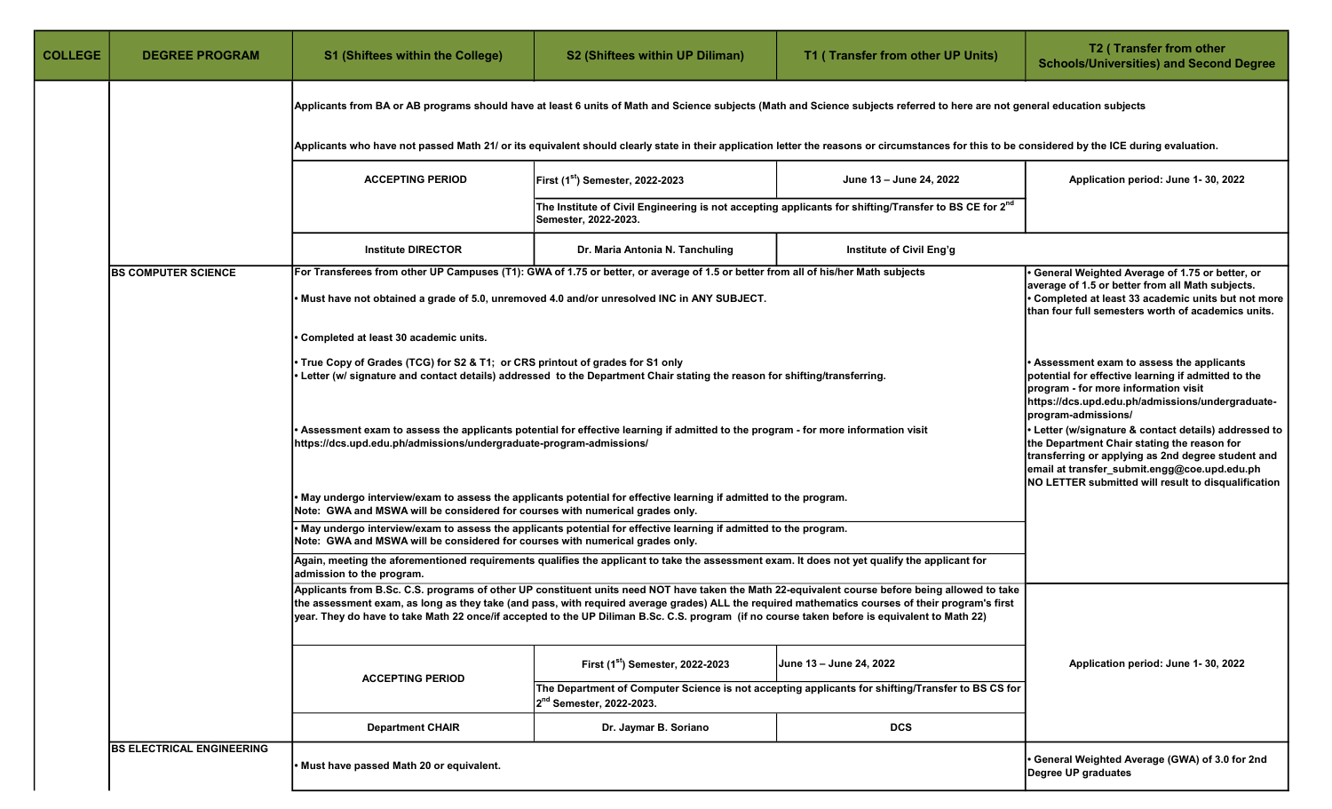| <b>COLLEGE</b> | <b>DEGREE PROGRAM</b>                                                                                                                                                                                                                                           | <b>S1 (Shiftees within the College)</b>                                                                                                                                                                  | S2 (Shiftees within UP Diliman)                                                                                                                                                                                                                                                                   | T1 (Transfer from other UP Units)                                                                                                                | T2 (Transfer from other<br><b>Schools/Universities) and Second Degree</b>                                                                                                                                            |  |  |
|----------------|-----------------------------------------------------------------------------------------------------------------------------------------------------------------------------------------------------------------------------------------------------------------|----------------------------------------------------------------------------------------------------------------------------------------------------------------------------------------------------------|---------------------------------------------------------------------------------------------------------------------------------------------------------------------------------------------------------------------------------------------------------------------------------------------------|--------------------------------------------------------------------------------------------------------------------------------------------------|----------------------------------------------------------------------------------------------------------------------------------------------------------------------------------------------------------------------|--|--|
|                |                                                                                                                                                                                                                                                                 | Applicants from BA or AB programs should have at least 6 units of Math and Science subjects (Math and Science subjects referred to here are not general education subjects                               |                                                                                                                                                                                                                                                                                                   |                                                                                                                                                  |                                                                                                                                                                                                                      |  |  |
|                |                                                                                                                                                                                                                                                                 |                                                                                                                                                                                                          | Applicants who have not passed Math 21/ or its equivalent should clearly state in their application letter the reasons or circumstances for this to be considered by the ICE during evaluation.                                                                                                   |                                                                                                                                                  |                                                                                                                                                                                                                      |  |  |
|                |                                                                                                                                                                                                                                                                 | <b>ACCEPTING PERIOD</b>                                                                                                                                                                                  | First (1st) Semester, 2022-2023                                                                                                                                                                                                                                                                   | June 13 - June 24, 2022                                                                                                                          | Application period: June 1-30, 2022                                                                                                                                                                                  |  |  |
|                |                                                                                                                                                                                                                                                                 |                                                                                                                                                                                                          | The Institute of Civil Engineering is not accepting applicants for shifting/Transfer to BS CE for 2 <sup>nd</sup><br>Semester, 2022-2023.                                                                                                                                                         |                                                                                                                                                  |                                                                                                                                                                                                                      |  |  |
|                |                                                                                                                                                                                                                                                                 | <b>Institute DIRECTOR</b>                                                                                                                                                                                | Dr. Maria Antonia N. Tanchuling                                                                                                                                                                                                                                                                   | Institute of Civil Eng'g                                                                                                                         |                                                                                                                                                                                                                      |  |  |
|                | For Transferees from other UP Campuses (T1): GWA of 1.75 or better, or average of 1.5 or better from all of his/her Math subjects<br><b>BS COMPUTER SCIENCE</b><br>• Must have not obtained a grade of 5.0, unremoved 4.0 and/or unresolved INC in ANY SUBJECT. |                                                                                                                                                                                                          |                                                                                                                                                                                                                                                                                                   |                                                                                                                                                  | • General Weighted Average of 1.75 or better, or<br>average of 1.5 or better from all Math subjects.<br>• Completed at least 33 academic units but not more<br>than four full semesters worth of academics units.    |  |  |
|                |                                                                                                                                                                                                                                                                 | • Completed at least 30 academic units.                                                                                                                                                                  |                                                                                                                                                                                                                                                                                                   |                                                                                                                                                  |                                                                                                                                                                                                                      |  |  |
|                |                                                                                                                                                                                                                                                                 | • True Copy of Grades (TCG) for S2 & T1; or CRS printout of grades for S1 only                                                                                                                           | • Letter (w/ signature and contact details) addressed to the Department Chair stating the reason for shifting/transferring.                                                                                                                                                                       |                                                                                                                                                  | • Assessment exam to assess the applicants<br>potential for effective learning if admitted to the<br>program - for more information visit<br>https://dcs.upd.edu.ph/admissions/undergraduate-<br>program-admissions/ |  |  |
|                |                                                                                                                                                                                                                                                                 | Assessment exam to assess the applicants potential for effective learning if admitted to the program - for more information visit<br>https://dcs.upd.edu.ph/admissions/undergraduate-program-admissions/ | • Letter (w/signature & contact details) addressed to<br>the Department Chair stating the reason for<br>transferring or applying as 2nd degree student and<br>email at transfer_submit.engg@coe.upd.edu.ph<br>NO LETTER submitted will result to disqualification                                 |                                                                                                                                                  |                                                                                                                                                                                                                      |  |  |
|                |                                                                                                                                                                                                                                                                 | Note: GWA and MSWA will be considered for courses with numerical grades only.                                                                                                                            | • May undergo interview/exam to assess the applicants potential for effective learning if admitted to the program.                                                                                                                                                                                |                                                                                                                                                  |                                                                                                                                                                                                                      |  |  |
|                |                                                                                                                                                                                                                                                                 | Note: GWA and MSWA will be considered for courses with numerical grades only.                                                                                                                            | • May undergo interview/exam to assess the applicants potential for effective learning if admitted to the program.                                                                                                                                                                                |                                                                                                                                                  |                                                                                                                                                                                                                      |  |  |
|                |                                                                                                                                                                                                                                                                 | admission to the program.                                                                                                                                                                                | Again, meeting the aforementioned requirements qualifies the applicant to take the assessment exam. It does not yet qualify the applicant for                                                                                                                                                     |                                                                                                                                                  |                                                                                                                                                                                                                      |  |  |
|                |                                                                                                                                                                                                                                                                 |                                                                                                                                                                                                          | the assessment exam, as long as they take (and pass, with required average grades) ALL the required mathematics courses of their program's first<br>year. They do have to take Math 22 once/if accepted to the UP Diliman B.Sc. C.S. program (if no course taken before is equivalent to Math 22) | Applicants from B.Sc. C.S. programs of other UP constituent units need NOT have taken the Math 22-equivalent course before being allowed to take |                                                                                                                                                                                                                      |  |  |
|                |                                                                                                                                                                                                                                                                 | <b>ACCEPTING PERIOD</b>                                                                                                                                                                                  | First (1st) Semester, 2022-2023                                                                                                                                                                                                                                                                   | June 13 – June 24, 2022                                                                                                                          | Application period: June 1-30, 2022                                                                                                                                                                                  |  |  |
|                |                                                                                                                                                                                                                                                                 |                                                                                                                                                                                                          |                                                                                                                                                                                                                                                                                                   |                                                                                                                                                  |                                                                                                                                                                                                                      |  |  |
|                |                                                                                                                                                                                                                                                                 | <b>Department CHAIR</b>                                                                                                                                                                                  | Dr. Jaymar B. Soriano                                                                                                                                                                                                                                                                             | <b>DCS</b>                                                                                                                                       |                                                                                                                                                                                                                      |  |  |
|                | <b>BS ELECTRICAL ENGINEERING</b>                                                                                                                                                                                                                                | Must have passed Math 20 or equivalent.                                                                                                                                                                  |                                                                                                                                                                                                                                                                                                   |                                                                                                                                                  | • General Weighted Average (GWA) of 3.0 for 2nd<br>Degree UP graduates                                                                                                                                               |  |  |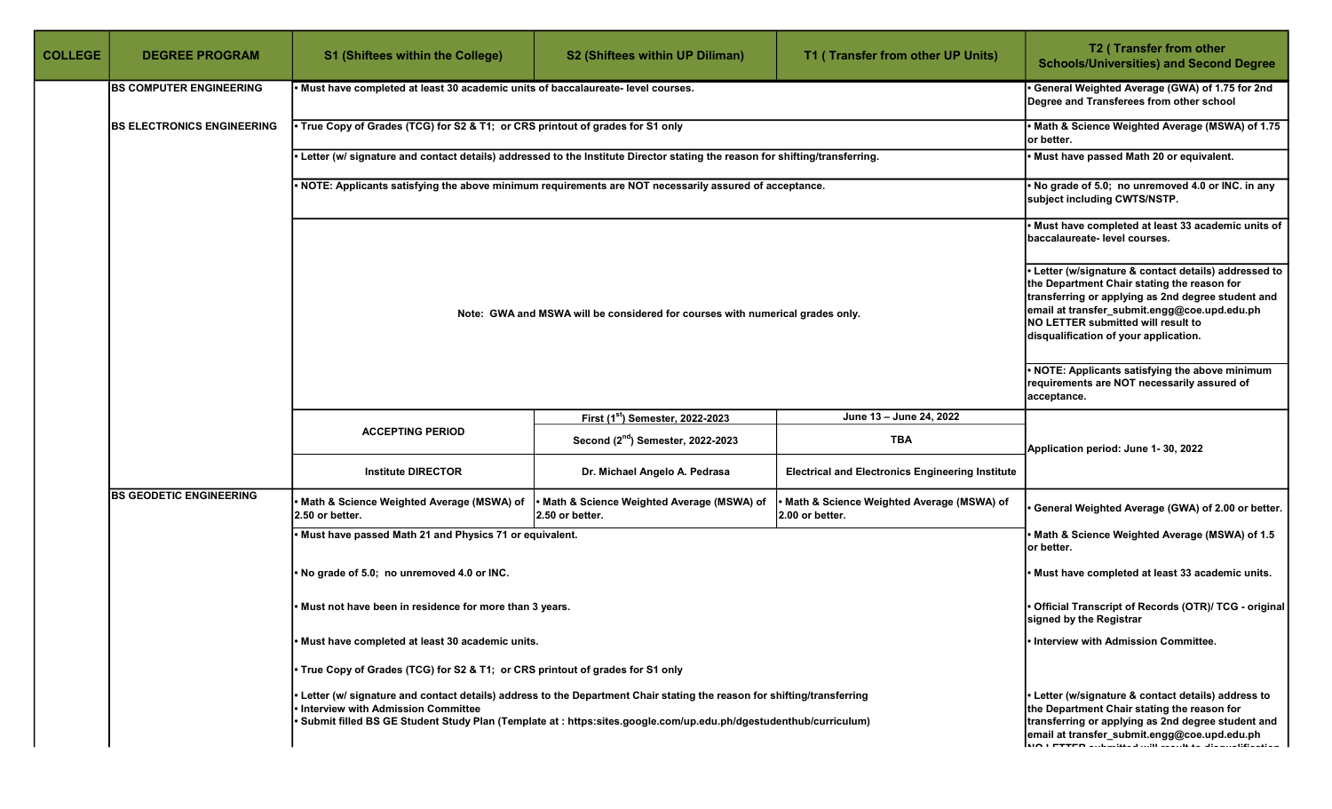| <b>COLLEGE</b> | <b>DEGREE PROGRAM</b>              | <b>S1 (Shiftees within the College)</b>                                                                                     | <b>S2 (Shiftees within UP Diliman)</b>                                                                                                                                                                                                                                                  | T1 (Transfer from other UP Units)                            | T2 (Transfer from other<br><b>Schools/Universities) and Second Degree</b>                                                                                                                                                                                                                |
|----------------|------------------------------------|-----------------------------------------------------------------------------------------------------------------------------|-----------------------------------------------------------------------------------------------------------------------------------------------------------------------------------------------------------------------------------------------------------------------------------------|--------------------------------------------------------------|------------------------------------------------------------------------------------------------------------------------------------------------------------------------------------------------------------------------------------------------------------------------------------------|
|                | <b>BS COMPUTER ENGINEERING</b>     | Must have completed at least 30 academic units of baccalaureate- level courses.                                             |                                                                                                                                                                                                                                                                                         |                                                              | General Weighted Average (GWA) of 1.75 for 2nd<br>Degree and Transferees from other school                                                                                                                                                                                               |
|                | <b>IBS ELECTRONICS ENGINEERING</b> | True Copy of Grades (TCG) for S2 & T1; or CRS printout of grades for S1 only                                                | Math & Science Weighted Average (MSWA) of 1.75<br>or better.                                                                                                                                                                                                                            |                                                              |                                                                                                                                                                                                                                                                                          |
|                |                                    | Letter (w/ signature and contact details) addressed to the Institute Director stating the reason for shifting/transferring. | Must have passed Math 20 or equivalent.                                                                                                                                                                                                                                                 |                                                              |                                                                                                                                                                                                                                                                                          |
|                |                                    | NOTE: Applicants satisfying the above minimum requirements are NOT necessarily assured of acceptance.                       | No grade of 5.0; no unremoved 4.0 or INC. in any<br>subject including CWTS/NSTP.                                                                                                                                                                                                        |                                                              |                                                                                                                                                                                                                                                                                          |
|                |                                    |                                                                                                                             | • Must have completed at least 33 academic units of<br>baccalaureate- level courses.                                                                                                                                                                                                    |                                                              |                                                                                                                                                                                                                                                                                          |
|                |                                    | Note: GWA and MSWA will be considered for courses with numerical grades only.                                               | Letter (w/signature & contact details) addressed to<br>the Department Chair stating the reason for<br>transferring or applying as 2nd degree student and<br>email at transfer_submit.engg@coe.upd.edu.ph<br>NO LETTER submitted will result to<br>disqualification of your application. |                                                              |                                                                                                                                                                                                                                                                                          |
|                |                                    |                                                                                                                             | NOTE: Applicants satisfying the above minimum<br>requirements are NOT necessarily assured of<br>acceptance.                                                                                                                                                                             |                                                              |                                                                                                                                                                                                                                                                                          |
|                |                                    |                                                                                                                             | First (1st) Semester, 2022-2023                                                                                                                                                                                                                                                         | June 13 - June 24, 2022                                      |                                                                                                                                                                                                                                                                                          |
|                |                                    | <b>ACCEPTING PERIOD</b>                                                                                                     | Second (2 <sup>nd</sup> ) Semester, 2022-2023                                                                                                                                                                                                                                           | TBA                                                          | Application period: June 1-30, 2022                                                                                                                                                                                                                                                      |
|                |                                    | <b>Institute DIRECTOR</b>                                                                                                   | Dr. Michael Angelo A. Pedrasa                                                                                                                                                                                                                                                           | <b>Electrical and Electronics Engineering Institute</b>      |                                                                                                                                                                                                                                                                                          |
|                | <b>BS GEODETIC ENGINEERING</b>     | Math & Science Weighted Average (MSWA) of<br>I2.50 or better.                                                               | Math & Science Weighted Average (MSWA) of<br>2.50 or better.                                                                                                                                                                                                                            | Math & Science Weighted Average (MSWA) of<br>2.00 or better. | General Weighted Average (GWA) of 2.00 or better.                                                                                                                                                                                                                                        |
|                |                                    | Must have passed Math 21 and Physics 71 or equivalent.                                                                      |                                                                                                                                                                                                                                                                                         |                                                              | Math & Science Weighted Average (MSWA) of 1.5<br>or better.                                                                                                                                                                                                                              |
|                |                                    | No grade of 5.0; no unremoved 4.0 or INC.                                                                                   |                                                                                                                                                                                                                                                                                         |                                                              | Must have completed at least 33 academic units.                                                                                                                                                                                                                                          |
|                |                                    | Must not have been in residence for more than 3 years.                                                                      | Official Transcript of Records (OTR)/ TCG - original<br>signed by the Registrar                                                                                                                                                                                                         |                                                              |                                                                                                                                                                                                                                                                                          |
|                |                                    | Must have completed at least 30 academic units.                                                                             | Interview with Admission Committee.                                                                                                                                                                                                                                                     |                                                              |                                                                                                                                                                                                                                                                                          |
|                |                                    | • True Copy of Grades (TCG) for S2 & T1; or CRS printout of grades for S1 only                                              |                                                                                                                                                                                                                                                                                         |                                                              |                                                                                                                                                                                                                                                                                          |
|                |                                    | <b>Interview with Admission Committee</b>                                                                                   | Letter (w/ signature and contact details) address to the Department Chair stating the reason for shifting/transferring<br>Submit filled BS GE Student Study Plan (Template at : https:sites.google.com/up.edu.ph/dgestudenthub/curriculum)                                              |                                                              | Letter (w/signature & contact details) address to<br>the Department Chair stating the reason for<br>transferring or applying as 2nd degree student and<br>email at transfer_submit.engg@coe.upd.edu.ph<br>$\overline{M}$ i prepa colonial do il nominali di distribucione di provincia i |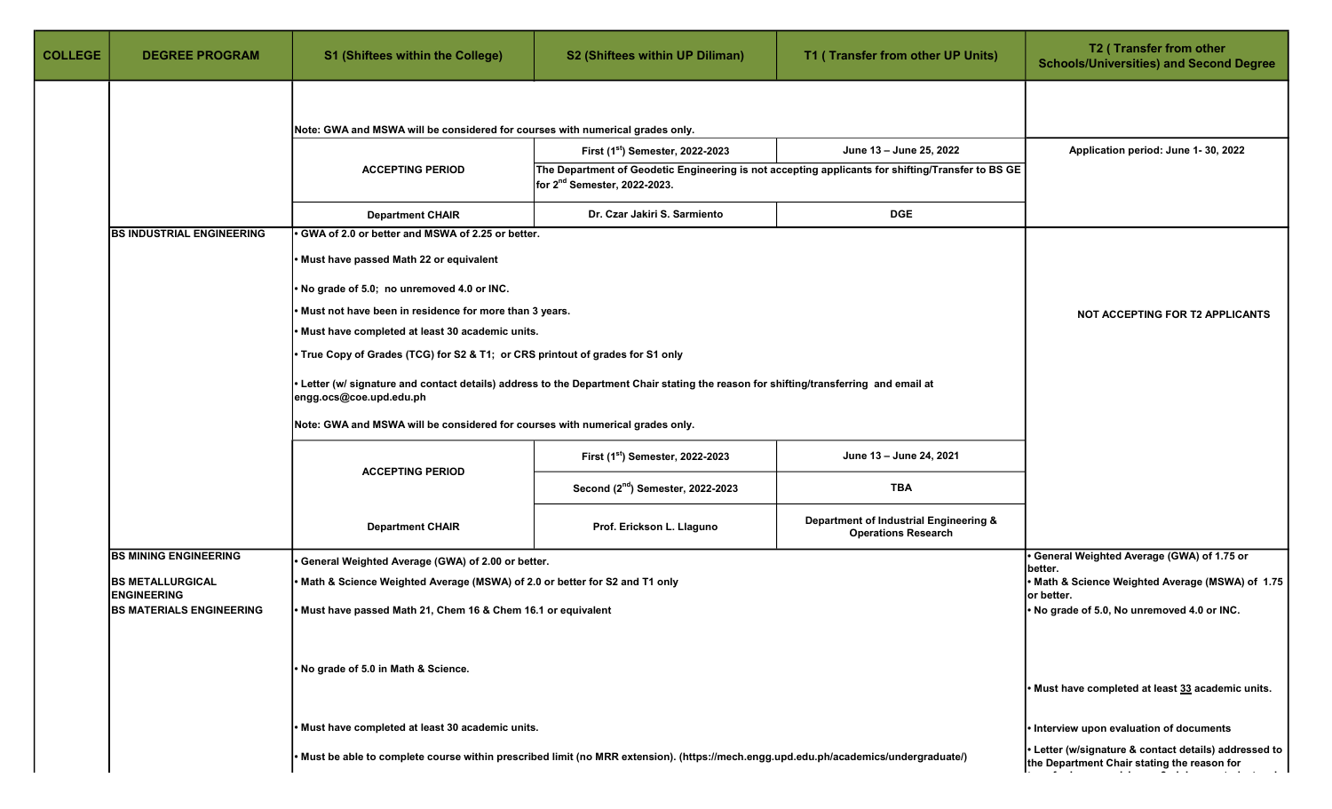| <b>COLLEGE</b> | <b>DEGREE PROGRAM</b>                                 | S1 (Shiftees within the College)                                               | S2 (Shiftees within UP Diliman)                                                                                                       | T1 (Transfer from other UP Units)                                                                 | T2 (Transfer from other<br><b>Schools/Universities) and Second Degree</b>                            |  |  |
|----------------|-------------------------------------------------------|--------------------------------------------------------------------------------|---------------------------------------------------------------------------------------------------------------------------------------|---------------------------------------------------------------------------------------------------|------------------------------------------------------------------------------------------------------|--|--|
|                |                                                       | Note: GWA and MSWA will be considered for courses with numerical grades only.  |                                                                                                                                       |                                                                                                   |                                                                                                      |  |  |
|                |                                                       |                                                                                | First (1st) Semester, 2022-2023                                                                                                       | June 13 - June 25, 2022                                                                           | Application period: June 1-30, 2022                                                                  |  |  |
|                |                                                       | <b>ACCEPTING PERIOD</b>                                                        |                                                                                                                                       | The Department of Geodetic Engineering is not accepting applicants for shifting/Transfer to BS GE |                                                                                                      |  |  |
|                |                                                       |                                                                                | for 2 <sup>nd</sup> Semester, 2022-2023.                                                                                              |                                                                                                   |                                                                                                      |  |  |
|                |                                                       | <b>Department CHAIR</b>                                                        | Dr. Czar Jakiri S. Sarmiento                                                                                                          | <b>DGE</b>                                                                                        |                                                                                                      |  |  |
|                | <b>BS INDUSTRIAL ENGINEERING</b>                      | GWA of 2.0 or better and MSWA of 2.25 or better.                               |                                                                                                                                       |                                                                                                   |                                                                                                      |  |  |
|                |                                                       | . Must have passed Math 22 or equivalent                                       |                                                                                                                                       |                                                                                                   |                                                                                                      |  |  |
|                |                                                       | No grade of 5.0; no unremoved 4.0 or INC.                                      |                                                                                                                                       |                                                                                                   |                                                                                                      |  |  |
|                |                                                       | Must not have been in residence for more than 3 years.                         |                                                                                                                                       |                                                                                                   | NOT ACCEPTING FOR T2 APPLICANTS                                                                      |  |  |
|                |                                                       | Must have completed at least 30 academic units.                                |                                                                                                                                       |                                                                                                   |                                                                                                      |  |  |
|                |                                                       | • True Copy of Grades (TCG) for S2 & T1; or CRS printout of grades for S1 only |                                                                                                                                       |                                                                                                   |                                                                                                      |  |  |
|                |                                                       | engg.ocs@coe.upd.edu.ph                                                        | Letter (w/ signature and contact details) address to the Department Chair stating the reason for shifting/transferring and email at   |                                                                                                   |                                                                                                      |  |  |
|                |                                                       | Note: GWA and MSWA will be considered for courses with numerical grades only.  |                                                                                                                                       |                                                                                                   |                                                                                                      |  |  |
|                |                                                       | <b>ACCEPTING PERIOD</b>                                                        | First (1st) Semester, 2022-2023                                                                                                       | June 13 - June 24, 2021                                                                           |                                                                                                      |  |  |
|                |                                                       |                                                                                | Second (2 <sup>nd</sup> ) Semester, 2022-2023                                                                                         | TBA                                                                                               |                                                                                                      |  |  |
|                |                                                       | <b>Department CHAIR</b>                                                        | Prof. Erickson L. Llaguno                                                                                                             | Department of Industrial Engineering &<br><b>Operations Research</b>                              |                                                                                                      |  |  |
|                | <b>BS MINING ENGINEERING</b>                          | General Weighted Average (GWA) of 2.00 or better.                              |                                                                                                                                       |                                                                                                   | General Weighted Average (GWA) of 1.75 or<br>better.                                                 |  |  |
|                | <b>BS METALLURGICAL</b>                               | Math & Science Weighted Average (MSWA) of 2.0 or better for S2 and T1 only     |                                                                                                                                       |                                                                                                   | Math & Science Weighted Average (MSWA) of 1.75                                                       |  |  |
|                | <b>ENGINEERING</b><br><b>BS MATERIALS ENGINEERING</b> | • Must have passed Math 21, Chem 16 & Chem 16.1 or equivalent                  |                                                                                                                                       |                                                                                                   | or better.<br>. No grade of 5.0, No unremoved 4.0 or INC.                                            |  |  |
|                |                                                       | . No grade of 5.0 in Math & Science.                                           |                                                                                                                                       |                                                                                                   | • Must have completed at least 33 academic units.                                                    |  |  |
|                |                                                       |                                                                                |                                                                                                                                       |                                                                                                   |                                                                                                      |  |  |
|                |                                                       | . Must have completed at least 30 academic units.                              |                                                                                                                                       |                                                                                                   | Interview upon evaluation of documents                                                               |  |  |
|                |                                                       |                                                                                | . Must be able to complete course within prescribed limit (no MRR extension). (https://mech.engg.upd.edu.ph/academics/undergraduate/) |                                                                                                   | • Letter (w/signature & contact details) addressed to<br>the Department Chair stating the reason for |  |  |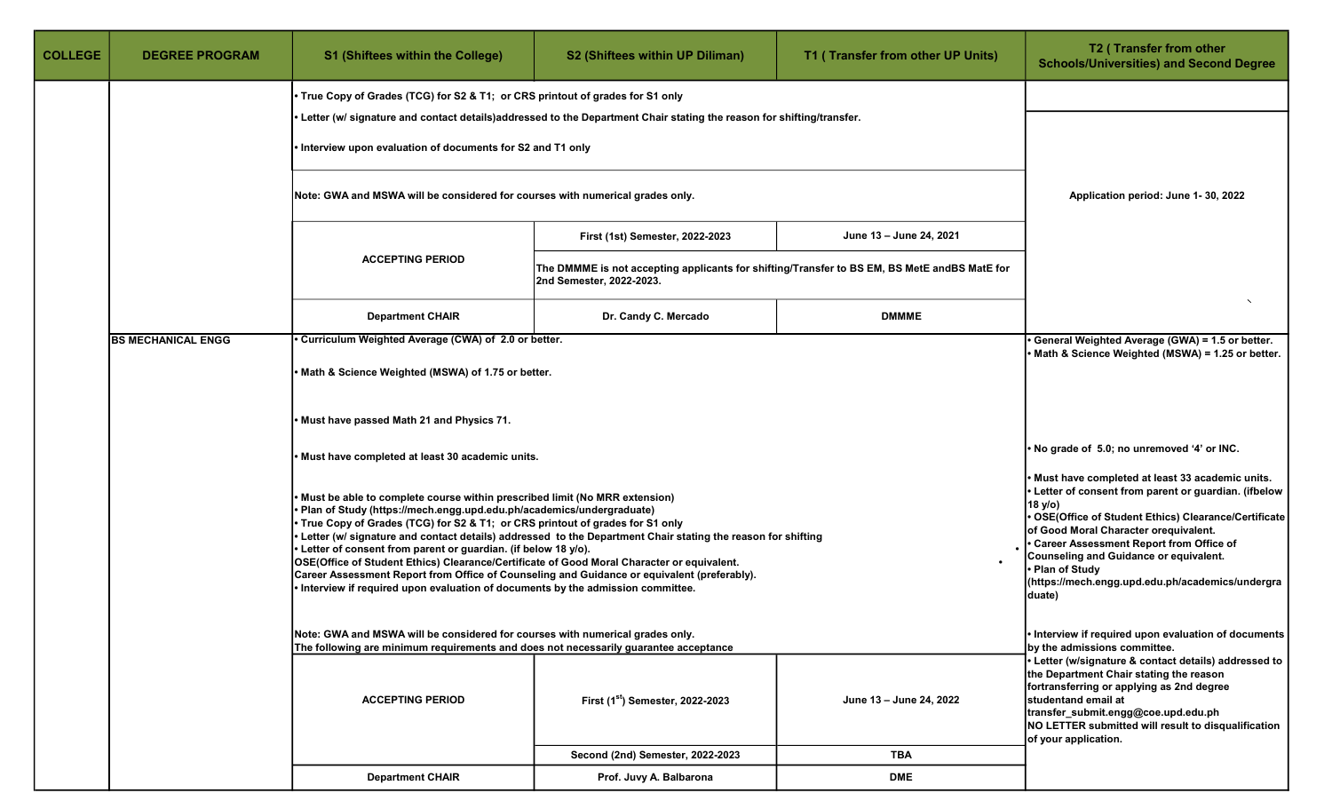| <b>COLLEGE</b> | <b>DEGREE PROGRAM</b>                                                                                                                                                 | <b>S1 (Shiftees within the College)</b>                                                                                                                                                                                                                                                                                                                                                                                                                                                                                                                                                                                                                                                                                                                                                                                                                                                                                                                                                                                                                                                              | S2 (Shiftees within UP Diliman)                                                                                          | T1 (Transfer from other UP Units) | T2 (Transfer from other<br><b>Schools/Universities) and Second Degree</b>                                                                                                                                                                                                                |
|----------------|-----------------------------------------------------------------------------------------------------------------------------------------------------------------------|------------------------------------------------------------------------------------------------------------------------------------------------------------------------------------------------------------------------------------------------------------------------------------------------------------------------------------------------------------------------------------------------------------------------------------------------------------------------------------------------------------------------------------------------------------------------------------------------------------------------------------------------------------------------------------------------------------------------------------------------------------------------------------------------------------------------------------------------------------------------------------------------------------------------------------------------------------------------------------------------------------------------------------------------------------------------------------------------------|--------------------------------------------------------------------------------------------------------------------------|-----------------------------------|------------------------------------------------------------------------------------------------------------------------------------------------------------------------------------------------------------------------------------------------------------------------------------------|
|                |                                                                                                                                                                       |                                                                                                                                                                                                                                                                                                                                                                                                                                                                                                                                                                                                                                                                                                                                                                                                                                                                                                                                                                                                                                                                                                      |                                                                                                                          |                                   |                                                                                                                                                                                                                                                                                          |
|                |                                                                                                                                                                       |                                                                                                                                                                                                                                                                                                                                                                                                                                                                                                                                                                                                                                                                                                                                                                                                                                                                                                                                                                                                                                                                                                      | • Letter (w/ signature and contact details)addressed to the Department Chair stating the reason for shifting/transfer.   |                                   |                                                                                                                                                                                                                                                                                          |
|                |                                                                                                                                                                       |                                                                                                                                                                                                                                                                                                                                                                                                                                                                                                                                                                                                                                                                                                                                                                                                                                                                                                                                                                                                                                                                                                      |                                                                                                                          |                                   |                                                                                                                                                                                                                                                                                          |
|                |                                                                                                                                                                       | Application period: June 1-30, 2022                                                                                                                                                                                                                                                                                                                                                                                                                                                                                                                                                                                                                                                                                                                                                                                                                                                                                                                                                                                                                                                                  |                                                                                                                          |                                   |                                                                                                                                                                                                                                                                                          |
|                |                                                                                                                                                                       |                                                                                                                                                                                                                                                                                                                                                                                                                                                                                                                                                                                                                                                                                                                                                                                                                                                                                                                                                                                                                                                                                                      | First (1st) Semester, 2022-2023                                                                                          | June 13 - June 24, 2021           |                                                                                                                                                                                                                                                                                          |
|                |                                                                                                                                                                       | <b>ACCEPTING PERIOD</b>                                                                                                                                                                                                                                                                                                                                                                                                                                                                                                                                                                                                                                                                                                                                                                                                                                                                                                                                                                                                                                                                              | The DMMME is not accepting applicants for shifting/Transfer to BS EM, BS MetE andBS MatE for<br>2nd Semester, 2022-2023. |                                   |                                                                                                                                                                                                                                                                                          |
|                |                                                                                                                                                                       | <b>Department CHAIR</b>                                                                                                                                                                                                                                                                                                                                                                                                                                                                                                                                                                                                                                                                                                                                                                                                                                                                                                                                                                                                                                                                              | Dr. Candy C. Mercado                                                                                                     | <b>DMMME</b>                      |                                                                                                                                                                                                                                                                                          |
|                | <b>BS MECHANICAL ENGG</b>                                                                                                                                             | General Weighted Average (GWA) = 1.5 or better.<br>Math & Science Weighted (MSWA) = 1.25 or better.                                                                                                                                                                                                                                                                                                                                                                                                                                                                                                                                                                                                                                                                                                                                                                                                                                                                                                                                                                                                  |                                                                                                                          |                                   |                                                                                                                                                                                                                                                                                          |
|                |                                                                                                                                                                       | Math & Science Weighted (MSWA) of 1.75 or better.                                                                                                                                                                                                                                                                                                                                                                                                                                                                                                                                                                                                                                                                                                                                                                                                                                                                                                                                                                                                                                                    |                                                                                                                          |                                   |                                                                                                                                                                                                                                                                                          |
|                |                                                                                                                                                                       | Must have passed Math 21 and Physics 71.                                                                                                                                                                                                                                                                                                                                                                                                                                                                                                                                                                                                                                                                                                                                                                                                                                                                                                                                                                                                                                                             |                                                                                                                          |                                   |                                                                                                                                                                                                                                                                                          |
|                |                                                                                                                                                                       | Must have completed at least 30 academic units.                                                                                                                                                                                                                                                                                                                                                                                                                                                                                                                                                                                                                                                                                                                                                                                                                                                                                                                                                                                                                                                      |                                                                                                                          |                                   | . No grade of 5.0; no unremoved '4' or INC.                                                                                                                                                                                                                                              |
|                |                                                                                                                                                                       | Must have completed at least 33 academic units.<br>Letter of consent from parent or guardian. (ifbelow<br>Must be able to complete course within prescribed limit (No MRR extension)<br>18 y/o)<br>Plan of Study (https://mech.engg.upd.edu.ph/academics/undergraduate)<br>OSE(Office of Student Ethics) Clearance/Certificate<br>• True Copy of Grades (TCG) for S2 & T1; or CRS printout of grades for S1 only<br>of Good Moral Character orequivalent.<br>. Letter (w/ signature and contact details) addressed to the Department Chair stating the reason for shifting<br>• Career Assessment Report from Office of<br>• Letter of consent from parent or guardian. (if below 18 y/o).<br>Counseling and Guidance or equivalent.<br>OSE(Office of Student Ethics) Clearance/Certificate of Good Moral Character or equivalent.<br>• Plan of Study<br>Career Assessment Report from Office of Counseling and Guidance or equivalent (preferably).<br>(https://mech.engg.upd.edu.ph/academics/undergra<br>Interview if required upon evaluation of documents by the admission committee.<br>duate) |                                                                                                                          |                                   |                                                                                                                                                                                                                                                                                          |
|                | Note: GWA and MSWA will be considered for courses with numerical grades only.<br>The following are minimum requirements and does not necessarily guarantee acceptance |                                                                                                                                                                                                                                                                                                                                                                                                                                                                                                                                                                                                                                                                                                                                                                                                                                                                                                                                                                                                                                                                                                      |                                                                                                                          |                                   | • Interview if required upon evaluation of documents<br>by the admissions committee.                                                                                                                                                                                                     |
|                |                                                                                                                                                                       | <b>ACCEPTING PERIOD</b>                                                                                                                                                                                                                                                                                                                                                                                                                                                                                                                                                                                                                                                                                                                                                                                                                                                                                                                                                                                                                                                                              | First (1 <sup>st</sup> ) Semester, 2022-2023                                                                             | June 13 - June 24, 2022           | Letter (w/signature & contact details) addressed to<br>the Department Chair stating the reason<br>fortransferring or applying as 2nd degree<br>studentand email at<br>transfer_submit.engg@coe.upd.edu.ph<br>NO LETTER submitted will result to disqualification<br>of your application. |
|                |                                                                                                                                                                       |                                                                                                                                                                                                                                                                                                                                                                                                                                                                                                                                                                                                                                                                                                                                                                                                                                                                                                                                                                                                                                                                                                      | Second (2nd) Semester, 2022-2023                                                                                         | <b>TBA</b>                        |                                                                                                                                                                                                                                                                                          |
|                |                                                                                                                                                                       | <b>Department CHAIR</b>                                                                                                                                                                                                                                                                                                                                                                                                                                                                                                                                                                                                                                                                                                                                                                                                                                                                                                                                                                                                                                                                              | Prof. Juvy A. Balbarona                                                                                                  | <b>DME</b>                        |                                                                                                                                                                                                                                                                                          |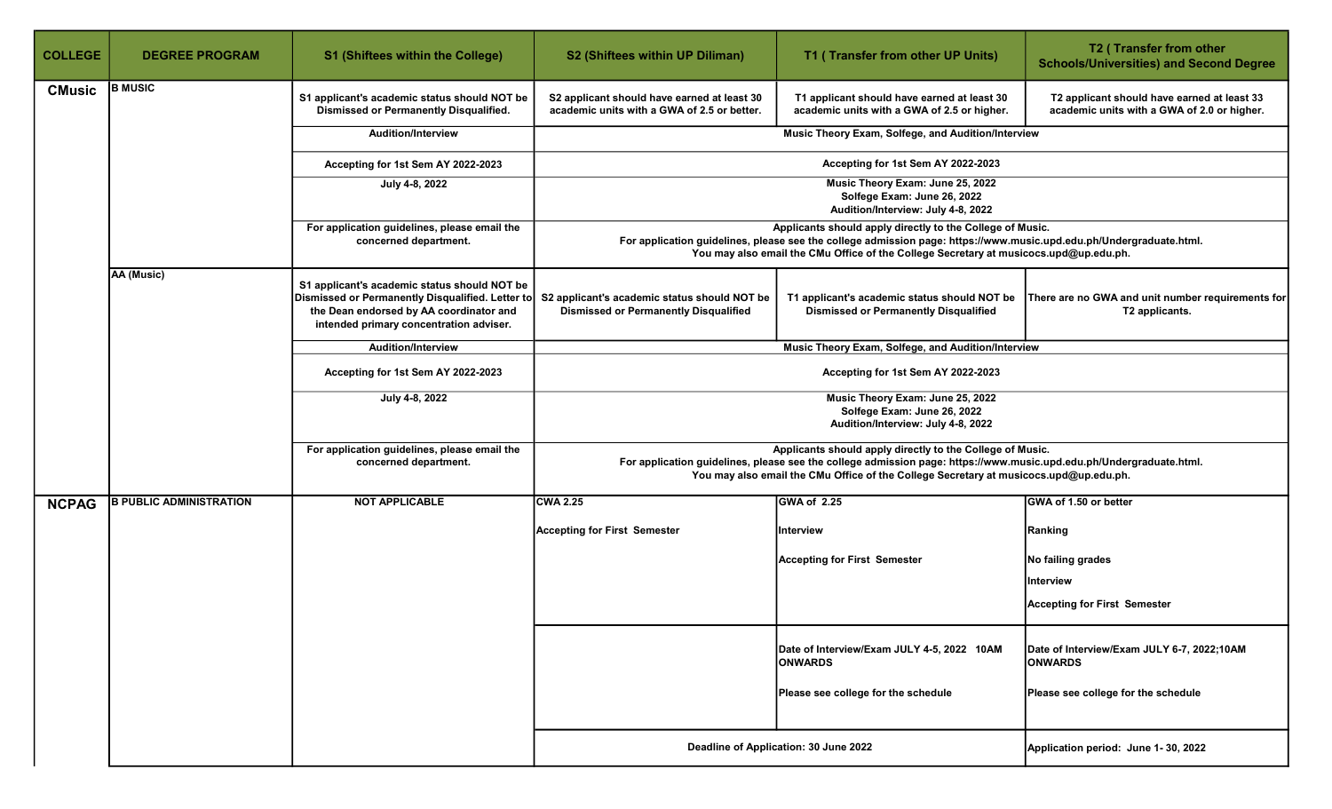| <b>COLLEGE</b> | <b>DEGREE PROGRAM</b>          | S1 (Shiftees within the College)                                                                                                                                                       | S2 (Shiftees within UP Diliman)                                                                                                                                                                                                                                           | T1 (Transfer from other UP Units)                                                                                                                                                                                                                                         | T2 (Transfer from other<br><b>Schools/Universities) and Second Degree</b>                  |  |  |
|----------------|--------------------------------|----------------------------------------------------------------------------------------------------------------------------------------------------------------------------------------|---------------------------------------------------------------------------------------------------------------------------------------------------------------------------------------------------------------------------------------------------------------------------|---------------------------------------------------------------------------------------------------------------------------------------------------------------------------------------------------------------------------------------------------------------------------|--------------------------------------------------------------------------------------------|--|--|
| <b>CMusic</b>  | <b>B MUSIC</b>                 | S1 applicant's academic status should NOT be<br>Dismissed or Permanently Disqualified.                                                                                                 | S2 applicant should have earned at least 30<br>academic units with a GWA of 2.5 or better.                                                                                                                                                                                | T1 applicant should have earned at least 30<br>academic units with a GWA of 2.5 or higher.                                                                                                                                                                                | T2 applicant should have earned at least 33<br>academic units with a GWA of 2.0 or higher. |  |  |
|                |                                | <b>Audition/Interview</b>                                                                                                                                                              | Music Theory Exam, Solfege, and Audition/Interview                                                                                                                                                                                                                        |                                                                                                                                                                                                                                                                           |                                                                                            |  |  |
|                |                                | Accepting for 1st Sem AY 2022-2023                                                                                                                                                     | Accepting for 1st Sem AY 2022-2023                                                                                                                                                                                                                                        |                                                                                                                                                                                                                                                                           |                                                                                            |  |  |
|                |                                | July 4-8, 2022                                                                                                                                                                         |                                                                                                                                                                                                                                                                           | Music Theory Exam: June 25, 2022<br>Solfege Exam: June 26, 2022<br>Audition/Interview: July 4-8, 2022                                                                                                                                                                     |                                                                                            |  |  |
|                |                                | For application guidelines, please email the<br>concerned department.                                                                                                                  | Applicants should apply directly to the College of Music.<br>For application guidelines, please see the college admission page: https://www.music.upd.edu.ph/Undergraduate.html.<br>You may also email the CMu Office of the College Secretary at musicocs.upd@up.edu.ph. |                                                                                                                                                                                                                                                                           |                                                                                            |  |  |
|                | AA (Music)                     | S1 applicant's academic status should NOT be<br>Dismissed or Permanently Disqualified. Letter to<br>the Dean endorsed by AA coordinator and<br>intended primary concentration adviser. | S2 applicant's academic status should NOT be<br><b>Dismissed or Permanently Disqualified</b>                                                                                                                                                                              | T1 applicant's academic status should NOT be<br><b>Dismissed or Permanently Disqualified</b>                                                                                                                                                                              | There are no GWA and unit number requirements for<br>T2 applicants.                        |  |  |
|                |                                | <b>Audition/Interview</b>                                                                                                                                                              |                                                                                                                                                                                                                                                                           | Music Theory Exam, Solfege, and Audition/Interview                                                                                                                                                                                                                        |                                                                                            |  |  |
|                |                                | Accepting for 1st Sem AY 2022-2023                                                                                                                                                     |                                                                                                                                                                                                                                                                           | Accepting for 1st Sem AY 2022-2023                                                                                                                                                                                                                                        |                                                                                            |  |  |
|                |                                | July 4-8, 2022                                                                                                                                                                         |                                                                                                                                                                                                                                                                           | Music Theory Exam: June 25, 2022<br>Solfege Exam: June 26, 2022<br>Audition/Interview: July 4-8, 2022                                                                                                                                                                     |                                                                                            |  |  |
|                |                                | For application guidelines, please email the<br>concerned department.                                                                                                                  |                                                                                                                                                                                                                                                                           | Applicants should apply directly to the College of Music.<br>For application guidelines, please see the college admission page: https://www.music.upd.edu.ph/Undergraduate.html.<br>You may also email the CMu Office of the College Secretary at musicocs.upd@up.edu.ph. |                                                                                            |  |  |
| <b>NCPAG</b>   | <b>B PUBLIC ADMINISTRATION</b> | <b>NOT APPLICABLE</b>                                                                                                                                                                  | <b>CWA 2.25</b>                                                                                                                                                                                                                                                           | GWA of 2.25                                                                                                                                                                                                                                                               | GWA of 1.50 or better                                                                      |  |  |
|                |                                |                                                                                                                                                                                        | <b>Accepting for First Semester</b>                                                                                                                                                                                                                                       | Interview                                                                                                                                                                                                                                                                 | Ranking                                                                                    |  |  |
|                |                                |                                                                                                                                                                                        |                                                                                                                                                                                                                                                                           | <b>Accepting for First Semester</b>                                                                                                                                                                                                                                       | No failing grades                                                                          |  |  |
|                |                                |                                                                                                                                                                                        |                                                                                                                                                                                                                                                                           |                                                                                                                                                                                                                                                                           | Interview                                                                                  |  |  |
|                |                                |                                                                                                                                                                                        |                                                                                                                                                                                                                                                                           |                                                                                                                                                                                                                                                                           | <b>Accepting for First Semester</b>                                                        |  |  |
|                |                                |                                                                                                                                                                                        |                                                                                                                                                                                                                                                                           | Date of Interview/Exam JULY 4-5, 2022 10AM<br><b>ONWARDS</b>                                                                                                                                                                                                              | Date of Interview/Exam JULY 6-7, 2022;10AM<br><b>ONWARDS</b>                               |  |  |
|                |                                |                                                                                                                                                                                        |                                                                                                                                                                                                                                                                           | Please see college for the schedule                                                                                                                                                                                                                                       | Please see college for the schedule                                                        |  |  |
|                |                                |                                                                                                                                                                                        |                                                                                                                                                                                                                                                                           | Deadline of Application: 30 June 2022                                                                                                                                                                                                                                     | Application period: June 1-30, 2022                                                        |  |  |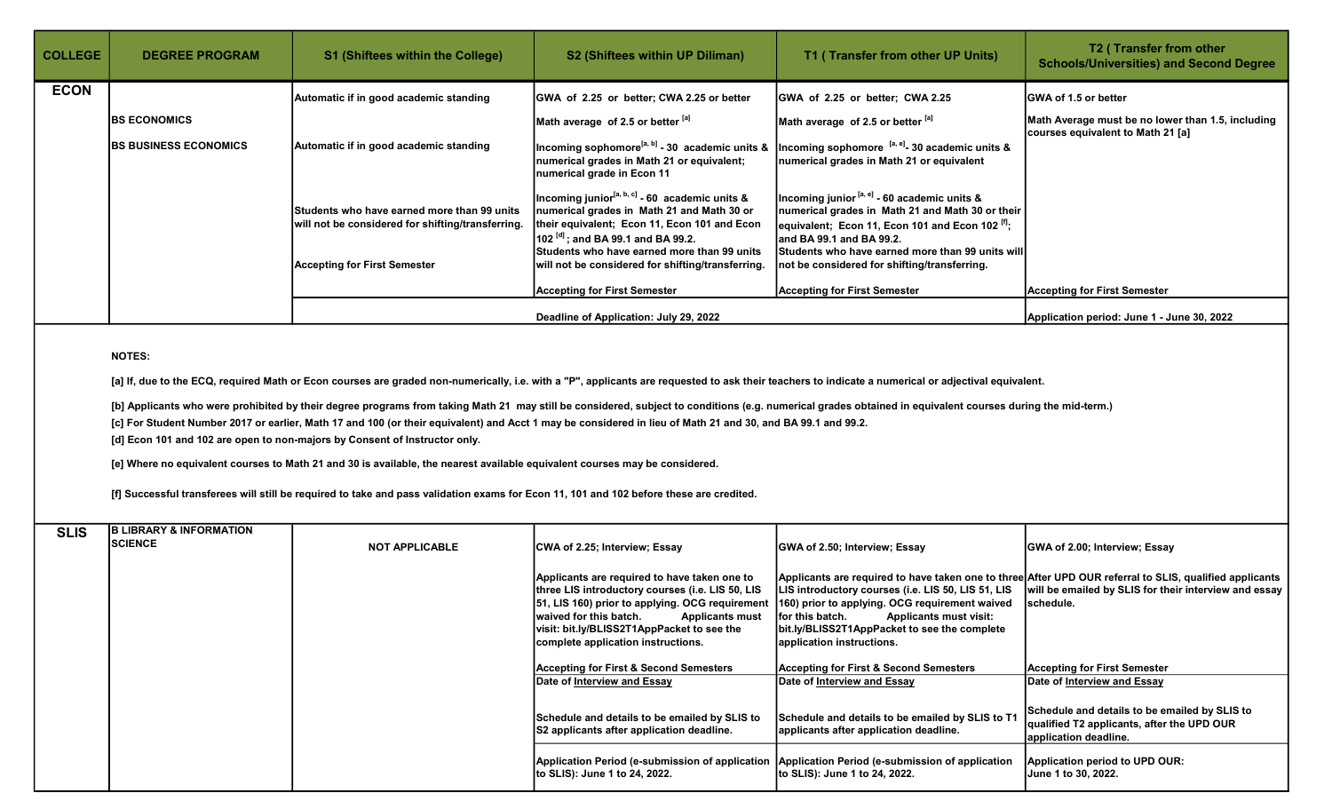| <b>COLLEGE</b> | <b>DEGREE PROGRAM</b>         | <b>S1 (Shiftees within the College)</b>                                                          | S2 (Shiftees within UP Diliman)                                                                                                                                                                                                                       | T1 (Transfer from other UP Units)                                                                                                                                                                                                              | T <sub>2</sub> (Transfer from other<br><b>Schools/Universities) and Second Degree</b>  |
|----------------|-------------------------------|--------------------------------------------------------------------------------------------------|-------------------------------------------------------------------------------------------------------------------------------------------------------------------------------------------------------------------------------------------------------|------------------------------------------------------------------------------------------------------------------------------------------------------------------------------------------------------------------------------------------------|----------------------------------------------------------------------------------------|
| <b>ECON</b>    |                               | Automatic if in good academic standing                                                           | GWA of 2.25 or better; CWA 2.25 or better                                                                                                                                                                                                             | GWA of 2.25 or better; CWA 2.25                                                                                                                                                                                                                | <b>GWA of 1.5 or better</b>                                                            |
|                | <b>IBS ECONOMICS</b>          |                                                                                                  | Math average of 2.5 or better [a]                                                                                                                                                                                                                     | Math average of 2.5 or better $^{[a]}$                                                                                                                                                                                                         | Math Average must be no lower than 1.5, including<br>courses equivalent to Math 21 [a] |
|                | <b>IBS BUSINESS ECONOMICS</b> | Automatic if in good academic standing                                                           | Incoming sophomore <sup>[a, b]</sup> - 30 academic units &<br>numerical grades in Math 21 or equivalent;<br>numerical grade in Econ 11                                                                                                                | ncoming sophomore <sup>[a, e]</sup> - 30 academic units &<br>numerical grades in Math 21 or equivalent                                                                                                                                         |                                                                                        |
|                |                               | Students who have earned more than 99 units<br>will not be considered for shifting/transferring. | Incoming junior <sup>[a, b, c]</sup> - 60 academic units $\&$<br>numerical grades in Math 21 and Math 30 or<br>their equivalent; Econ 11, Econ 101 and Econ<br>$102^{[d]}$ ; and BA 99.1 and BA 99.2.<br>lStudents who have earned more than 99 units | Incoming junior [a, e] - 60 academic units &<br>numerical grades in Math 21 and Math 30 or their<br>equivalent; Econ 11, Econ 101 and Econ 102 $[1]$ ;<br>land BA 99.1 and BA 99.2.<br><b>Students who have earned more than 99 units will</b> |                                                                                        |
|                |                               | <b>Accepting for First Semester</b>                                                              | will not be considered for shifting/transferring.<br><b>Accepting for First Semester</b>                                                                                                                                                              | not be considered for shifting/transferring.<br><b>Accepting for First Semester</b>                                                                                                                                                            | <b>Accepting for First Semester</b>                                                    |
|                |                               |                                                                                                  | Deadline of Application: July 29, 2022                                                                                                                                                                                                                |                                                                                                                                                                                                                                                | Application period: June 1 - June 30, 2022                                             |

## NOTES:

[a] If, due to the ECQ, required Math or Econ courses are graded non-numerically, i.e. with a "P", applicants are requested to ask their teachers to indicate a numerical or adjectival equivalent.

[b] Applicants who were prohibited by their degree programs from taking Math 21 may still be considered, subject to conditions (e.g. numerical grades obtained in equivalent courses during the mid-term.)

[c] For Student Number 2017 or earlier, Math 17 and 100 (or their equivalent) and Acct 1 may be considered in lieu of Math 21 and 30, and BA 99.1 and 99.2.

[d] Econ 101 and 102 are open to non-majors by Consent of Instructor only.

[e] Where no equivalent courses to Math 21 and 30 is available, the nearest available equivalent courses may be considered.

[f] Successful transferees will still be required to take and pass validation exams for Econ 11, 101 and 102 before these are credited.

| <b>SLIS</b> | <b>B LIBRARY &amp; INFORMATION</b><br><b>SCIENCE</b> |                       |                                                                                                                                                                                                                                                                                               |                                                                                                                                                                                                                                        |                                                                                                                                                                                |
|-------------|------------------------------------------------------|-----------------------|-----------------------------------------------------------------------------------------------------------------------------------------------------------------------------------------------------------------------------------------------------------------------------------------------|----------------------------------------------------------------------------------------------------------------------------------------------------------------------------------------------------------------------------------------|--------------------------------------------------------------------------------------------------------------------------------------------------------------------------------|
|             |                                                      | <b>NOT APPLICABLE</b> | CWA of 2.25; Interview; Essay                                                                                                                                                                                                                                                                 | GWA of 2.50; Interview; Essay                                                                                                                                                                                                          | GWA of 2.00; Interview; Essay                                                                                                                                                  |
|             |                                                      |                       | Applicants are required to have taken one to<br>three LIS introductory courses (i.e. LIS 50, LIS<br>[51, LIS 160) prior to applying. OCG requirement<br>Iwaived for this batch.<br><b>Applicants must</b><br>visit: bit.ly/BLISS2T1AppPacket to see the<br>complete application instructions. | LIS introductory courses (i.e. LIS 50, LIS 51, LIS<br>160) prior to applying. OCG requirement waived<br>lfor this batch.<br><b>Applicants must visit:</b><br>bit.ly/BLISS2T1AppPacket to see the complete<br>application instructions. | Applicants are required to have taken one to three After UPD OUR referral to SLIS, qualified applicants<br>will be emailed by SLIS for their interview and essay<br>Ischedule. |
|             |                                                      |                       | <b>Accepting for First &amp; Second Semesters</b>                                                                                                                                                                                                                                             | <b>Accepting for First &amp; Second Semesters</b>                                                                                                                                                                                      | <b>Accepting for First Semester</b>                                                                                                                                            |
|             |                                                      |                       | Date of Interview and Essay                                                                                                                                                                                                                                                                   | Date of Interview and Essay                                                                                                                                                                                                            | Date of Interview and Essay                                                                                                                                                    |
|             |                                                      |                       | Schedule and details to be emailed by SLIS to<br>S2 applicants after application deadline.                                                                                                                                                                                                    | Schedule and details to be emailed by SLIS to T1<br>applicants after application deadline.                                                                                                                                             | Schedule and details to be emailed by SLIS to<br>qualified T2 applicants, after the UPD OUR<br>application deadline.                                                           |
|             |                                                      |                       | Application Period (e-submission of application   Application Period (e-submission of application<br>Ito SLIS): June 1 to 24, 2022.                                                                                                                                                           | to SLIS): June 1 to 24, 2022.                                                                                                                                                                                                          | Application period to UPD OUR:<br>June 1 to 30, 2022.                                                                                                                          |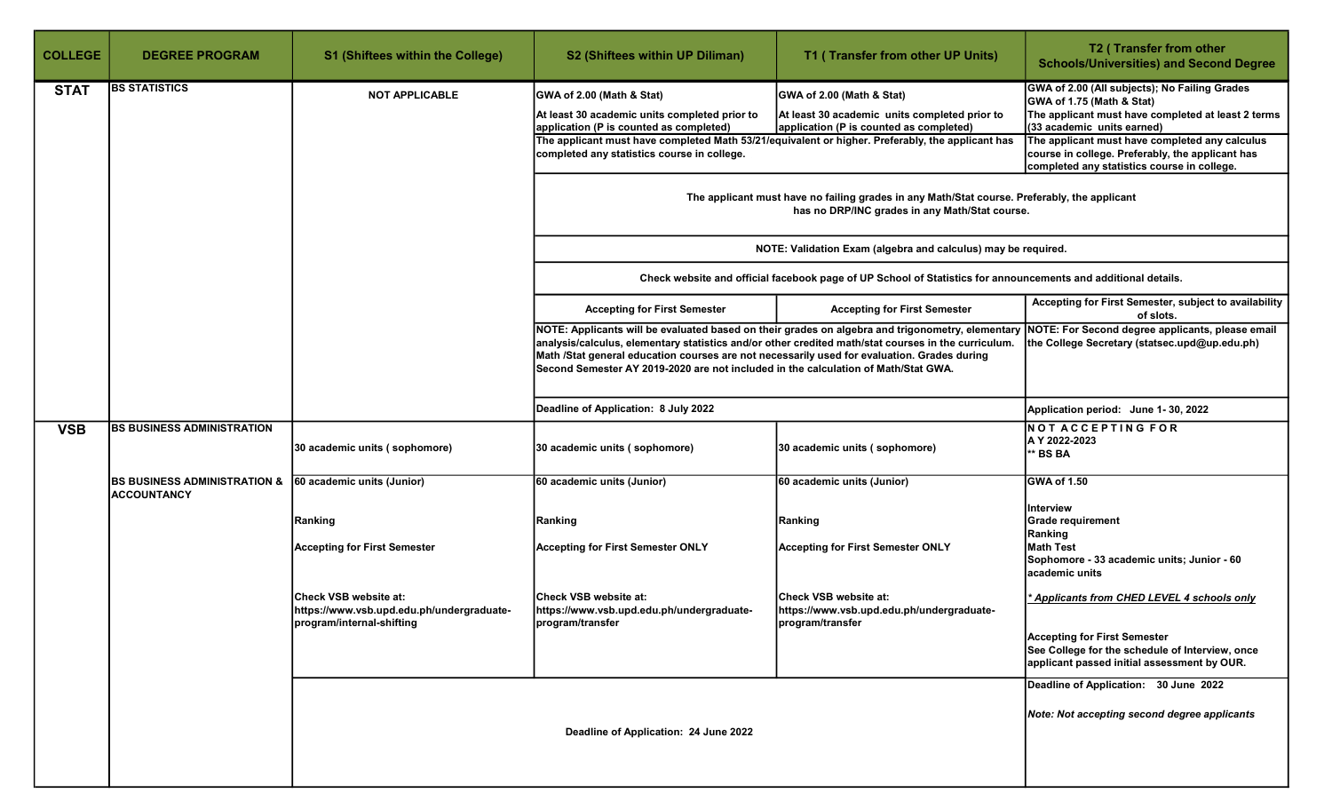| <b>COLLEGE</b> | <b>DEGREE PROGRAM</b>                                         | <b>S1 (Shiftees within the College)</b>                                                         | S2 (Shiftees within UP Diliman)                                                                                                                                                                                                                                                                                                                                                              | T1 (Transfer from other UP Units)                                                                                                                 | T2 (Transfer from other<br><b>Schools/Universities) and Second Degree</b>                                                                                      |  |
|----------------|---------------------------------------------------------------|-------------------------------------------------------------------------------------------------|----------------------------------------------------------------------------------------------------------------------------------------------------------------------------------------------------------------------------------------------------------------------------------------------------------------------------------------------------------------------------------------------|---------------------------------------------------------------------------------------------------------------------------------------------------|----------------------------------------------------------------------------------------------------------------------------------------------------------------|--|
| <b>STAT</b>    | <b>BS STATISTICS</b>                                          | <b>NOT APPLICABLE</b>                                                                           | GWA of 2.00 (Math & Stat)<br>At least 30 academic units completed prior to<br>application (P is counted as completed)                                                                                                                                                                                                                                                                        | GWA of 2.00 (Math & Stat)<br>At least 30 academic units completed prior to<br>application (P is counted as completed)                             | GWA of 2.00 (All subjects); No Failing Grades<br>GWA of 1.75 (Math & Stat)<br>The applicant must have completed at least 2 terms<br>(33 academic units earned) |  |
|                |                                                               |                                                                                                 | The applicant must have completed Math 53/21/equivalent or higher. Preferably, the applicant has<br>completed any statistics course in college.                                                                                                                                                                                                                                              | The applicant must have completed any calculus<br>course in college. Preferably, the applicant has<br>completed any statistics course in college. |                                                                                                                                                                |  |
|                |                                                               |                                                                                                 | The applicant must have no failing grades in any Math/Stat course. Preferably, the applicant<br>has no DRP/INC grades in any Math/Stat course.                                                                                                                                                                                                                                               |                                                                                                                                                   |                                                                                                                                                                |  |
|                |                                                               |                                                                                                 | NOTE: Validation Exam (algebra and calculus) may be required.                                                                                                                                                                                                                                                                                                                                |                                                                                                                                                   |                                                                                                                                                                |  |
|                |                                                               |                                                                                                 | Check website and official facebook page of UP School of Statistics for announcements and additional details.                                                                                                                                                                                                                                                                                |                                                                                                                                                   |                                                                                                                                                                |  |
|                |                                                               |                                                                                                 | <b>Accepting for First Semester</b>                                                                                                                                                                                                                                                                                                                                                          | <b>Accepting for First Semester</b>                                                                                                               | Accepting for First Semester, subject to availability<br>of slots.                                                                                             |  |
|                |                                                               |                                                                                                 | NOTE: Applicants will be evaluated based on their grades on algebra and trigonometry, elementary<br>analysis/calculus, elementary statistics and/or other credited math/stat courses in the curriculum.<br>Math /Stat general education courses are not necessarily used for evaluation. Grades during<br>Second Semester AY 2019-2020 are not included in the calculation of Math/Stat GWA. | NOTE: For Second degree applicants, please email<br>the College Secretary (statsec.upd@up.edu.ph)                                                 |                                                                                                                                                                |  |
|                |                                                               |                                                                                                 | Deadline of Application: 8 July 2022                                                                                                                                                                                                                                                                                                                                                         |                                                                                                                                                   | Application period: June 1-30, 2022                                                                                                                            |  |
| <b>VSB</b>     | <b>BS BUSINESS ADMINISTRATION</b>                             | 30 academic units (sophomore)                                                                   | 30 academic units (sophomore)                                                                                                                                                                                                                                                                                                                                                                | 30 academic units (sophomore)                                                                                                                     | <b>NOT ACCEPTING FOR</b><br>A Y 2022-2023<br><b>BS BA</b>                                                                                                      |  |
|                | <b>BS BUSINESS ADMINISTRATION &amp;</b><br><b>ACCOUNTANCY</b> | 60 academic units (Junior)                                                                      | 60 academic units (Junior)                                                                                                                                                                                                                                                                                                                                                                   | 60 academic units (Junior)                                                                                                                        | <b>GWA of 1.50</b>                                                                                                                                             |  |
|                |                                                               | Ranking                                                                                         | Ranking                                                                                                                                                                                                                                                                                                                                                                                      | Ranking                                                                                                                                           | Interview<br><b>Grade requirement</b>                                                                                                                          |  |
|                |                                                               | <b>Accepting for First Semester</b>                                                             | <b>Accepting for First Semester ONLY</b>                                                                                                                                                                                                                                                                                                                                                     | <b>Accepting for First Semester ONLY</b>                                                                                                          | Ranking<br><b>Math Test</b><br>Sophomore - 33 academic units; Junior - 60<br>academic units                                                                    |  |
|                |                                                               | Check VSB website at:<br>https://www.vsb.upd.edu.ph/undergraduate-<br>program/internal-shifting | Check VSB website at:<br>https://www.vsb.upd.edu.ph/undergraduate-<br>program/transfer                                                                                                                                                                                                                                                                                                       | Check VSB website at:<br>https://www.vsb.upd.edu.ph/undergraduate-<br>program/transfer                                                            | * Applicants from CHED LEVEL 4 schools only                                                                                                                    |  |
|                |                                                               |                                                                                                 |                                                                                                                                                                                                                                                                                                                                                                                              |                                                                                                                                                   | <b>Accepting for First Semester</b><br>See College for the schedule of Interview, once<br>applicant passed initial assessment by OUR.                          |  |
|                |                                                               |                                                                                                 |                                                                                                                                                                                                                                                                                                                                                                                              | Deadline of Application: 30 June 2022<br>Note: Not accepting second degree applicants                                                             |                                                                                                                                                                |  |
|                |                                                               |                                                                                                 | Deadline of Application: 24 June 2022                                                                                                                                                                                                                                                                                                                                                        |                                                                                                                                                   |                                                                                                                                                                |  |